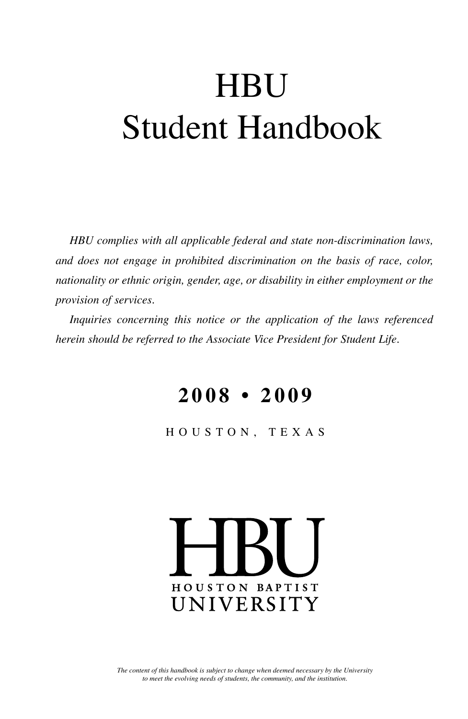# **HBU** Student Handbook

*HBU complies with all applicable federal and state non-discrimination laws, and does not engage in prohibited discrimination on the basis of race, color, nationality or ethnic origin, gender, age, or disability in either employment or the provision of services.*

*Inquiries concerning this notice or the application of the laws referenced herein should be referred to the Associate Vice President for Student Life.*

## **2 0 0 8 • 2 0 0 9**

HOUSTON, TEXAS

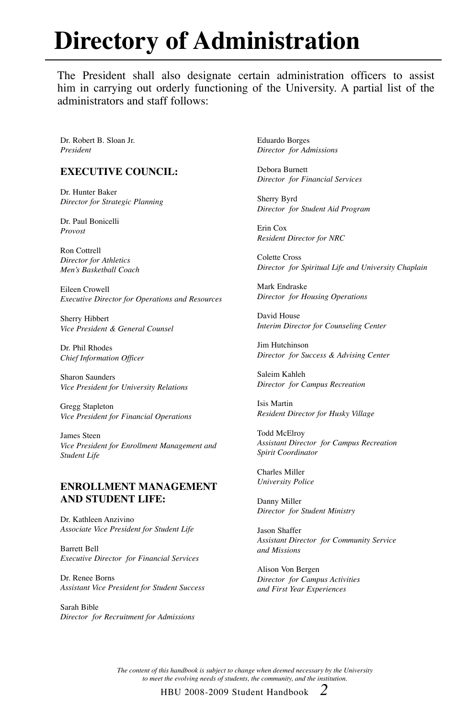# **Directory of Administration**

The President shall also designate certain administration officers to assist him in carrying out orderly functioning of the University. A partial list of the administrators and staff follows:

Dr. Robert B. Sloan Jr. *President*

#### **Executive Council:**

Dr. Hunter Baker *Director for Strategic Planning*

Dr. Paul Bonicelli *Provost*

Ron Cottrell *Director for Athletics Men's Basketball Coach*

Eileen Crowell *Executive Director for Operations and Resources*

Sherry Hibbert *Vice President & General Counsel*

Dr. Phil Rhodes *Chief Information Officer*

Sharon Saunders *Vice President for University Relations*

Gregg Stapleton *Vice President for Financial Operations*

James Steen *Vice President for Enrollment Management and Student Life*

#### **Enrollment Management and Student Life:**

Dr. Kathleen Anzivino *Associate Vice President for Student Life*

Barrett Bell *Executive Director for Financial Services*

Dr. Renee Borns *Assistant Vice President for Student Success*

Sarah Bible *Director for Recruitment for Admissions*

Eduardo Borges *Director for Admissions*

Debora Burnett *Director for Financial Services*

Sherry Byrd *Director for Student Aid Program*

Erin Cox *Resident Director for NRC* 

Colette Cross *Director for Spiritual Life and University Chaplain*

Mark Endraske *Director for Housing Operations*

David House *Interim Director for Counseling Center*

Jim Hutchinson *Director for Success & Advising Center*

Saleim Kahleh *Director for Campus Recreation*

Isis Martin *Resident Director for Husky Village*

Todd McElroy *Assistant Director for Campus Recreation Spirit Coordinator*

Charles Miller *University Police*

Danny Miller *Director for Student Ministry*

Jason Shaffer *Assistant Director for Community Service and Missions*

Alison Von Bergen *Director for Campus Activities and First Year Experiences*

*The content of this handbook is subject to change when deemed necessary by the University to meet the evolving needs of students, the community, and the institution.*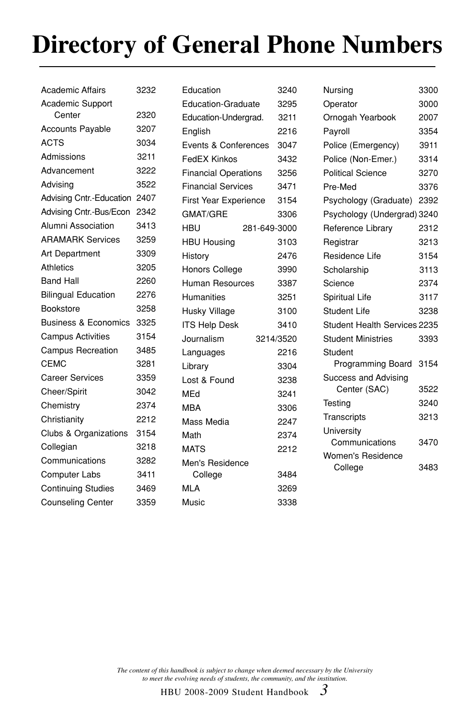# **Directory of General Phone Numbers**

| <b>Academic Affairs</b>         | 3232 |
|---------------------------------|------|
| Academic Support                |      |
| Center                          | 2320 |
| <b>Accounts Payable</b>         | 3207 |
| <b>ACTS</b>                     | 3034 |
| Admissions                      | 3211 |
| Advancement                     | 3222 |
| Advising                        | 3522 |
| Advising Cntr.-Education        | 2407 |
| Advising Cntr.-Bus/Econ         | 2342 |
| Alumni Association              | 3413 |
| <b>ARAMARK Services</b>         | 3259 |
| <b>Art Department</b>           | 3309 |
| <b>Athletics</b>                | 3205 |
| <b>Band Hall</b>                | 2260 |
| <b>Bilingual Education</b>      | 2276 |
| <b>Bookstore</b>                | 3258 |
| <b>Business &amp; Economics</b> | 3325 |
| <b>Campus Activities</b>        | 3154 |
| <b>Campus Recreation</b>        | 3485 |
| <b>CEMC</b>                     | 3281 |
| <b>Career Services</b>          | 3359 |
| Cheer/Spirit                    | 3042 |
| Chemistry                       | 2374 |
| Christianity                    | 2212 |
| Clubs & Organizations           | 3154 |
| Collegian                       | 3218 |
| Communications                  | 3282 |
| <b>Computer Labs</b>            | 3411 |
| <b>Continuing Studies</b>       | 3469 |
| <b>Counseling Center</b>        | 3359 |
|                                 |      |

| Education                   |              | 3240 |
|-----------------------------|--------------|------|
| <b>Education-Graduate</b>   |              | 3295 |
| Education-Undergrad.        |              | 3211 |
| English                     |              | 2216 |
| Events & Conferences        |              | 3047 |
| FedEX Kinkos                |              | 3432 |
| <b>Financial Operations</b> |              | 3256 |
| <b>Financial Services</b>   |              | 3471 |
| First Year Experience       |              | 3154 |
| <b>GMAT/GRE</b>             |              | 3306 |
| HBU                         | 281-649-3000 |      |
| <b>HBU Housing</b>          |              | 3103 |
| History                     |              | 2476 |
| <b>Honors College</b>       |              | 3990 |
| Human Resources             |              | 3387 |
| Humanities                  |              | 3251 |
| Husky Village               |              | 3100 |
| <b>ITS Help Desk</b>        |              | 3410 |
| Journalism                  | 3214/3520    |      |
| Languages                   |              | 2216 |
| Library                     |              | 3304 |
| Lost & Found                |              | 3238 |
| MEd                         |              | 3241 |
| <b>MBA</b>                  |              | 3306 |
| Mass Media                  |              | 2247 |
| Math                        |              | 2374 |
| <b>MATS</b>                 |              | 2212 |
| Men's Residence             |              |      |
| College                     |              | 3484 |
| MLA                         |              | 3269 |
| Music                       |              | 3338 |

| Nursina                      | 3300 |
|------------------------------|------|
| Operator                     | 3000 |
| Ornogah Yearbook             | 2007 |
| Payroll                      | 3354 |
| Police (Emergency)           | 3911 |
| Police (Non-Emer.)           | 3314 |
| <b>Political Science</b>     | 3270 |
| Pre-Med                      | 3376 |
| Psychology (Graduate)        | 2392 |
| Psychology (Undergrad) 3240  |      |
| Reference Library            | 2312 |
| Registrar                    | 3213 |
| Residence Life               | 3154 |
| Scholarship                  | 3113 |
| Science                      | 2374 |
| Spiritual Life               | 3117 |
| Student Life                 | 3238 |
| Student Health Services 2235 |      |
| <b>Student Ministries</b>    | 3393 |
| Student                      |      |
| <b>Programming Board</b>     | 3154 |
| <b>Success and Advising</b>  |      |
| Center (SAC)                 | 3522 |
| Testing                      | 3240 |
| Transcripts                  | 3213 |
| University                   |      |
| Communications               | 3470 |
| Women's Residence            |      |
| College                      | 3483 |

*The content of this handbook is subject to change when deemed necessary by the University to meet the evolving needs of students, the community, and the institution.*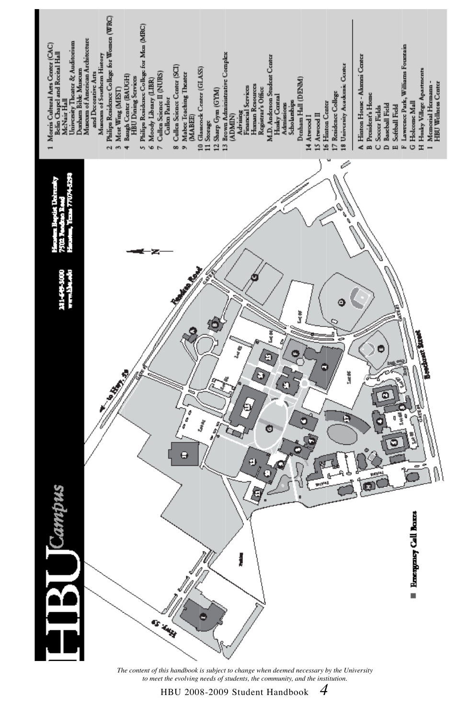

*The content of this handbook is subject to change when deemed necessary by the University to meet the evolving needs of students, the community, and the institution.*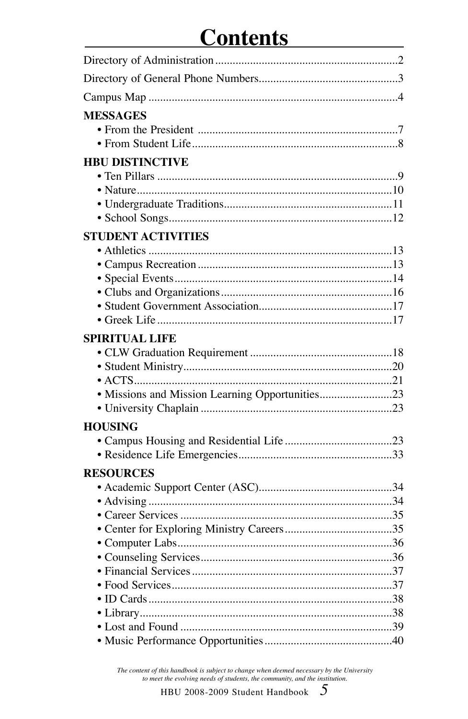## **Contents**

| <b>MESSAGES</b>                                 |  |
|-------------------------------------------------|--|
| <b>HBU DISTINCTIVE</b>                          |  |
|                                                 |  |
|                                                 |  |
|                                                 |  |
|                                                 |  |
| <b>STUDENT ACTIVITIES</b>                       |  |
|                                                 |  |
|                                                 |  |
|                                                 |  |
|                                                 |  |
|                                                 |  |
|                                                 |  |
| <b>SPIRITUAL LIFE</b>                           |  |
|                                                 |  |
|                                                 |  |
|                                                 |  |
| • Missions and Mission Learning Opportunities23 |  |
|                                                 |  |
| <b>HOUSING</b>                                  |  |
|                                                 |  |
|                                                 |  |
| <b>RESOURCES</b>                                |  |
|                                                 |  |
|                                                 |  |
|                                                 |  |
|                                                 |  |
|                                                 |  |
|                                                 |  |
|                                                 |  |
|                                                 |  |
|                                                 |  |
|                                                 |  |
|                                                 |  |
|                                                 |  |

 $\label{thm:main} The\ content\ of\ this\ handbook\ is\ subject\ to\ change\ when\ deemed\ necessary\ by\ the\ University\ to\ meet\ the\ evolving\ needs\ of\ students,\ the\ community,\ and\ the\ institution.$ 

 $\overline{5}$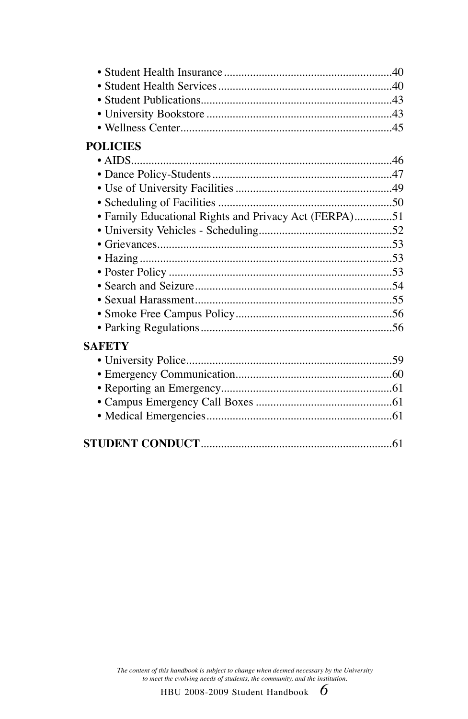| <b>POLICIES</b>                                       |  |
|-------------------------------------------------------|--|
|                                                       |  |
|                                                       |  |
|                                                       |  |
|                                                       |  |
| · Family Educational Rights and Privacy Act (FERPA)51 |  |
|                                                       |  |
|                                                       |  |
|                                                       |  |
|                                                       |  |
|                                                       |  |
|                                                       |  |
|                                                       |  |
|                                                       |  |
| SAFETY                                                |  |
|                                                       |  |
|                                                       |  |
|                                                       |  |
|                                                       |  |
|                                                       |  |
|                                                       |  |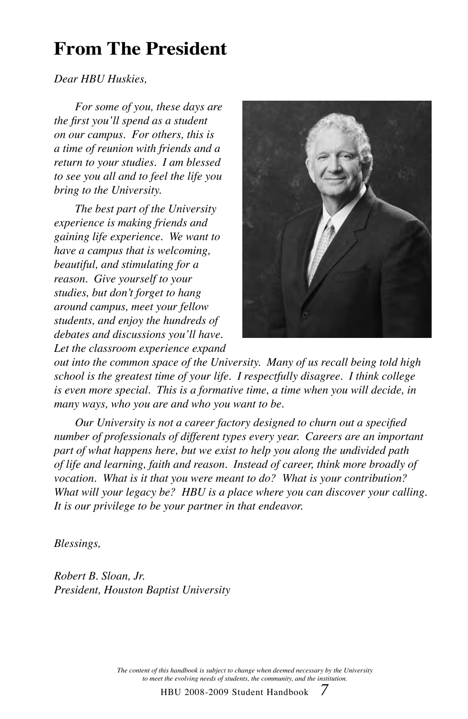## **From The President**

#### *Dear HBU Huskies,*

*For some of you, these days are the first you'll spend as a student on our campus. For others, this is a time of reunion with friends and a return to your studies. I am blessed to see you all and to feel the life you bring to the University.*

*The best part of the University experience is making friends and gaining life experience. We want to have a campus that is welcoming, beautiful, and stimulating for a reason. Give yourself to your studies, but don't forget to hang around campus, meet your fellow students, and enjoy the hundreds of debates and discussions you'll have. Let the classroom experience expand* 



*out into the common space of the University. Many of us recall being told high school is the greatest time of your life. I respectfully disagree. I think college is even more special. This is a formative time, a time when you will decide, in many ways, who you are and who you want to be.* 

*Our University is not a career factory designed to churn out a specified number of professionals of different types every year. Careers are an important part of what happens here, but we exist to help you along the undivided path of life and learning, faith and reason. Instead of career, think more broadly of vocation. What is it that you were meant to do? What is your contribution? What will your legacy be? HBU is a place where you can discover your calling. It is our privilege to be your partner in that endeavor.*

*Blessings,*

*Robert B. Sloan, Jr. President, Houston Baptist University*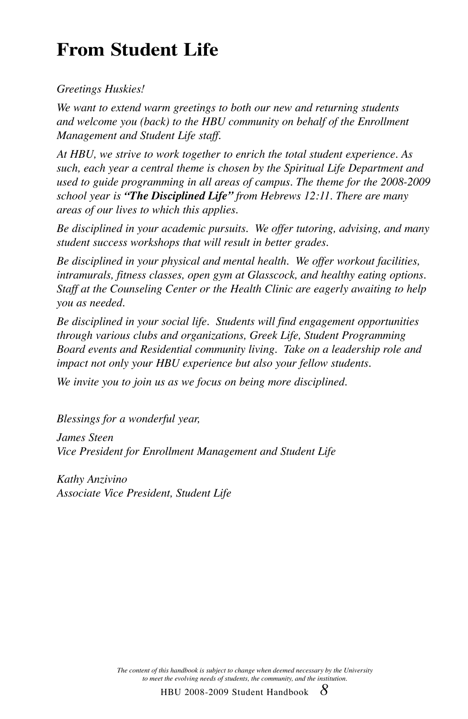## **From Student Life**

*Greetings Huskies!*

*We want to extend warm greetings to both our new and returning students and welcome you (back) to the HBU community on behalf of the Enrollment Management and Student Life staff.*

*At HBU, we strive to work together to enrich the total student experience. As such, each year a central theme is chosen by the Spiritual Life Department and used to guide programming in all areas of campus. The theme for the 2008-2009 school year is "The Disciplined Life" from Hebrews 12:11. There are many areas of our lives to which this applies.* 

*Be disciplined in your academic pursuits. We offer tutoring, advising, and many student success workshops that will result in better grades.* 

*Be disciplined in your physical and mental health. We offer workout facilities, intramurals, fitness classes, open gym at Glasscock, and healthy eating options. Staff at the Counseling Center or the Health Clinic are eagerly awaiting to help you as needed.*

*Be disciplined in your social life. Students will find engagement opportunities through various clubs and organizations, Greek Life, Student Programming Board events and Residential community living. Take on a leadership role and impact not only your HBU experience but also your fellow students.* 

*We invite you to join us as we focus on being more disciplined.* 

*Blessings for a wonderful year,*

*James Steen Vice President for Enrollment Management and Student Life*

*Kathy Anzivino Associate Vice President, Student Life*

> *The content of this handbook is subject to change when deemed necessary by the University to meet the evolving needs of students, the community, and the institution.*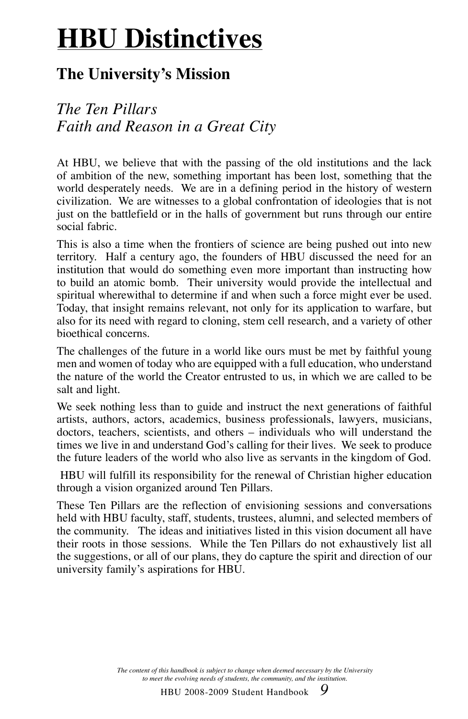# **HBU Distinctives**

#### **The University's Mission**

#### *The Ten Pillars Faith and Reason in a Great City*

At HBU, we believe that with the passing of the old institutions and the lack of ambition of the new, something important has been lost, something that the world desperately needs. We are in a defining period in the history of western civilization. We are witnesses to a global confrontation of ideologies that is not just on the battlefield or in the halls of government but runs through our entire social fabric.

This is also a time when the frontiers of science are being pushed out into new territory. Half a century ago, the founders of HBU discussed the need for an institution that would do something even more important than instructing how to build an atomic bomb. Their university would provide the intellectual and spiritual wherewithal to determine if and when such a force might ever be used. Today, that insight remains relevant, not only for its application to warfare, but also for its need with regard to cloning, stem cell research, and a variety of other bioethical concerns.

The challenges of the future in a world like ours must be met by faithful young men and women of today who are equipped with a full education, who understand the nature of the world the Creator entrusted to us, in which we are called to be salt and light.

We seek nothing less than to guide and instruct the next generations of faithful artists, authors, actors, academics, business professionals, lawyers, musicians, doctors, teachers, scientists, and others – individuals who will understand the times we live in and understand God's calling for their lives. We seek to produce the future leaders of the world who also live as servants in the kingdom of God.

 HBU will fulfill its responsibility for the renewal of Christian higher education through a vision organized around Ten Pillars.

These Ten Pillars are the reflection of envisioning sessions and conversations held with HBU faculty, staff, students, trustees, alumni, and selected members of the community. The ideas and initiatives listed in this vision document all have their roots in those sessions. While the Ten Pillars do not exhaustively list all the suggestions, or all of our plans, they do capture the spirit and direction of our university family's aspirations for HBU.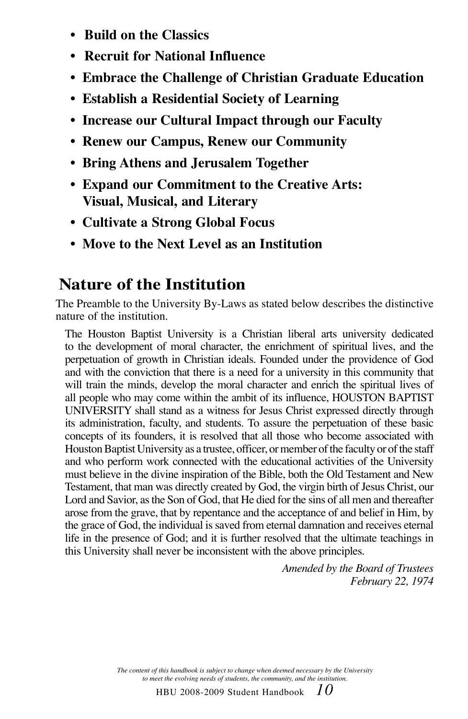- **• Build on the Classics**
- **Recruit for National Influence**
- **• Embrace the Challenge of Christian Graduate Education**
- **• Establish a Residential Society of Learning**
- **Increase our Cultural Impact through our Faculty**
- **Renew our Campus, Renew our Community**
- **• Bring Athens and Jerusalem Together**
- **• Expand our Commitment to the Creative Arts: Visual, Musical, and Literary**
- **Cultivate a Strong Global Focus**
- **Move to the Next Level as an Institution**

#### **Nature of the Institution**

The Preamble to the University By-Laws as stated below describes the distinctive nature of the institution.

The Houston Baptist University is a Christian liberal arts university dedicated to the development of moral character, the enrichment of spiritual lives, and the perpetuation of growth in Christian ideals. Founded under the providence of God and with the conviction that there is a need for a university in this community that will train the minds, develop the moral character and enrich the spiritual lives of all people who may come within the ambit of its influence, HOUSTON BAPTIST UNIVERSITY shall stand as a witness for Jesus Christ expressed directly through its administration, faculty, and students. To assure the perpetuation of these basic concepts of its founders, it is resolved that all those who become associated with Houston Baptist University as a trustee, officer, or member of the faculty or of the staff and who perform work connected with the educational activities of the University must believe in the divine inspiration of the Bible, both the Old Testament and New Testament, that man was directly created by God, the virgin birth of Jesus Christ, our Lord and Savior, as the Son of God, that He died for the sins of all men and thereafter arose from the grave, that by repentance and the acceptance of and belief in Him, by the grace of God, the individual is saved from eternal damnation and receives eternal life in the presence of God; and it is further resolved that the ultimate teachings in this University shall never be inconsistent with the above principles.

> *Amended by the Board of Trustees February 22, 1974*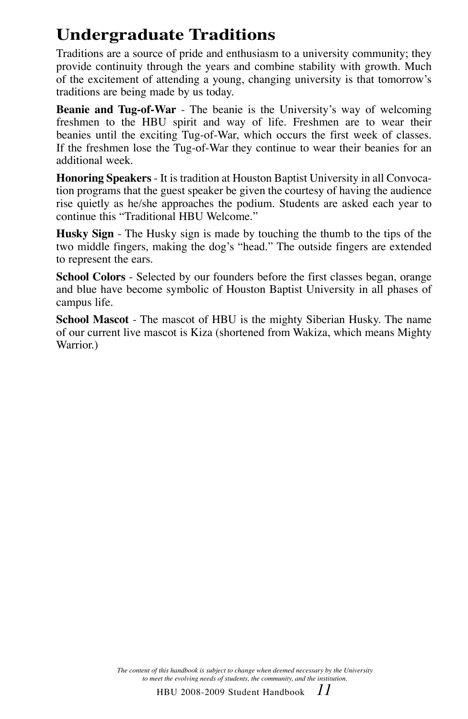### **Undergraduate Traditions**

Traditions are a source of pride and enthusiasm to a university community; they provide continuity through the years and combine stability with growth. Much of the excitement of attending a young, changing university is that tomorrow's traditions are being made by us today.

**Beanie and Tug-of-War** - The beanie is the University's way of welcoming freshmen to the HBU spirit and way of life. Freshmen are to wear their beanies until the exciting Tug-of-War, which occurs the first week of classes. If the freshmen lose the Tug-of-War they continue to wear their beanies for an additional week.

**Honoring Speakers** - It is tradition at Houston Baptist University in all Convocation programs that the guest speaker be given the courtesy of having the audience rise quietly as he/she approaches the podium. Students are asked each year to continue this "Traditional HBU Welcome."

**Husky Sign** - The Husky sign is made by touching the thumb to the tips of the two middle fingers, making the dog's "head." The outside fingers are extended to represent the ears.

**School Colors** - Selected by our founders before the first classes began, orange and blue have become symbolic of Houston Baptist University in all phases of campus life.

**School Mascot** - The mascot of HBU is the mighty Siberian Husky. The name of our current live mascot is Kiza (shortened from Wakiza, which means Mighty Warrior.)

> *The content of this handbook is subject to change when deemed necessary by the University to meet the evolving needs of students, the community, and the institution.*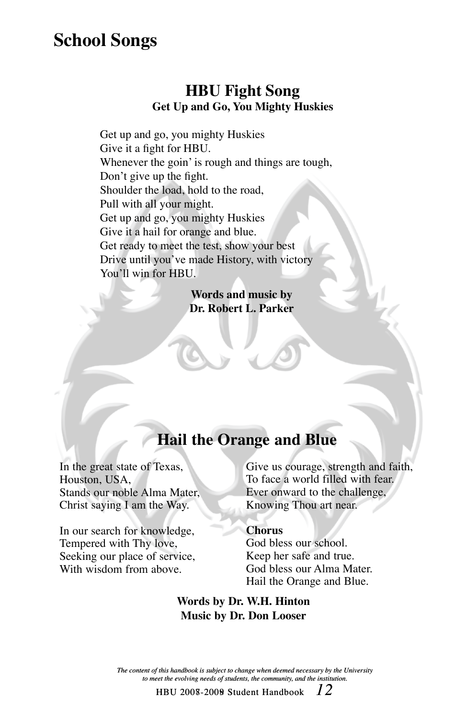### **School Songs**

#### **HBU Fight Song Get Up and Go, You Mighty Huskies**

Get up and go, you mighty Huskies Give it a fight for HBU. Whenever the goin' is rough and things are tough, Don't give up the fight. Shoulder the load, hold to the road, Pull with all your might. Get up and go, you mighty Huskies Give it a hail for orange and blue. Get ready to meet the test, show your best Drive until you've made History, with victory You'll win for HBU.

> **Words and music by Dr. Robert L. Parker**

#### **Hail the Orange and Blue**

In the great state of Texas, Houston, USA, Stands our noble Alma Mater, Christ saying I am the Way.

In our search for knowledge, Tempered with Thy love, Seeking our place of service, With wisdom from above.

Give us courage, strength and faith, To face a world filled with fear. Ever onward to the challenge, Knowing Thou art near.

#### **Chorus**

God bless our school. Keep her safe and true. God bless our Alma Mater. Hail the Orange and Blue.

#### **Words by Dr. W.H. Hinton Music by Dr. Don Looser**

*The content of this handbook is subject to change when deemed necessary by the University to meet the evolving needs of students, the community, and the institution.*

<code>HBU 2008-2009</code> Student Handbook  $\;\;12$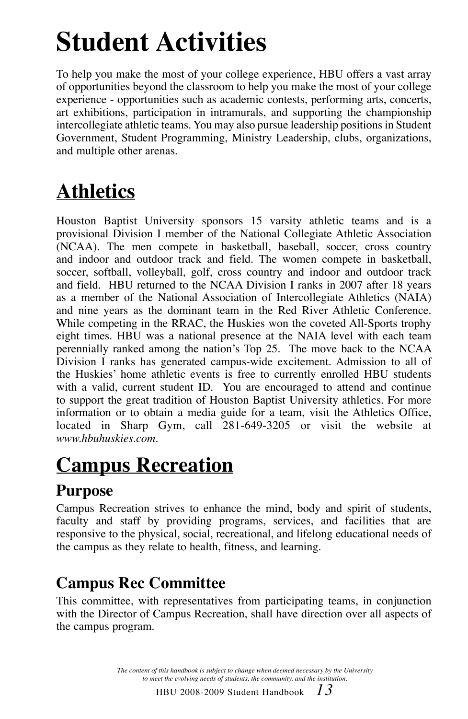# **Student Activities**

To help you make the most of your college experience, HBU offers a vast array of opportunities beyond the classroom to help you make the most of your college experience - opportunities such as academic contests, performing arts, concerts, art exhibitions, participation in intramurals, and supporting the championship intercollegiate athletic teams. You may also pursue leadership positions in Student Government, Student Programming, Ministry Leadership, clubs, organizations, and multiple other arenas.

## **Athletics**

Houston Baptist University sponsors 15 varsity athletic teams and is a provisional Division I member of the National Collegiate Athletic Association (NCAA). The men compete in basketball, baseball, soccer, cross country and indoor and outdoor track and field. The women compete in basketball, soccer, softball, volleyball, golf, cross country and indoor and outdoor track and field. HBU returned to the NCAA Division I ranks in 2007 after 18 years as a member of the National Association of Intercollegiate Athletics (NAIA) and nine years as the dominant team in the Red River Athletic Conference. While competing in the RRAC, the Huskies won the coveted All-Sports trophy eight times. HBU was a national presence at the NAIA level with each team perennially ranked among the nation's Top 25. The move back to the NCAA Division I ranks has generated campus-wide excitement. Admission to all of the Huskies' home athletic events is free to currently enrolled HBU students with a valid, current student ID. You are encouraged to attend and continue to support the great tradition of Houston Baptist University athletics. For more information or to obtain a media guide for a team, visit the Athletics Office, located in Sharp Gym, call 281-649-3205 or visit the website at *www.hbuhuskies.com*.

## **Campus Recreation**

#### **Purpose**

Campus Recreation strives to enhance the mind, body and spirit of students, faculty and staff by providing programs, services, and facilities that are responsive to the physical, social, recreational, and lifelong educational needs of the campus as they relate to health, fitness, and learning.

### **Campus Rec Committee**

This committee, with representatives from participating teams, in conjunction with the Director of Campus Recreation, shall have direction over all aspects of the campus program.

> *The content of this handbook is subject to change when deemed necessary by the University to meet the evolving needs of students, the community, and the institution.*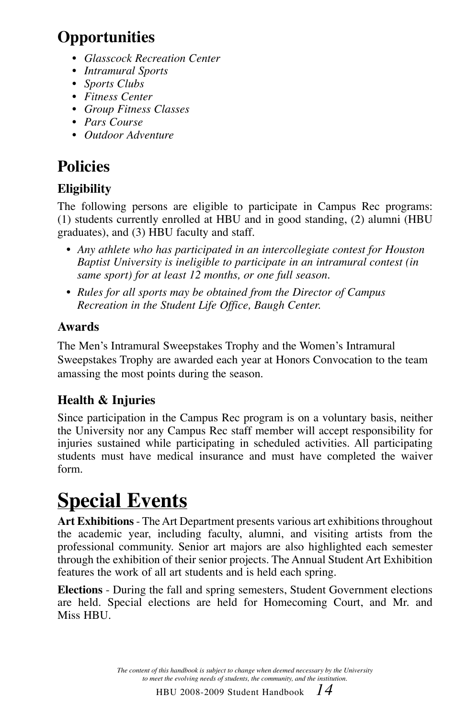### **Opportunities**

- *Glasscock Recreation Center*
- *Intramural Sports*
- *Sports Clubs*
- *Fitness Center*
- *Group Fitness Classes*
- *Pars Course*
- *Outdoor Adventure*

### **Policies**

#### **Eligibility**

The following persons are eligible to participate in Campus Rec programs: (1) students currently enrolled at HBU and in good standing, (2) alumni (HBU graduates), and (3) HBU faculty and staff.

- *• Any athlete who has participated in an intercollegiate contest for Houston Baptist University is ineligible to participate in an intramural contest (in same sport) for at least 12 months, or one full season.*
- *• Rules for all sports may be obtained from the Director of Campus Recreation in the Student Life Office, Baugh Center.*

#### **Awards**

The Men's Intramural Sweepstakes Trophy and the Women's Intramural Sweepstakes Trophy are awarded each year at Honors Convocation to the team amassing the most points during the season.

#### **Health & Injuries**

Since participation in the Campus Rec program is on a voluntary basis, neither the University nor any Campus Rec staff member will accept responsibility for injuries sustained while participating in scheduled activities. All participating students must have medical insurance and must have completed the waiver form.

## **Special Events**

**Art Exhibitions** - The Art Department presents various art exhibitions throughout the academic year, including faculty, alumni, and visiting artists from the professional community. Senior art majors are also highlighted each semester through the exhibition of their senior projects. The Annual Student Art Exhibition features the work of all art students and is held each spring.

**Elections** - During the fall and spring semesters, Student Government elections are held. Special elections are held for Homecoming Court, and Mr. and Miss HBU.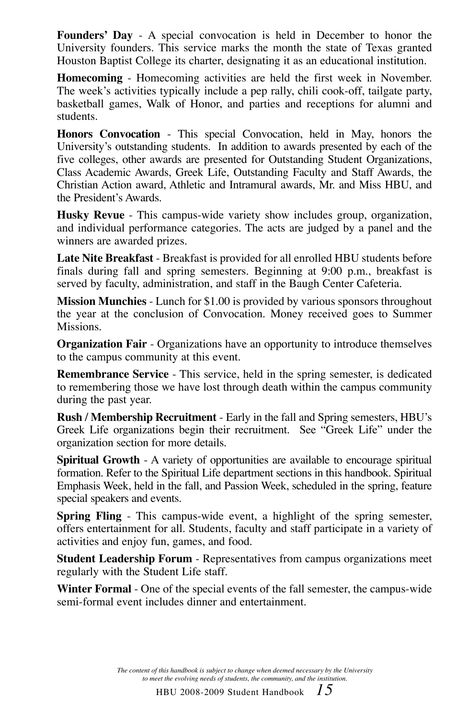**Founders' Day** - A special convocation is held in December to honor the University founders. This service marks the month the state of Texas granted Houston Baptist College its charter, designating it as an educational institution.

**Homecoming** - Homecoming activities are held the first week in November. The week's activities typically include a pep rally, chili cook-off, tailgate party, basketball games, Walk of Honor, and parties and receptions for alumni and students.

**Honors Convocation** - This special Convocation, held in May, honors the University's outstanding students. In addition to awards presented by each of the five colleges, other awards are presented for Outstanding Student Organizations, Class Academic Awards, Greek Life, Outstanding Faculty and Staff Awards, the Christian Action award, Athletic and Intramural awards, Mr. and Miss HBU, and the President's Awards.

**Husky Revue** - This campus-wide variety show includes group, organization, and individual performance categories. The acts are judged by a panel and the winners are awarded prizes.

**Late Nite Breakfast** - Breakfast is provided for all enrolled HBU students before finals during fall and spring semesters. Beginning at 9:00 p.m., breakfast is served by faculty, administration, and staff in the Baugh Center Cafeteria.

**Mission Munchies** - Lunch for \$1.00 is provided by various sponsors throughout the year at the conclusion of Convocation. Money received goes to Summer Missions.

**Organization Fair** - Organizations have an opportunity to introduce themselves to the campus community at this event.

**Remembrance Service** - This service, held in the spring semester, is dedicated to remembering those we have lost through death within the campus community during the past year.

**Rush / Membership Recruitment** - Early in the fall and Spring semesters, HBU's Greek Life organizations begin their recruitment. See "Greek Life" under the organization section for more details.

**Spiritual Growth** - A variety of opportunities are available to encourage spiritual formation. Refer to the Spiritual Life department sections in this handbook. Spiritual Emphasis Week, held in the fall, and Passion Week, scheduled in the spring, feature special speakers and events.

**Spring Fling** - This campus-wide event, a highlight of the spring semester, offers entertainment for all. Students, faculty and staff participate in a variety of activities and enjoy fun, games, and food.

**Student Leadership Forum** - Representatives from campus organizations meet regularly with the Student Life staff.

**Winter Formal** - One of the special events of the fall semester, the campus-wide semi-formal event includes dinner and entertainment.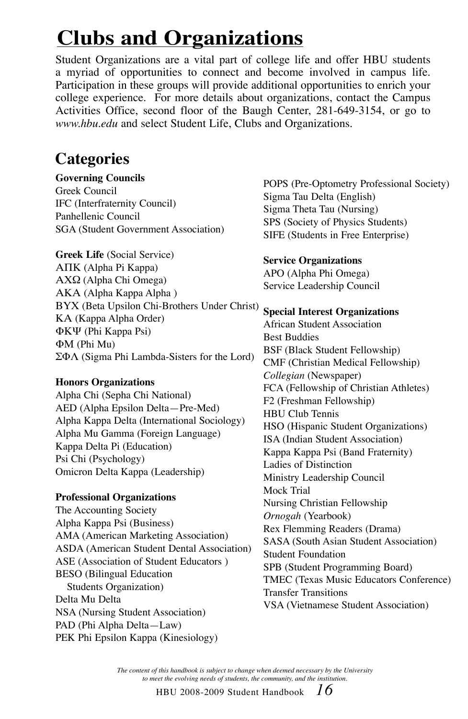## **Clubs and Organizations**

Student Organizations are a vital part of college life and offer HBU students a myriad of opportunities to connect and become involved in campus life. Participation in these groups will provide additional opportunities to enrich your college experience. For more details about organizations, contact the Campus Activities Office, second floor of the Baugh Center, 281-649-3154, or go to *www.hbu.edu* and select Student Life, Clubs and Organizations.

#### **Categories**

**Governing Councils** Greek Council IFC (Interfraternity Council) Panhellenic Council SGA (Student Government Association)

**Greek Life** (Social Service) ΑΠΚ (Alpha Pi Kappa) ΑΧΩ (Alpha Chi Omega) ΑΚΑ (Alpha Kappa Alpha ) ΒΥΧ (Beta Upsilon Chi-Brothers Under Christ) ΚΑ (Kappa Alpha Order) ΦΚΨ (Phi Kappa Psi) ΦΜ (Phi Mu) ΣΦΛ (Sigma Phi Lambda-Sisters for the Lord)

#### **Honors Organizations**

Alpha Chi (Sepha Chi National) AED (Alpha Epsilon Delta—Pre-Med) Alpha Kappa Delta (International Sociology) Alpha Mu Gamma (Foreign Language) Kappa Delta Pi (Education) Psi Chi (Psychology) Omicron Delta Kappa (Leadership)

#### **Professional Organizations**

The Accounting Society Alpha Kappa Psi (Business) AMA (American Marketing Association) ASDA (American Student Dental Association) ASE (Association of Student Educators ) BESO (Bilingual Education Students Organization) Delta Mu Delta NSA (Nursing Student Association) PAD (Phi Alpha Delta—Law) PEK Phi Epsilon Kappa (Kinesiology)

POPS (Pre-Optometry Professional Society) Sigma Tau Delta (English) Sigma Theta Tau (Nursing) SPS (Society of Physics Students) SIFE (Students in Free Enterprise)

#### **Service Organizations**

APO (Alpha Phi Omega) Service Leadership Council

#### **Special Interest Organizations** African Student Association

Best Buddies BSF (Black Student Fellowship) CMF (Christian Medical Fellowship) *Collegian* (Newspaper) FCA (Fellowship of Christian Athletes) F2 (Freshman Fellowship) HBU Club Tennis HSO (Hispanic Student Organizations) ISA (Indian Student Association) Kappa Kappa Psi (Band Fraternity) Ladies of Distinction Ministry Leadership Council Mock Trial Nursing Christian Fellowship *Ornogah* (Yearbook) Rex Flemming Readers (Drama) SASA (South Asian Student Association) Student Foundation SPB (Student Programming Board) TMEC (Texas Music Educators Conference) Transfer Transitions VSA (Vietnamese Student Association)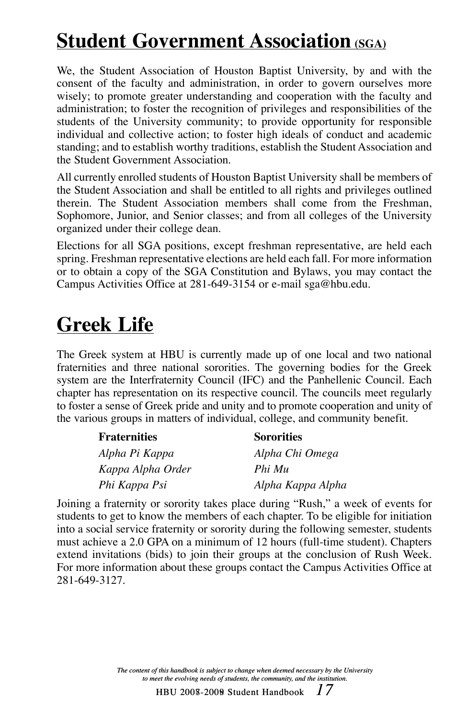## **Student Government Association (SGA)**

We, the Student Association of Houston Baptist University, by and with the consent of the faculty and administration, in order to govern ourselves more wisely; to promote greater understanding and cooperation with the faculty and administration; to foster the recognition of privileges and responsibilities of the students of the University community; to provide opportunity for responsible individual and collective action; to foster high ideals of conduct and academic standing; and to establish worthy traditions, establish the Student Association and the Student Government Association.

All currently enrolled students of Houston Baptist University shall be members of the Student Association and shall be entitled to all rights and privileges outlined therein. The Student Association members shall come from the Freshman, Sophomore, Junior, and Senior classes; and from all colleges of the University organized under their college dean.

Elections for all SGA positions, except freshman representative, are held each spring. Freshman representative elections are held each fall. For more information or to obtain a copy of the SGA Constitution and Bylaws, you may contact the Campus Activities Office at 281-649-3154 or e-mail sga@hbu.edu.

## **Greek Life**

The Greek system at HBU is currently made up of one local and two national fraternities and three national sororities. The governing bodies for the Greek system are the Interfraternity Council (IFC) and the Panhellenic Council. Each chapter has representation on its respective council. The councils meet regularly to foster a sense of Greek pride and unity and to promote cooperation and unity of the various groups in matters of individual, college, and community benefit.

| <b>Fraternities</b> | <b>Sororities</b> |
|---------------------|-------------------|
| Alpha Pi Kappa      | Alpha Chi Omega   |
| Kappa Alpha Order   | Phi Mu            |
| Phi Kappa Psi       | Alpha Kappa Alpha |

Joining a fraternity or sorority takes place during "Rush," a week of events for students to get to know the members of each chapter. To be eligible for initiation into a social service fraternity or sorority during the following semester, students must achieve a 2.0 GPA on a minimum of 12 hours (full-time student). Chapters extend invitations (bids) to join their groups at the conclusion of Rush Week. For more information about these groups contact the Campus Activities Office at 281-649-3127.

> *The content of this handbook is subject to change when deemed necessary by the University to meet the evolving needs of students, the community, and the institution.*

> > HBU 2008-2009 Student Handbook *17* 2007-2008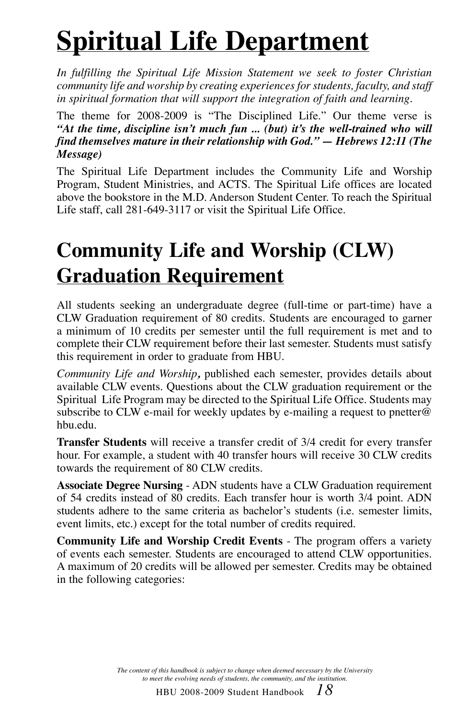# **Spiritual Life Department**

*In fulfilling the Spiritual Life Mission Statement we seek to foster Christian community life and worship by creating experiences for students, faculty, and staff in spiritual formation that will support the integration of faith and learning.*

The theme for 2008-2009 is "The Disciplined Life." Our theme verse is *"At the time, discipline isn't much fun ... (but) it's the well-trained who will find themselves mature in their relationship with God." — Hebrews 12:11 (The Message)* 

The Spiritual Life Department includes the Community Life and Worship Program, Student Ministries, and ACTS. The Spiritual Life offices are located above the bookstore in the M.D. Anderson Student Center. To reach the Spiritual Life staff, call 281-649-3117 or visit the Spiritual Life Office.

## **Community Life and Worship (CLW) Graduation Requirement**

All students seeking an undergraduate degree (full-time or part-time) have a CLW Graduation requirement of 80 credits. Students are encouraged to garner a minimum of 10 credits per semester until the full requirement is met and to complete their CLW requirement before their last semester. Students must satisfy this requirement in order to graduate from HBU.

*Community Life and Worship,* published each semester, provides details about available CLW events. Questions about the CLW graduation requirement or the Spiritual Life Program may be directed to the Spiritual Life Office. Students may subscribe to CLW e-mail for weekly updates by e-mailing a request to pnetter@ hbu.edu.

**Transfer Students** will receive a transfer credit of 3/4 credit for every transfer hour. For example, a student with 40 transfer hours will receive 30 CLW credits towards the requirement of 80 CLW credits.

**Associate Degree Nursing** - ADN students have a CLW Graduation requirement of 54 credits instead of 80 credits. Each transfer hour is worth 3/4 point. ADN students adhere to the same criteria as bachelor's students (i.e. semester limits, event limits, etc.) except for the total number of credits required.

**Community Life and Worship Credit Events** - The program offers a variety of events each semester. Students are encouraged to attend CLW opportunities. A maximum of 20 credits will be allowed per semester. Credits may be obtained in the following categories: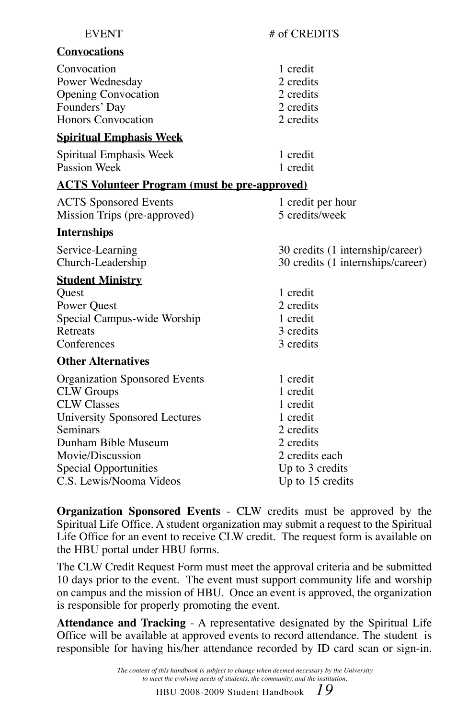| <b>EVENT</b>                                                                                                                                                                   | # of CREDITS                                                                             |
|--------------------------------------------------------------------------------------------------------------------------------------------------------------------------------|------------------------------------------------------------------------------------------|
| <b>Convocations</b>                                                                                                                                                            |                                                                                          |
| Convocation<br>Power Wednesday<br><b>Opening Convocation</b><br>Founders' Day<br>Honors Convocation                                                                            | 1 credit<br>2 credits<br>2 credits<br>2 credits<br>2 credits                             |
| <b>Spiritual Emphasis Week</b>                                                                                                                                                 |                                                                                          |
| Spiritual Emphasis Week<br>Passion Week                                                                                                                                        | 1 credit<br>1 credit                                                                     |
| <u><b>ACTS Volunteer Program (must be pre-approved)</b></u>                                                                                                                    |                                                                                          |
| <b>ACTS</b> Sponsored Events<br>Mission Trips (pre-approved)                                                                                                                   | 1 credit per hour<br>5 credits/week                                                      |
| <b>Internships</b>                                                                                                                                                             |                                                                                          |
| Service-Learning<br>Church-Leadership                                                                                                                                          | 30 credits (1 internship/career)<br>30 credits (1 internships/career)                    |
| <b>Student Ministry</b><br>Quest<br>Power Quest<br>Special Campus-wide Worship<br>Retreats<br>Conferences                                                                      | 1 credit<br>2 credits<br>1 credit<br>3 credits<br>3 credits                              |
| <b>Other Alternatives</b>                                                                                                                                                      |                                                                                          |
| <b>Organization Sponsored Events</b><br><b>CLW</b> Groups<br><b>CLW Classes</b><br><b>University Sponsored Lectures</b><br>Seminars<br>Dunham Bible Museum<br>Movie/Discussion | 1 credit<br>1 credit<br>1 credit<br>1 credit<br>2 credits<br>2 credits<br>2 credits each |
| Special Opportunities                                                                                                                                                          | Up to 3 credits                                                                          |

**Organization Sponsored Events** - CLW credits must be approved by the Spiritual Life Office. A student organization may submit a request to the Spiritual Life Office for an event to receive CLW credit. The request form is available on the HBU portal under HBU forms.

C.S. Lewis/Nooma Videos Up to 15 credits

The CLW Credit Request Form must meet the approval criteria and be submitted 10 days prior to the event. The event must support community life and worship on campus and the mission of HBU. Once an event is approved, the organization is responsible for properly promoting the event.

**Attendance and Tracking** - A representative designated by the Spiritual Life Office will be available at approved events to record attendance. The student is responsible for having his/her attendance recorded by ID card scan or sign-in.

> *The content of this handbook is subject to change when deemed necessary by the University to meet the evolving needs of students, the community, and the institution.*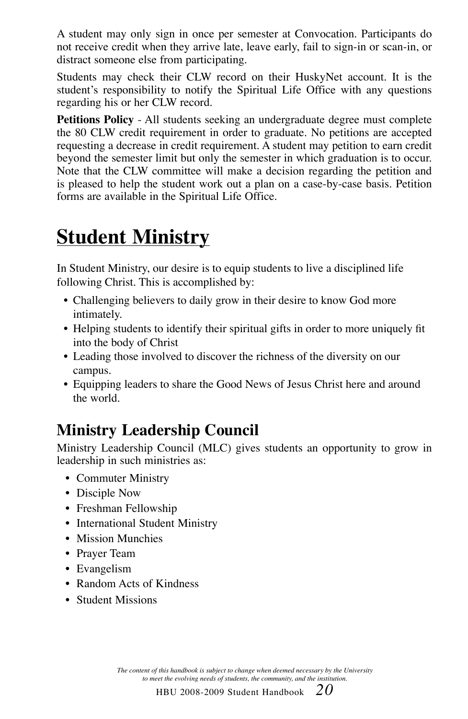A student may only sign in once per semester at Convocation. Participants do not receive credit when they arrive late, leave early, fail to sign-in or scan-in, or distract someone else from participating.

Students may check their CLW record on their HuskyNet account. It is the student's responsibility to notify the Spiritual Life Office with any questions regarding his or her CLW record.

**Petitions Policy** - All students seeking an undergraduate degree must complete the 80 CLW credit requirement in order to graduate. No petitions are accepted requesting a decrease in credit requirement. A student may petition to earn credit beyond the semester limit but only the semester in which graduation is to occur. Note that the CLW committee will make a decision regarding the petition and is pleased to help the student work out a plan on a case-by-case basis. Petition forms are available in the Spiritual Life Office.

## **Student Ministry**

In Student Ministry, our desire is to equip students to live a disciplined life following Christ. This is accomplished by:

- Challenging believers to daily grow in their desire to know God more intimately.
- Helping students to identify their spiritual gifts in order to more uniquely fit into the body of Christ
- Leading those involved to discover the richness of the diversity on our campus.
- Equipping leaders to share the Good News of Jesus Christ here and around the world.

### **Ministry Leadership Council**

Ministry Leadership Council (MLC) gives students an opportunity to grow in leadership in such ministries as:

- Commuter Ministry
- Disciple Now
- Freshman Fellowship
- International Student Ministry
- Mission Munchies
- Prayer Team
- Evangelism
- Random Acts of Kindness
- Student Missions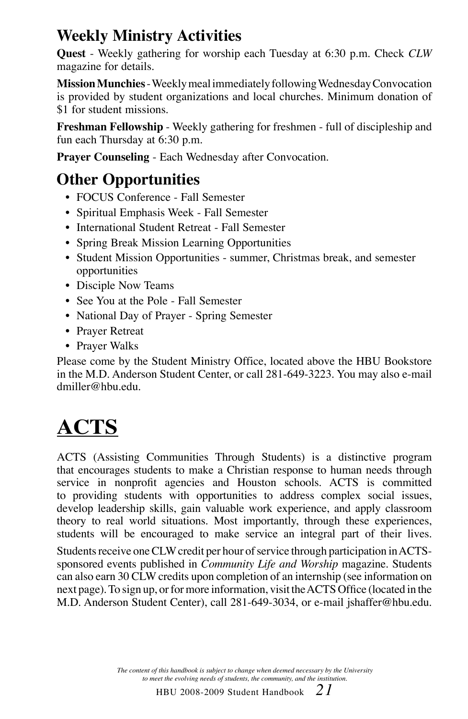### **Weekly Ministry Activities**

**Quest** - Weekly gathering for worship each Tuesday at 6:30 p.m. Check *CLW*  magazine for details.

**Mission Munchies** - Weekly meal immediately following Wednesday Convocation is provided by student organizations and local churches. Minimum donation of \$1 for student missions.

**Freshman Fellowship** - Weekly gathering for freshmen - full of discipleship and fun each Thursday at 6:30 p.m.

**Prayer Counseling** - Each Wednesday after Convocation.

### **Other Opportunities**

- FOCUS Conference Fall Semester
- Spiritual Emphasis Week Fall Semester
- International Student Retreat Fall Semester
- Spring Break Mission Learning Opportunities
- Student Mission Opportunities summer, Christmas break, and semester opportunities
- Disciple Now Teams
- See You at the Pole Fall Semester
- National Day of Prayer Spring Semester
- Prayer Retreat
- Prayer Walks

Please come by the Student Ministry Office, located above the HBU Bookstore in the M.D. Anderson Student Center, or call 281-649-3223. You may also e-mail dmiller@hbu.edu.

## **ACTS**

ACTS (Assisting Communities Through Students) is a distinctive program that encourages students to make a Christian response to human needs through service in nonprofit agencies and Houston schools. ACTS is committed to providing students with opportunities to address complex social issues, develop leadership skills, gain valuable work experience, and apply classroom theory to real world situations. Most importantly, through these experiences, students will be encouraged to make service an integral part of their lives.

Students receive one CLW credit per hour of service through participation in ACTSsponsored events published in *Community Life and Worship* magazine. Students can also earn 30 CLW credits upon completion of an internship (see information on next page). To sign up, or for more information, visit the ACTS Office (located in the M.D. Anderson Student Center), call 281-649-3034, or e-mail jshaffer@hbu.edu.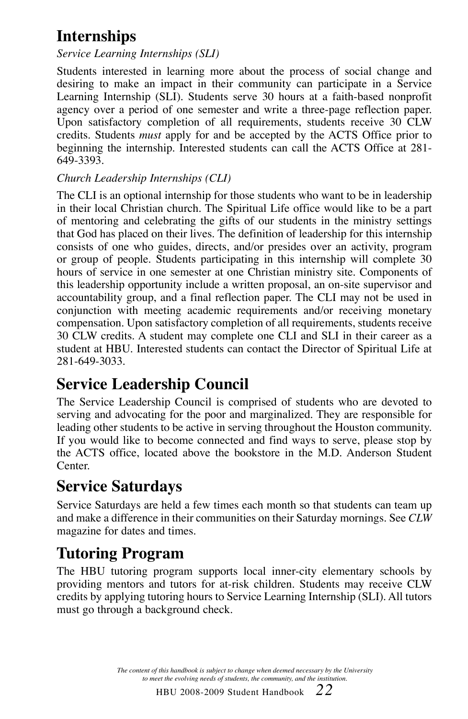### **Internships**

#### *Service Learning Internships (SLI)*

Students interested in learning more about the process of social change and desiring to make an impact in their community can participate in a Service Learning Internship (SLI). Students serve 30 hours at a faith-based nonprofit agency over a period of one semester and write a three-page reflection paper. Upon satisfactory completion of all requirements, students receive 30 CLW credits. Students *must* apply for and be accepted by the ACTS Office prior to beginning the internship. Interested students can call the ACTS Office at 281- 649-3393.

#### *Church Leadership Internships (CLI)*

The CLI is an optional internship for those students who want to be in leadership in their local Christian church. The Spiritual Life office would like to be a part of mentoring and celebrating the gifts of our students in the ministry settings that God has placed on their lives. The definition of leadership for this internship consists of one who guides, directs, and/or presides over an activity, program or group of people. Students participating in this internship will complete 30 hours of service in one semester at one Christian ministry site. Components of this leadership opportunity include a written proposal, an on-site supervisor and accountability group, and a final reflection paper. The CLI may not be used in conjunction with meeting academic requirements and/or receiving monetary compensation. Upon satisfactory completion of all requirements, students receive 30 CLW credits. A student may complete one CLI and SLI in their career as a student at HBU. Interested students can contact the Director of Spiritual Life at 281-649-3033.

### **Service Leadership Council**

The Service Leadership Council is comprised of students who are devoted to serving and advocating for the poor and marginalized. They are responsible for leading other students to be active in serving throughout the Houston community. If you would like to become connected and find ways to serve, please stop by the ACTS office, located above the bookstore in the M.D. Anderson Student Center.

### **Service Saturdays**

Service Saturdays are held a few times each month so that students can team up and make a difference in their communities on their Saturday mornings. See *CLW*  magazine for dates and times.

#### **Tutoring Program**

The HBU tutoring program supports local inner-city elementary schools by providing mentors and tutors for at-risk children. Students may receive CLW credits by applying tutoring hours to Service Learning Internship (SLI). All tutors must go through a background check.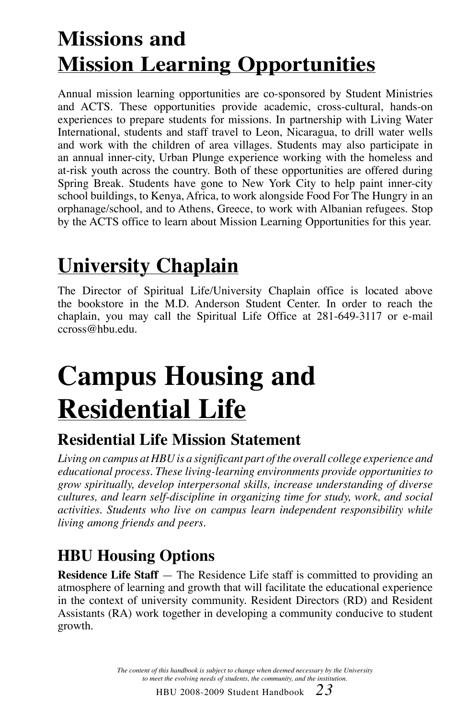## **Missions and Mission Learning Opportunities**

Annual mission learning opportunities are co-sponsored by Student Ministries and ACTS. These opportunities provide academic, cross-cultural, hands-on experiences to prepare students for missions. In partnership with Living Water International, students and staff travel to Leon, Nicaragua, to drill water wells and work with the children of area villages. Students may also participate in an annual inner-city, Urban Plunge experience working with the homeless and at-risk youth across the country. Both of these opportunities are offered during Spring Break. Students have gone to New York City to help paint inner-city school buildings, to Kenya, Africa, to work alongside Food For The Hungry in an orphanage/school, and to Athens, Greece, to work with Albanian refugees. Stop by the ACTS office to learn about Mission Learning Opportunities for this year.

## **University Chaplain**

The Director of Spiritual Life/University Chaplain office is located above the bookstore in the M.D. Anderson Student Center. In order to reach the chaplain, you may call the Spiritual Life Office at 281-649-3117 or e-mail ccross@hbu.edu.

# **Campus Housing and Residential Life**

### **Residential Life Mission Statement**

*Living on campus at HBU is a significant part of the overall college experience and educational process. These living-learning environments provide opportunities to grow spiritually, develop interpersonal skills, increase understanding of diverse cultures, and learn self-discipline in organizing time for study, work, and social activities. Students who live on campus learn independent responsibility while living among friends and peers.*

### **HBU Housing Options**

**Residence Life Staff** — The Residence Life staff is committed to providing an atmosphere of learning and growth that will facilitate the educational experience in the context of university community. Resident Directors (RD) and Resident Assistants (RA) work together in developing a community conducive to student growth.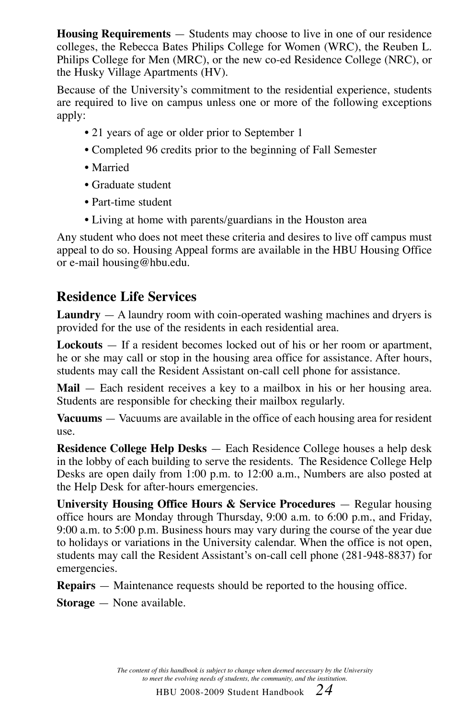**Housing Requirements** — Students may choose to live in one of our residence colleges, the Rebecca Bates Philips College for Women (WRC), the Reuben L. Philips College for Men (MRC), or the new co-ed Residence College (NRC), or the Husky Village Apartments (HV).

Because of the University's commitment to the residential experience, students are required to live on campus unless one or more of the following exceptions apply:

- 21 years of age or older prior to September 1
- Completed 96 credits prior to the beginning of Fall Semester
- Married
- Graduate student
- Part-time student
- Living at home with parents/guardians in the Houston area

Any student who does not meet these criteria and desires to live off campus must appeal to do so. Housing Appeal forms are available in the HBU Housing Office or e-mail housing@hbu.edu.

#### **Residence Life Services**

**Laundry** — A laundry room with coin-operated washing machines and dryers is provided for the use of the residents in each residential area.

**Lockouts** — If a resident becomes locked out of his or her room or apartment, he or she may call or stop in the housing area office for assistance. After hours, students may call the Resident Assistant on-call cell phone for assistance.

**Mail** — Each resident receives a key to a mailbox in his or her housing area. Students are responsible for checking their mailbox regularly.

**Vacuums** — Vacuums are available in the office of each housing area for resident use.

**Residence College Help Desks** — Each Residence College houses a help desk in the lobby of each building to serve the residents. The Residence College Help Desks are open daily from 1:00 p.m. to 12:00 a.m., Numbers are also posted at the Help Desk for after-hours emergencies.

**University Housing Office Hours & Service Procedures** — Regular housing office hours are Monday through Thursday, 9:00 a.m. to 6:00 p.m., and Friday, 9:00 a.m. to 5:00 p.m. Business hours may vary during the course of the year due to holidays or variations in the University calendar. When the office is not open, students may call the Resident Assistant's on-call cell phone (281-948-8837) for emergencies.

**Repairs** — Maintenance requests should be reported to the housing office.

**Storage** — None available.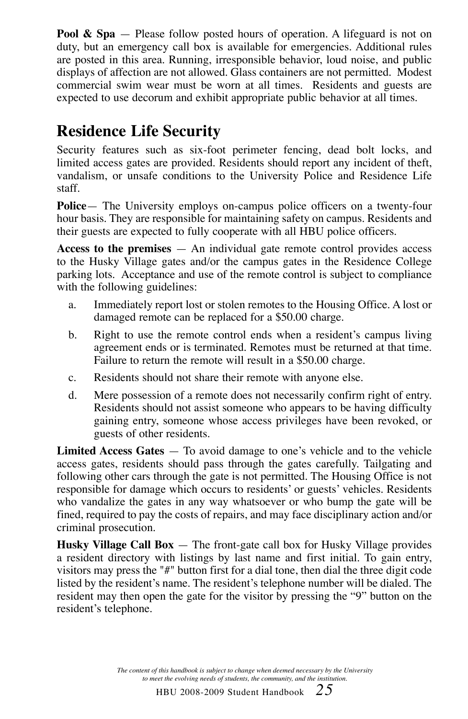**Pool & Spa** — Please follow posted hours of operation. A lifeguard is not on duty, but an emergency call box is available for emergencies. Additional rules are posted in this area. Running, irresponsible behavior, loud noise, and public displays of affection are not allowed. Glass containers are not permitted. Modest commercial swim wear must be worn at all times. Residents and guests are expected to use decorum and exhibit appropriate public behavior at all times.

### **Residence Life Security**

Security features such as six-foot perimeter fencing, dead bolt locks, and limited access gates are provided. Residents should report any incident of theft, vandalism, or unsafe conditions to the University Police and Residence Life staff.

**Police**— The University employs on-campus police officers on a twenty-four hour basis. They are responsible for maintaining safety on campus. Residents and their guests are expected to fully cooperate with all HBU police officers.

**Access to the premises** — An individual gate remote control provides access to the Husky Village gates and/or the campus gates in the Residence College parking lots. Acceptance and use of the remote control is subject to compliance with the following guidelines:

- a. Immediately report lost or stolen remotes to the Housing Office. A lost or damaged remote can be replaced for a \$50.00 charge.
- b. Right to use the remote control ends when a resident's campus living agreement ends or is terminated. Remotes must be returned at that time. Failure to return the remote will result in a \$50.00 charge.
- c. Residents should not share their remote with anyone else.
- d. Mere possession of a remote does not necessarily confirm right of entry. Residents should not assist someone who appears to be having difficulty gaining entry, someone whose access privileges have been revoked, or guests of other residents.

**Limited Access Gates** — To avoid damage to one's vehicle and to the vehicle access gates, residents should pass through the gates carefully. Tailgating and following other cars through the gate is not permitted. The Housing Office is not responsible for damage which occurs to residents' or guests' vehicles. Residents who vandalize the gates in any way whatsoever or who bump the gate will be fined, required to pay the costs of repairs, and may face disciplinary action and/or criminal prosecution.

**Husky Village Call Box** — The front-gate call box for Husky Village provides a resident directory with listings by last name and first initial. To gain entry, visitors may press the "#" button first for a dial tone, then dial the three digit code listed by the resident's name. The resident's telephone number will be dialed. The resident may then open the gate for the visitor by pressing the "9" button on the resident's telephone.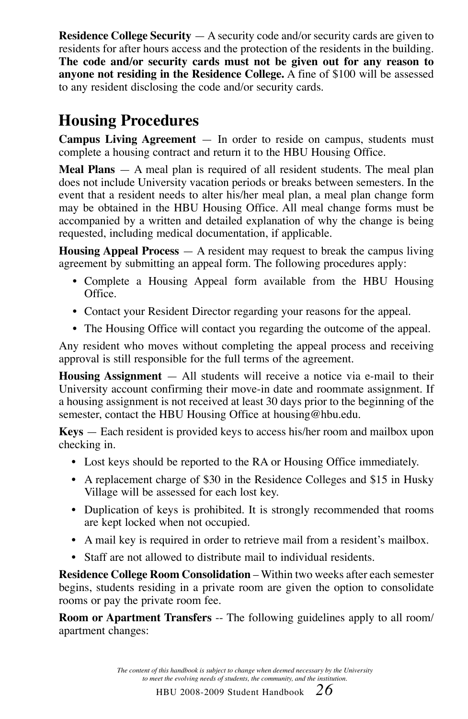**Residence College Security** — A security code and/or security cards are given to residents for after hours access and the protection of the residents in the building. **The code and/or security cards must not be given out for any reason to anyone not residing in the Residence College.** A fine of \$100 will be assessed to any resident disclosing the code and/or security cards.

### **Housing Procedures**

**Campus Living Agreement** — In order to reside on campus, students must complete a housing contract and return it to the HBU Housing Office.

**Meal Plans** — A meal plan is required of all resident students. The meal plan does not include University vacation periods or breaks between semesters. In the event that a resident needs to alter his/her meal plan, a meal plan change form may be obtained in the HBU Housing Office. All meal change forms must be accompanied by a written and detailed explanation of why the change is being requested, including medical documentation, if applicable.

**Housing Appeal Process** — A resident may request to break the campus living agreement by submitting an appeal form. The following procedures apply:

- Complete a Housing Appeal form available from the HBU Housing Office.
- Contact your Resident Director regarding your reasons for the appeal.
- The Housing Office will contact you regarding the outcome of the appeal.

Any resident who moves without completing the appeal process and receiving approval is still responsible for the full terms of the agreement.

**Housing Assignment** — All students will receive a notice via e-mail to their University account confirming their move-in date and roommate assignment. If a housing assignment is not received at least 30 days prior to the beginning of the semester, contact the HBU Housing Office at housing@hbu.edu.

**Keys** — Each resident is provided keys to access his/her room and mailbox upon checking in.

- Lost keys should be reported to the RA or Housing Office immediately.
- A replacement charge of \$30 in the Residence Colleges and \$15 in Husky Village will be assessed for each lost key.
- Duplication of keys is prohibited. It is strongly recommended that rooms are kept locked when not occupied.
- A mail key is required in order to retrieve mail from a resident's mailbox.
- Staff are not allowed to distribute mail to individual residents.

**Residence College Room Consolidation** – Within two weeks after each semester begins, students residing in a private room are given the option to consolidate rooms or pay the private room fee.

**Room or Apartment Transfers** -- The following guidelines apply to all room/ apartment changes: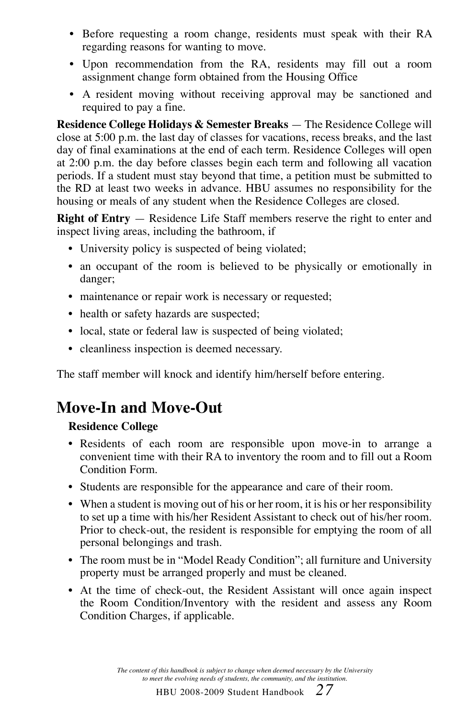- Before requesting a room change, residents must speak with their RA regarding reasons for wanting to move.
- Upon recommendation from the RA, residents may fill out a room assignment change form obtained from the Housing Office
- A resident moving without receiving approval may be sanctioned and required to pay a fine.

**Residence College Holidays & Semester Breaks** — The Residence College will close at 5:00 p.m. the last day of classes for vacations, recess breaks, and the last day of final examinations at the end of each term. Residence Colleges will open at 2:00 p.m. the day before classes begin each term and following all vacation periods. If a student must stay beyond that time, a petition must be submitted to the RD at least two weeks in advance. HBU assumes no responsibility for the housing or meals of any student when the Residence Colleges are closed.

**Right of Entry** — Residence Life Staff members reserve the right to enter and inspect living areas, including the bathroom, if

- University policy is suspected of being violated;
- an occupant of the room is believed to be physically or emotionally in danger;
- maintenance or repair work is necessary or requested;
- health or safety hazards are suspected;
- local, state or federal law is suspected of being violated;
- cleanliness inspection is deemed necessary.

The staff member will knock and identify him/herself before entering.

#### **Move-In and Move-Out**

#### **Residence College**

- **•** Residents of each room are responsible upon move-in to arrange a convenient time with their RA to inventory the room and to fill out a Room Condition Form.
- Students are responsible for the appearance and care of their room.
- When a student is moving out of his or her room, it is his or her responsibility to set up a time with his/her Resident Assistant to check out of his/her room. Prior to check-out, the resident is responsible for emptying the room of all personal belongings and trash.
- The room must be in "Model Ready Condition"; all furniture and University property must be arranged properly and must be cleaned.
- At the time of check-out, the Resident Assistant will once again inspect the Room Condition/Inventory with the resident and assess any Room Condition Charges, if applicable.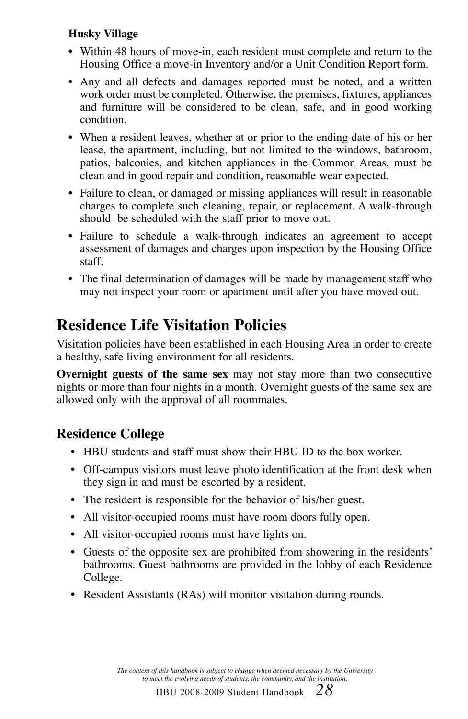#### **Husky Village**

- **•** Within 48 hours of move-in, each resident must complete and return to the Housing Office a move-in Inventory and/or a Unit Condition Report form.
- Any and all defects and damages reported must be noted, and a written work order must be completed. Otherwise, the premises, fixtures, appliances and furniture will be considered to be clean, safe, and in good working condition.
- **•** When a resident leaves, whether at or prior to the ending date of his or her lease, the apartment, including, but not limited to the windows, bathroom, patios, balconies, and kitchen appliances in the Common Areas, must be clean and in good repair and condition, reasonable wear expected.
- Failure to clean, or damaged or missing appliances will result in reasonable charges to complete such cleaning, repair, or replacement. A walk-through should be scheduled with the staff prior to move out.
- Failure to schedule a walk-through indicates an agreement to accept assessment of damages and charges upon inspection by the Housing Office staff.
- The final determination of damages will be made by management staff who may not inspect your room or apartment until after you have moved out.

### **Residence Life Visitation Policies**

Visitation policies have been established in each Housing Area in order to create a healthy, safe living environment for all residents.

**Overnight guests of the same sex** may not stay more than two consecutive nights or more than four nights in a month. Overnight guests of the same sex are allowed only with the approval of all roommates.

#### **Residence College**

- HBU students and staff must show their HBU ID to the box worker.
- Off-campus visitors must leave photo identification at the front desk when they sign in and must be escorted by a resident.
- The resident is responsible for the behavior of his/her guest.
- All visitor-occupied rooms must have room doors fully open.
- All visitor-occupied rooms must have lights on.
- Guests of the opposite sex are prohibited from showering in the residents' bathrooms. Guest bathrooms are provided in the lobby of each Residence College.
- Resident Assistants (RAs) will monitor visitation during rounds.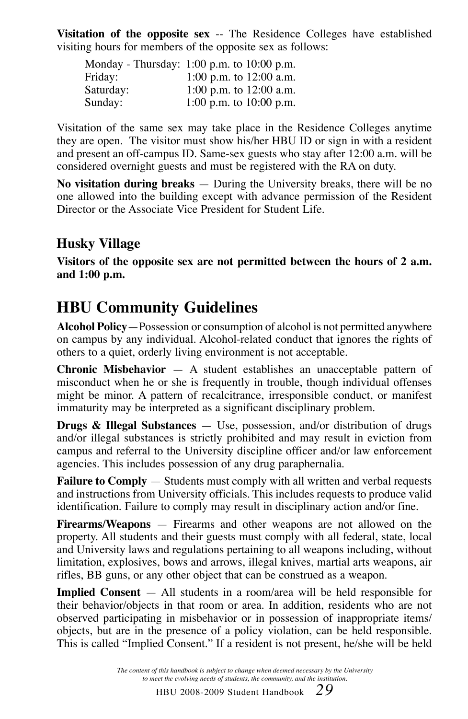**Visitation of the opposite sex** -- The Residence Colleges have established visiting hours for members of the opposite sex as follows:

|           | Monday - Thursday: 1:00 p.m. to 10:00 p.m. |
|-----------|--------------------------------------------|
| Friday:   | 1:00 p.m. to 12:00 a.m.                    |
| Saturday: | 1:00 p.m. to $12:00$ a.m.                  |
| Sunday:   | 1:00 p.m. to $10:00$ p.m.                  |

Visitation of the same sex may take place in the Residence Colleges anytime they are open. The visitor must show his/her HBU ID or sign in with a resident and present an off-campus ID. Same-sex guests who stay after 12:00 a.m. will be considered overnight guests and must be registered with the RA on duty.

**No visitation during breaks** — During the University breaks, there will be no one allowed into the building except with advance permission of the Resident Director or the Associate Vice President for Student Life.

#### **Husky Village**

**Visitors of the opposite sex are not permitted between the hours of 2 a.m. and 1:00 p.m.**

#### **HBU Community Guidelines**

**Alcohol Policy**—Possession or consumption of alcohol is not permitted anywhere on campus by any individual. Alcohol-related conduct that ignores the rights of others to a quiet, orderly living environment is not acceptable.

**Chronic Misbehavior** — A student establishes an unacceptable pattern of misconduct when he or she is frequently in trouble, though individual offenses might be minor. A pattern of recalcitrance, irresponsible conduct, or manifest immaturity may be interpreted as a significant disciplinary problem.

**Drugs & Illegal Substances** — Use, possession, and/or distribution of drugs and/or illegal substances is strictly prohibited and may result in eviction from campus and referral to the University discipline officer and/or law enforcement agencies. This includes possession of any drug paraphernalia.

**Failure to Comply** — Students must comply with all written and verbal requests and instructions from University officials. This includes requests to produce valid identification. Failure to comply may result in disciplinary action and/or fine.

**Firearms/Weapons** — Firearms and other weapons are not allowed on the property. All students and their guests must comply with all federal, state, local and University laws and regulations pertaining to all weapons including, without limitation, explosives, bows and arrows, illegal knives, martial arts weapons, air rifles, BB guns, or any other object that can be construed as a weapon.

**Implied Consent** — All students in a room/area will be held responsible for their behavior/objects in that room or area. In addition, residents who are not observed participating in misbehavior or in possession of inappropriate items/ objects, but are in the presence of a policy violation, can be held responsible. This is called "Implied Consent." If a resident is not present, he/she will be held

> *The content of this handbook is subject to change when deemed necessary by the University to meet the evolving needs of students, the community, and the institution.*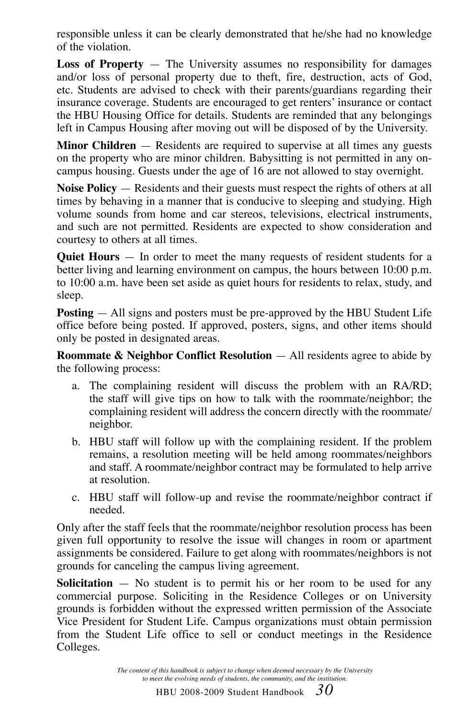responsible unless it can be clearly demonstrated that he/she had no knowledge of the violation.

**Loss of Property** — The University assumes no responsibility for damages and/or loss of personal property due to theft, fire, destruction, acts of God, etc. Students are advised to check with their parents/guardians regarding their insurance coverage. Students are encouraged to get renters' insurance or contact the HBU Housing Office for details. Students are reminded that any belongings left in Campus Housing after moving out will be disposed of by the University.

**Minor Children** — Residents are required to supervise at all times any guests on the property who are minor children. Babysitting is not permitted in any oncampus housing. Guests under the age of 16 are not allowed to stay overnight.

**Noise Policy** — Residents and their guests must respect the rights of others at all times by behaving in a manner that is conducive to sleeping and studying. High volume sounds from home and car stereos, televisions, electrical instruments, and such are not permitted. Residents are expected to show consideration and courtesy to others at all times.

**Quiet Hours** — In order to meet the many requests of resident students for a better living and learning environment on campus, the hours between 10:00 p.m. to 10:00 a.m. have been set aside as quiet hours for residents to relax, study, and sleep.

**Posting** — All signs and posters must be pre-approved by the HBU Student Life office before being posted. If approved, posters, signs, and other items should only be posted in designated areas.

**Roommate & Neighbor Conflict Resolution** — All residents agree to abide by the following process:

- a. The complaining resident will discuss the problem with an RA/RD; the staff will give tips on how to talk with the roommate/neighbor; the complaining resident will address the concern directly with the roommate/ neighbor.
- b. HBU staff will follow up with the complaining resident. If the problem remains, a resolution meeting will be held among roommates/neighbors and staff. A roommate/neighbor contract may be formulated to help arrive at resolution.
- c. HBU staff will follow-up and revise the roommate/neighbor contract if needed.

Only after the staff feels that the roommate/neighbor resolution process has been given full opportunity to resolve the issue will changes in room or apartment assignments be considered. Failure to get along with roommates/neighbors is not grounds for canceling the campus living agreement.

**Solicitation** — No student is to permit his or her room to be used for any commercial purpose. Soliciting in the Residence Colleges or on University grounds is forbidden without the expressed written permission of the Associate Vice President for Student Life. Campus organizations must obtain permission from the Student Life office to sell or conduct meetings in the Residence Colleges.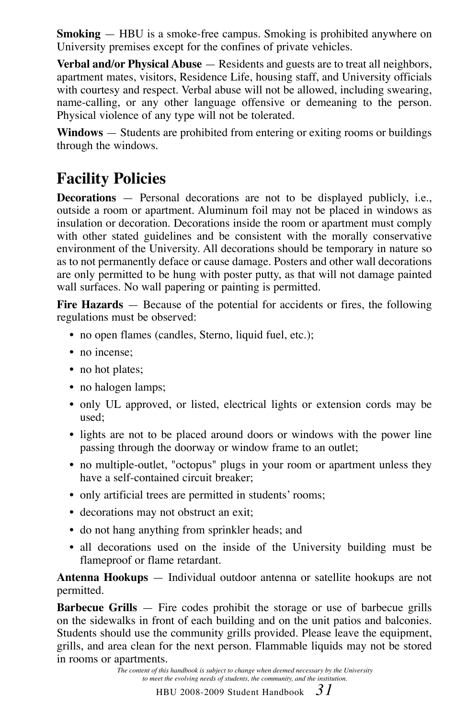**Smoking** — HBU is a smoke-free campus. Smoking is prohibited anywhere on University premises except for the confines of private vehicles.

**Verbal and/or Physical Abuse** — Residents and guests are to treat all neighbors, apartment mates, visitors, Residence Life, housing staff, and University officials with courtesy and respect. Verbal abuse will not be allowed, including swearing, name-calling, or any other language offensive or demeaning to the person. Physical violence of any type will not be tolerated.

**Windows** — Students are prohibited from entering or exiting rooms or buildings through the windows.

### **Facility Policies**

**Decorations** — Personal decorations are not to be displayed publicly, i.e., outside a room or apartment. Aluminum foil may not be placed in windows as insulation or decoration. Decorations inside the room or apartment must comply with other stated guidelines and be consistent with the morally conservative environment of the University. All decorations should be temporary in nature so as to not permanently deface or cause damage. Posters and other wall decorations are only permitted to be hung with poster putty, as that will not damage painted wall surfaces. No wall papering or painting is permitted.

**Fire Hazards** — Because of the potential for accidents or fires, the following regulations must be observed:

- no open flames (candles, Sterno, liquid fuel, etc.);
- no incense:
- no hot plates;
- no halogen lamps;
- only UL approved, or listed, electrical lights or extension cords may be used;
- lights are not to be placed around doors or windows with the power line passing through the doorway or window frame to an outlet;
- no multiple-outlet, "octopus" plugs in your room or apartment unless they have a self-contained circuit breaker;
- only artificial trees are permitted in students' rooms;
- decorations may not obstruct an exit;
- do not hang anything from sprinkler heads; and
- all decorations used on the inside of the University building must be flameproof or flame retardant.

**Antenna Hookups** — Individual outdoor antenna or satellite hookups are not permitted.

**Barbecue Grills** — Fire codes prohibit the storage or use of barbecue grills on the sidewalks in front of each building and on the unit patios and balconies. Students should use the community grills provided. Please leave the equipment, grills, and area clean for the next person. Flammable liquids may not be stored in rooms or apartments.

> *The content of this handbook is subject to change when deemed necessary by the University to meet the evolving needs of students, the community, and the institution.*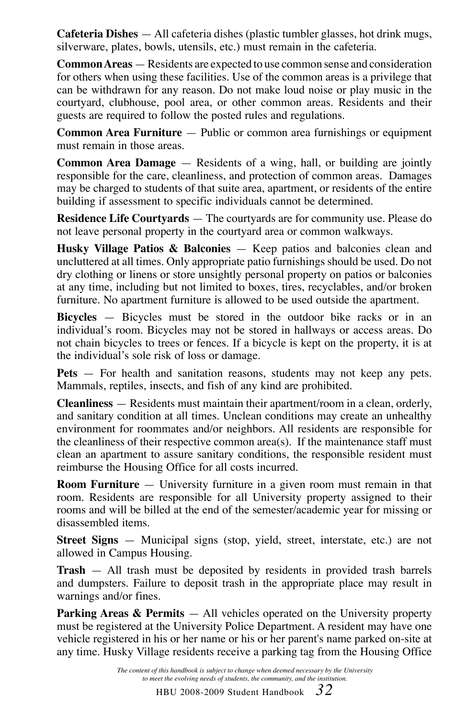**Cafeteria Dishes** — All cafeteria dishes (plastic tumbler glasses, hot drink mugs, silverware, plates, bowls, utensils, etc.) must remain in the cafeteria.

**Common Areas** — Residents are expected to use common sense and consideration for others when using these facilities. Use of the common areas is a privilege that can be withdrawn for any reason. Do not make loud noise or play music in the courtyard, clubhouse, pool area, or other common areas. Residents and their guests are required to follow the posted rules and regulations.

**Common Area Furniture** — Public or common area furnishings or equipment must remain in those areas.

**Common Area Damage** — Residents of a wing, hall, or building are jointly responsible for the care, cleanliness, and protection of common areas. Damages may be charged to students of that suite area, apartment, or residents of the entire building if assessment to specific individuals cannot be determined.

**Residence Life Courtyards** — The courtyards are for community use. Please do not leave personal property in the courtyard area or common walkways.

**Husky Village Patios & Balconies** — Keep patios and balconies clean and uncluttered at all times. Only appropriate patio furnishings should be used. Do not dry clothing or linens or store unsightly personal property on patios or balconies at any time, including but not limited to boxes, tires, recyclables, and/or broken furniture. No apartment furniture is allowed to be used outside the apartment.

**Bicycles** — Bicycles must be stored in the outdoor bike racks or in an individual's room. Bicycles may not be stored in hallways or access areas. Do not chain bicycles to trees or fences. If a bicycle is kept on the property, it is at the individual's sole risk of loss or damage.

**Pets** — For health and sanitation reasons, students may not keep any pets. Mammals, reptiles, insects, and fish of any kind are prohibited.

**Cleanliness** — Residents must maintain their apartment/room in a clean, orderly, and sanitary condition at all times. Unclean conditions may create an unhealthy environment for roommates and/or neighbors. All residents are responsible for the cleanliness of their respective common area(s). If the maintenance staff must clean an apartment to assure sanitary conditions, the responsible resident must reimburse the Housing Office for all costs incurred.

**Room Furniture** — University furniture in a given room must remain in that room. Residents are responsible for all University property assigned to their rooms and will be billed at the end of the semester/academic year for missing or disassembled items.

**Street Signs** — Municipal signs (stop, yield, street, interstate, etc.) are not allowed in Campus Housing.

**Trash** — All trash must be deposited by residents in provided trash barrels and dumpsters. Failure to deposit trash in the appropriate place may result in warnings and/or fines.

**Parking Areas & Permits** — All vehicles operated on the University property must be registered at the University Police Department. A resident may have one vehicle registered in his or her name or his or her parent's name parked on-site at any time. Husky Village residents receive a parking tag from the Housing Office

> *The content of this handbook is subject to change when deemed necessary by the University to meet the evolving needs of students, the community, and the institution.*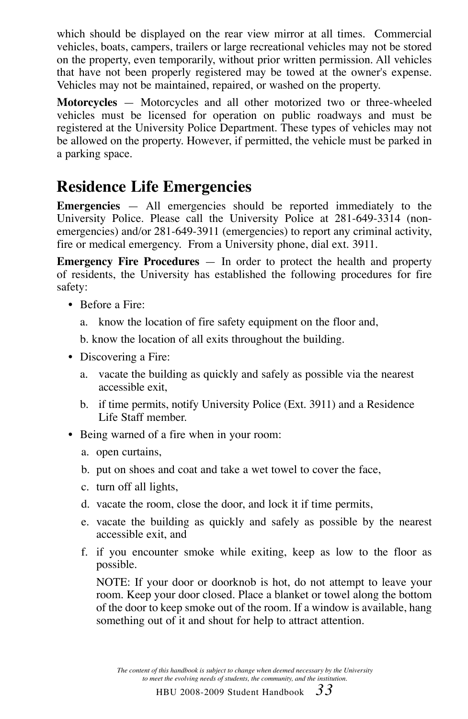which should be displayed on the rear view mirror at all times. Commercial vehicles, boats, campers, trailers or large recreational vehicles may not be stored on the property, even temporarily, without prior written permission. All vehicles that have not been properly registered may be towed at the owner's expense. Vehicles may not be maintained, repaired, or washed on the property.

**Motorcycles** — Motorcycles and all other motorized two or three-wheeled vehicles must be licensed for operation on public roadways and must be registered at the University Police Department. These types of vehicles may not be allowed on the property. However, if permitted, the vehicle must be parked in a parking space.

#### **Residence Life Emergencies**

**Emergencies** — All emergencies should be reported immediately to the University Police. Please call the University Police at 281-649-3314 (nonemergencies) and/or 281-649-3911 (emergencies) to report any criminal activity, fire or medical emergency. From a University phone, dial ext. 3911.

**Emergency Fire Procedures** — In order to protect the health and property of residents, the University has established the following procedures for fire safety:

- Before a Fire:
	- a. know the location of fire safety equipment on the floor and,
	- b. know the location of all exits throughout the building.
- Discovering a Fire:
	- a. vacate the building as quickly and safely as possible via the nearest accessible exit,
	- b. if time permits, notify University Police (Ext. 3911) and a Residence Life Staff member.
- Being warned of a fire when in your room:
	- a. open curtains,
	- b. put on shoes and coat and take a wet towel to cover the face,
	- c. turn off all lights,
	- d. vacate the room, close the door, and lock it if time permits,
	- e. vacate the building as quickly and safely as possible by the nearest accessible exit, and
	- f. if you encounter smoke while exiting, keep as low to the floor as possible.

 NOTE: If your door or doorknob is hot, do not attempt to leave your room. Keep your door closed. Place a blanket or towel along the bottom of the door to keep smoke out of the room. If a window is available, hang something out of it and shout for help to attract attention.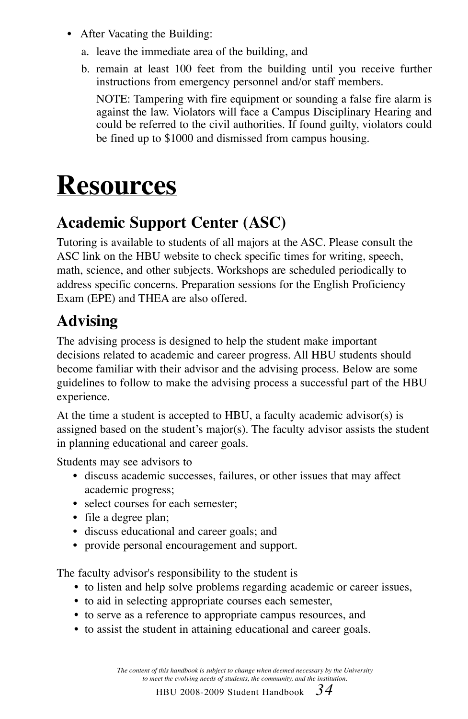- After Vacating the Building:
	- a. leave the immediate area of the building, and
	- b. remain at least 100 feet from the building until you receive further instructions from emergency personnel and/or staff members.

 NOTE: Tampering with fire equipment or sounding a false fire alarm is against the law. Violators will face a Campus Disciplinary Hearing and could be referred to the civil authorities. If found guilty, violators could be fined up to \$1000 and dismissed from campus housing.

# **Resources**

### **Academic Support Center (ASC)**

Tutoring is available to students of all majors at the ASC. Please consult the ASC link on the HBU website to check specific times for writing, speech, math, science, and other subjects. Workshops are scheduled periodically to address specific concerns. Preparation sessions for the English Proficiency Exam (EPE) and THEA are also offered.

### **Advising**

The advising process is designed to help the student make important decisions related to academic and career progress. All HBU students should become familiar with their advisor and the advising process. Below are some guidelines to follow to make the advising process a successful part of the HBU experience.

At the time a student is accepted to HBU, a faculty academic advisor(s) is assigned based on the student's major(s). The faculty advisor assists the student in planning educational and career goals.

Students may see advisors to

- discuss academic successes, failures, or other issues that may affect academic progress;
- select courses for each semester;
- file a degree plan;
- discuss educational and career goals; and
- provide personal encouragement and support.

The faculty advisor's responsibility to the student is

- to listen and help solve problems regarding academic or career issues,
- to aid in selecting appropriate courses each semester,
- to serve as a reference to appropriate campus resources, and
- to assist the student in attaining educational and career goals.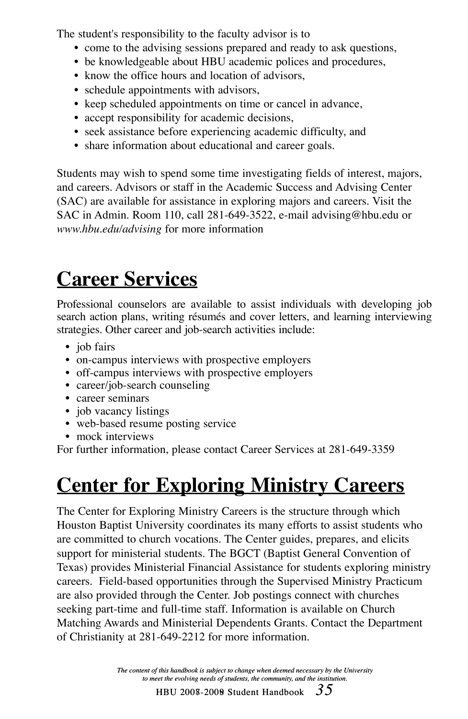The student's responsibility to the faculty advisor is to

- come to the advising sessions prepared and ready to ask questions,
- be knowledgeable about HBU academic polices and procedures,
- know the office hours and location of advisors.
- schedule appointments with advisors,
- keep scheduled appointments on time or cancel in advance,
- accept responsibility for academic decisions,
- seek assistance before experiencing academic difficulty, and
- share information about educational and career goals.

Students may wish to spend some time investigating fields of interest, majors, and careers. Advisors or staff in the Academic Success and Advising Center (SAC) are available for assistance in exploring majors and careers. Visit the SAC in Admin. Room 110, call 281-649-3522, e-mail advising@hbu.edu or *www.hbu.edu/advising* for more information

## **Career Services**

Professional counselors are available to assist individuals with developing job search action plans, writing résumés and cover letters, and learning interviewing strategies. Other career and job-search activities include:

- job fairs
- on-campus interviews with prospective employers
- off-campus interviews with prospective employers
- career/job-search counseling
- career seminars
- job vacancy listings
- web-based resume posting service
- mock interviews

For further information, please contact Career Services at 281-649-3359

## **Center for Exploring Ministry Careers**

The Center for Exploring Ministry Careers is the structure through which Houston Baptist University coordinates its many efforts to assist students who are committed to church vocations. The Center guides, prepares, and elicits support for ministerial students. The BGCT (Baptist General Convention of Texas) provides Ministerial Financial Assistance for students exploring ministry careers. Field-based opportunities through the Supervised Ministry Practicum are also provided through the Center. Job postings connect with churches seeking part-time and full-time staff. Information is available on Church Matching Awards and Ministerial Dependents Grants. Contact the Department of Christianity at 281-649-2212 for more information.

> *The content of this handbook is subject to change when deemed necessary by the University to meet the evolving needs of students, the community, and the institution.*

<code>HBU 2008-2009</code> Student Handbook  $\,$   $\,3$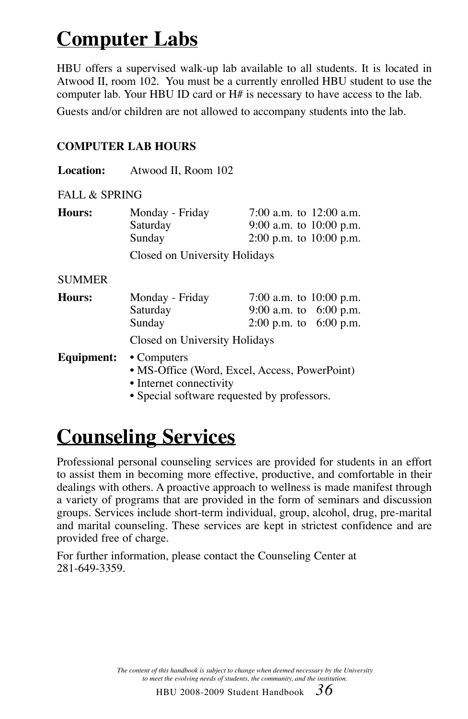## **Computer Labs**

HBU offers a supervised walk-up lab available to all students. It is located in Atwood II, room 102. You must be a currently enrolled HBU student to use the computer lab. Your HBU ID card or H# is necessary to have access to the lab.

Guests and/or children are not allowed to accompany students into the lab.

#### **COMPUTER LAB HOURS**

| <b>Location:</b> | Atwood II, Room 102 |                             |  |
|------------------|---------------------|-----------------------------|--|
| FALL & SPRING    |                     |                             |  |
| Hours:           | Monday - Friday     | 7:00 a.m. to $12:00$ a.m.   |  |
|                  | Saturday            | 9:00 a.m. to $10:00$ p.m.   |  |
|                  | Sunday              | $2:00$ p.m. to $10:00$ p.m. |  |

Closed on University Holidays

#### SUMMER

| Hours: | Monday - Friday               | 7:00 a.m. to $10:00$ p.m. |  |
|--------|-------------------------------|---------------------------|--|
|        | Saturday                      | 9:00 a.m. to $6:00$ p.m.  |  |
|        | Sunday                        | 2:00 p.m. to $6:00$ p.m.  |  |
|        | Closed on University Holidays |                           |  |

#### **Equipment:** • Computers

- MS-Office (Word, Excel, Access, PowerPoint)
- Internet connectivity
- Special software requested by professors.

## **Counseling Services**

Professional personal counseling services are provided for students in an effort to assist them in becoming more effective, productive, and comfortable in their dealings with others. A proactive approach to wellness is made manifest through a variety of programs that are provided in the form of seminars and discussion groups. Services include short-term individual, group, alcohol, drug, pre-marital and marital counseling. These services are kept in strictest confidence and are provided free of charge.

For further information, please contact the Counseling Center at 281-649-3359.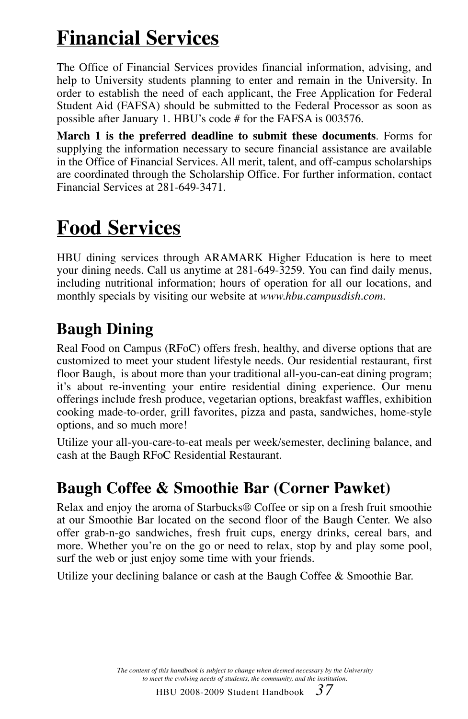## **Financial Services**

The Office of Financial Services provides financial information, advising, and help to University students planning to enter and remain in the University. In order to establish the need of each applicant, the Free Application for Federal Student Aid (FAFSA) should be submitted to the Federal Processor as soon as possible after January 1. HBU's code # for the FAFSA is 003576.

**March 1 is the preferred deadline to submit these documents**. Forms for supplying the information necessary to secure financial assistance are available in the Office of Financial Services. All merit, talent, and off-campus scholarships are coordinated through the Scholarship Office. For further information, contact Financial Services at 281-649-3471.

## **Food Services**

HBU dining services through ARAMARK Higher Education is here to meet your dining needs. Call us anytime at 281-649-3259. You can find daily menus, including nutritional information; hours of operation for all our locations, and monthly specials by visiting our website at *www.hbu.campusdish.com.*

## **Baugh Dining**

Real Food on Campus (RFoC) offers fresh, healthy, and diverse options that are customized to meet your student lifestyle needs. Our residential restaurant, first floor Baugh, is about more than your traditional all-you-can-eat dining program; it's about re-inventing your entire residential dining experience. Our menu offerings include fresh produce, vegetarian options, breakfast waffles, exhibition cooking made-to-order, grill favorites, pizza and pasta, sandwiches, home-style options, and so much more!

Utilize your all-you-care-to-eat meals per week/semester, declining balance, and cash at the Baugh RFoC Residential Restaurant.

## **Baugh Coffee & Smoothie Bar (Corner Pawket)**

Relax and enjoy the aroma of Starbucks® Coffee or sip on a fresh fruit smoothie at our Smoothie Bar located on the second floor of the Baugh Center. We also offer grab-n-go sandwiches, fresh fruit cups, energy drinks, cereal bars, and more. Whether you're on the go or need to relax, stop by and play some pool, surf the web or just enjoy some time with your friends.

Utilize your declining balance or cash at the Baugh Coffee & Smoothie Bar.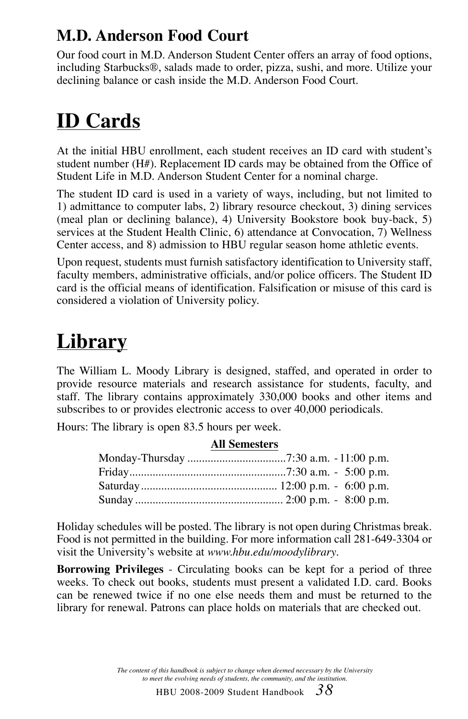## **M.D. Anderson Food Court**

Our food court in M.D. Anderson Student Center offers an array of food options, including Starbucks®, salads made to order, pizza, sushi, and more. Utilize your declining balance or cash inside the M.D. Anderson Food Court.

## **ID Cards**

At the initial HBU enrollment, each student receives an ID card with student's student number (H#). Replacement ID cards may be obtained from the Office of Student Life in M.D. Anderson Student Center for a nominal charge.

The student ID card is used in a variety of ways, including, but not limited to 1) admittance to computer labs, 2) library resource checkout, 3) dining services (meal plan or declining balance), 4) University Bookstore book buy-back, 5) services at the Student Health Clinic, 6) attendance at Convocation, 7) Wellness Center access, and 8) admission to HBU regular season home athletic events.

Upon request, students must furnish satisfactory identification to University staff, faculty members, administrative officials, and/or police officers. The Student ID card is the official means of identification. Falsification or misuse of this card is considered a violation of University policy.

## **Library**

The William L. Moody Library is designed, staffed, and operated in order to provide resource materials and research assistance for students, faculty, and staff. The library contains approximately 330,000 books and other items and subscribes to or provides electronic access to over 40,000 periodicals.

Hours: The library is open 83.5 hours per week.

| All Semesters |
|---------------|
|               |

Holiday schedules will be posted. The library is not open during Christmas break. Food is not permitted in the building. For more information call 281-649-3304 or visit the University's website at *www.hbu.edu/moodylibrary*.

**Borrowing Privileges** - Circulating books can be kept for a period of three weeks. To check out books, students must present a validated I.D. card. Books can be renewed twice if no one else needs them and must be returned to the library for renewal. Patrons can place holds on materials that are checked out.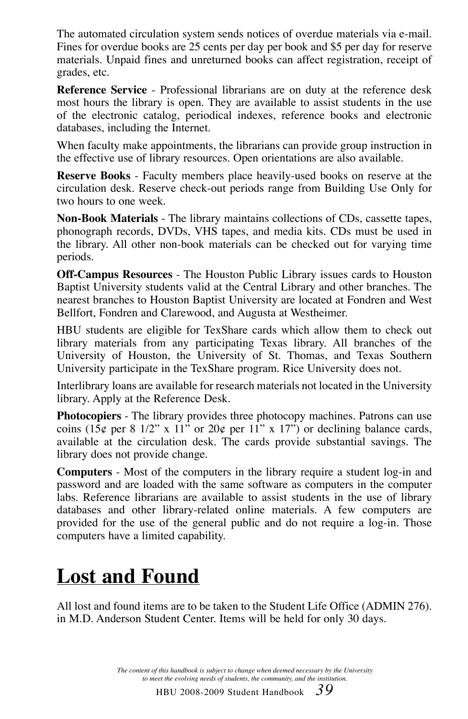The automated circulation system sends notices of overdue materials via e-mail. Fines for overdue books are 25 cents per day per book and \$5 per day for reserve materials. Unpaid fines and unreturned books can affect registration, receipt of grades, etc.

**Reference Service** - Professional librarians are on duty at the reference desk most hours the library is open. They are available to assist students in the use of the electronic catalog, periodical indexes, reference books and electronic databases, including the Internet.

When faculty make appointments, the librarians can provide group instruction in the effective use of library resources. Open orientations are also available.

**Reserve Books** - Faculty members place heavily-used books on reserve at the circulation desk. Reserve check-out periods range from Building Use Only for two hours to one week.

**Non-Book Materials** - The library maintains collections of CDs, cassette tapes, phonograph records, DVDs, VHS tapes, and media kits. CDs must be used in the library. All other non-book materials can be checked out for varying time periods.

**Off-Campus Resources** - The Houston Public Library issues cards to Houston Baptist University students valid at the Central Library and other branches. The nearest branches to Houston Baptist University are located at Fondren and West Bellfort, Fondren and Clarewood, and Augusta at Westheimer.

HBU students are eligible for TexShare cards which allow them to check out library materials from any participating Texas library. All branches of the University of Houston, the University of St. Thomas, and Texas Southern University participate in the TexShare program. Rice University does not.

Interlibrary loans are available for research materials not located in the University library. Apply at the Reference Desk.

**Photocopiers** - The library provides three photocopy machines. Patrons can use coins (15¢ per 8 1/2" x 11" or 20¢ per 11" x 17") or declining balance cards, available at the circulation desk. The cards provide substantial savings. The library does not provide change.

**Computers** - Most of the computers in the library require a student log-in and password and are loaded with the same software as computers in the computer labs. Reference librarians are available to assist students in the use of library databases and other library-related online materials. A few computers are provided for the use of the general public and do not require a log-in. Those computers have a limited capability.

## **Lost and Found**

All lost and found items are to be taken to the Student Life Office (ADMIN 276). in M.D. Anderson Student Center. Items will be held for only 30 days.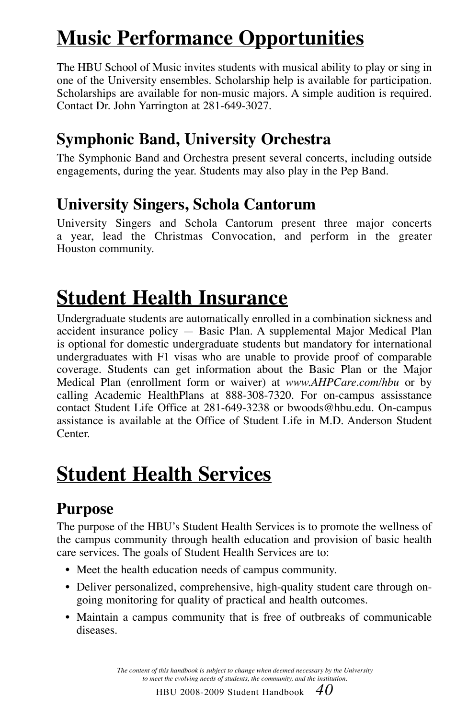## **Music Performance Opportunities**

The HBU School of Music invites students with musical ability to play or sing in one of the University ensembles. Scholarship help is available for participation. Scholarships are available for non-music majors. A simple audition is required. Contact Dr. John Yarrington at 281-649-3027.

## **Symphonic Band, University Orchestra**

The Symphonic Band and Orchestra present several concerts, including outside engagements, during the year. Students may also play in the Pep Band.

## **University Singers, Schola Cantorum**

University Singers and Schola Cantorum present three major concerts a year, lead the Christmas Convocation, and perform in the greater Houston community.

## **Student Health Insurance**

Undergraduate students are automatically enrolled in a combination sickness and accident insurance policy — Basic Plan. A supplemental Major Medical Plan is optional for domestic undergraduate students but mandatory for international undergraduates with F1 visas who are unable to provide proof of comparable coverage. Students can get information about the Basic Plan or the Major Medical Plan (enrollment form or waiver) at *www.AHPCare.com/hbu* or by calling Academic HealthPlans at 888-308-7320. For on-campus assisstance contact Student Life Office at 281-649-3238 or bwoods@hbu.edu. On-campus assistance is available at the Office of Student Life in M.D. Anderson Student Center.

## **Student Health Services**

## **Purpose**

The purpose of the HBU's Student Health Services is to promote the wellness of the campus community through health education and provision of basic health care services. The goals of Student Health Services are to:

- Meet the health education needs of campus community.
- Deliver personalized, comprehensive, high-quality student care through ongoing monitoring for quality of practical and health outcomes.
- Maintain a campus community that is free of outbreaks of communicable diseases.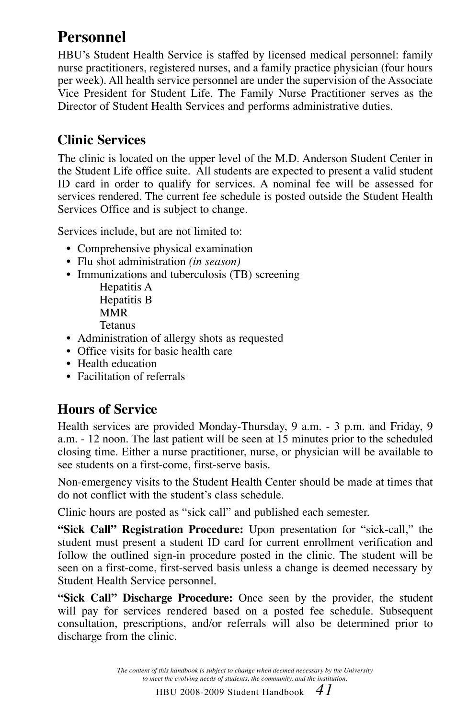## **Personnel**

HBU's Student Health Service is staffed by licensed medical personnel: family nurse practitioners, registered nurses, and a family practice physician (four hours per week). All health service personnel are under the supervision of the Associate Vice President for Student Life. The Family Nurse Practitioner serves as the Director of Student Health Services and performs administrative duties.

### **Clinic Services**

The clinic is located on the upper level of the M.D. Anderson Student Center in the Student Life office suite. All students are expected to present a valid student ID card in order to qualify for services. A nominal fee will be assessed for services rendered. The current fee schedule is posted outside the Student Health Services Office and is subject to change.

Services include, but are not limited to:

- Comprehensive physical examination
- Flu shot administration *(in season)*
- Immunizations and tuberculosis (TB) screening Hepatitis A

 Hepatitis B MMR Tetanus

- Administration of allergy shots as requested
- Office visits for basic health care
- Health education
- Facilitation of referrals

### **Hours of Service**

Health services are provided Monday-Thursday, 9 a.m. - 3 p.m. and Friday, 9 a.m. - 12 noon. The last patient will be seen at 15 minutes prior to the scheduled closing time. Either a nurse practitioner, nurse, or physician will be available to see students on a first-come, first-serve basis.

Non-emergency visits to the Student Health Center should be made at times that do not conflict with the student's class schedule.

Clinic hours are posted as "sick call" and published each semester.

**"Sick Call" Registration Procedure:** Upon presentation for "sick-call," the student must present a student ID card for current enrollment verification and follow the outlined sign-in procedure posted in the clinic. The student will be seen on a first-come, first-served basis unless a change is deemed necessary by Student Health Service personnel.

**"Sick Call" Discharge Procedure:** Once seen by the provider, the student will pay for services rendered based on a posted fee schedule. Subsequent consultation, prescriptions, and/or referrals will also be determined prior to discharge from the clinic.

> *The content of this handbook is subject to change when deemed necessary by the University to meet the evolving needs of students, the community, and the institution.*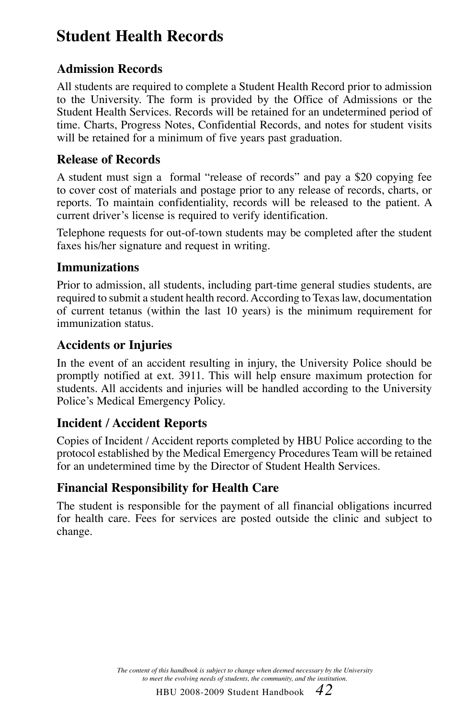## **Student Health Records**

### **Admission Records**

All students are required to complete a Student Health Record prior to admission to the University. The form is provided by the Office of Admissions or the Student Health Services. Records will be retained for an undetermined period of time. Charts, Progress Notes, Confidential Records, and notes for student visits will be retained for a minimum of five years past graduation.

### **Release of Records**

A student must sign a formal "release of records" and pay a \$20 copying fee to cover cost of materials and postage prior to any release of records, charts, or reports. To maintain confidentiality, records will be released to the patient. A current driver's license is required to verify identification.

Telephone requests for out-of-town students may be completed after the student faxes his/her signature and request in writing.

#### **Immunizations**

Prior to admission, all students, including part-time general studies students, are required to submit a student health record. According to Texas law, documentation of current tetanus (within the last 10 years) is the minimum requirement for immunization status.

#### **Accidents or Injuries**

In the event of an accident resulting in injury, the University Police should be promptly notified at ext. 3911. This will help ensure maximum protection for students. All accidents and injuries will be handled according to the University Police's Medical Emergency Policy.

### **Incident / Accident Reports**

Copies of Incident / Accident reports completed by HBU Police according to the protocol established by the Medical Emergency Procedures Team will be retained for an undetermined time by the Director of Student Health Services.

### **Financial Responsibility for Health Care**

The student is responsible for the payment of all financial obligations incurred for health care. Fees for services are posted outside the clinic and subject to change.

> *The content of this handbook is subject to change when deemed necessary by the University to meet the evolving needs of students, the community, and the institution.*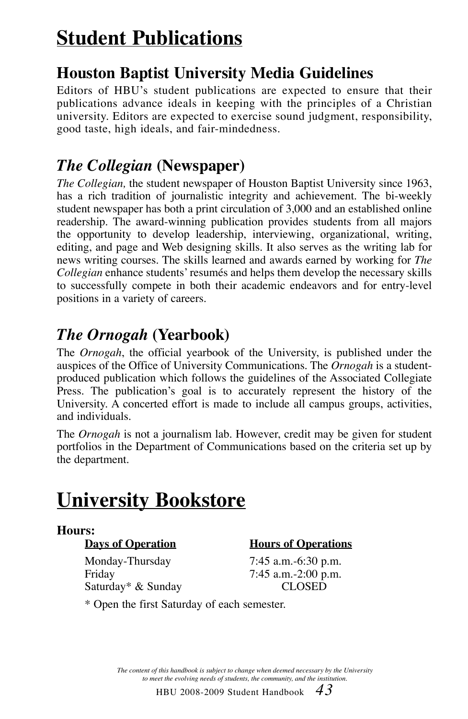## **Student Publications**

## **Houston Baptist University Media Guidelines**

Editors of HBU's student publications are expected to ensure that their publications advance ideals in keeping with the principles of a Christian university. Editors are expected to exercise sound judgment, responsibility, good taste, high ideals, and fair-mindedness.

## *The Collegian* **(Newspaper)**

*The Collegian,* the student newspaper of Houston Baptist University since 1963, has a rich tradition of journalistic integrity and achievement. The bi-weekly student newspaper has both a print circulation of 3,000 and an established online readership. The award-winning publication provides students from all majors the opportunity to develop leadership, interviewing, organizational, writing, editing, and page and Web designing skills. It also serves as the writing lab for news writing courses. The skills learned and awards earned by working for *The Collegian* enhance students' resumés and helps them develop the necessary skills to successfully compete in both their academic endeavors and for entry-level positions in a variety of careers.

## *The Ornogah* **(Yearbook)**

The *Ornogah*, the official yearbook of the University, is published under the auspices of the Office of University Communications. The *Ornogah* is a studentproduced publication which follows the guidelines of the Associated Collegiate Press. The publication's goal is to accurately represent the history of the University. A concerted effort is made to include all campus groups, activities, and individuals.

The *Ornogah* is not a journalism lab. However, credit may be given for student portfolios in the Department of Communications based on the criteria set up by the department.

## **University Bookstore**

### **Hours:**

#### **Days of Operation Hours of Operations**

Monday-Thursday 7:45 a.m.-6:30 p.m. Friday 7:45 a.m.-2:00 p.m. Saturday\* & Sunday CLOSED

\* Open the first Saturday of each semester.

*The content of this handbook is subject to change when deemed necessary by the University to meet the evolving needs of students, the community, and the institution.*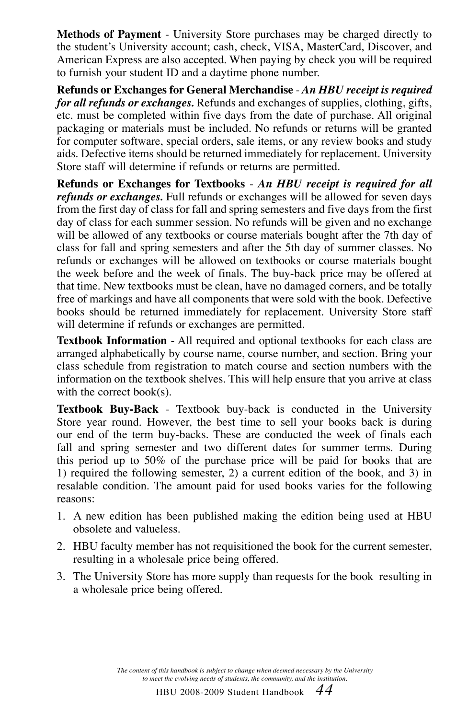**Methods of Payment** - University Store purchases may be charged directly to the student's University account; cash, check, VISA, MasterCard, Discover, and American Express are also accepted. When paying by check you will be required to furnish your student ID and a daytime phone number.

**Refunds or Exchanges for General Merchandise** - *An HBU receipt is required for all refunds or exchanges.* Refunds and exchanges of supplies, clothing, gifts, etc. must be completed within five days from the date of purchase. All original packaging or materials must be included. No refunds or returns will be granted for computer software, special orders, sale items, or any review books and study aids. Defective items should be returned immediately for replacement. University Store staff will determine if refunds or returns are permitted.

**Refunds or Exchanges for Textbooks** - *An HBU receipt is required for all refunds or exchanges.* Full refunds or exchanges will be allowed for seven days from the first day of class for fall and spring semesters and five days from the first day of class for each summer session. No refunds will be given and no exchange will be allowed of any textbooks or course materials bought after the 7th day of class for fall and spring semesters and after the 5th day of summer classes. No refunds or exchanges will be allowed on textbooks or course materials bought the week before and the week of finals. The buy-back price may be offered at that time. New textbooks must be clean, have no damaged corners, and be totally free of markings and have all components that were sold with the book. Defective books should be returned immediately for replacement. University Store staff will determine if refunds or exchanges are permitted.

**Textbook Information** - All required and optional textbooks for each class are arranged alphabetically by course name, course number, and section. Bring your class schedule from registration to match course and section numbers with the information on the textbook shelves. This will help ensure that you arrive at class with the correct book(s).

**Textbook Buy-Back** - Textbook buy-back is conducted in the University Store year round. However, the best time to sell your books back is during our end of the term buy-backs. These are conducted the week of finals each fall and spring semester and two different dates for summer terms. During this period up to 50% of the purchase price will be paid for books that are 1) required the following semester, 2) a current edition of the book, and 3) in resalable condition. The amount paid for used books varies for the following reasons:

- 1. A new edition has been published making the edition being used at HBU obsolete and valueless.
- 2. HBU faculty member has not requisitioned the book for the current semester, resulting in a wholesale price being offered.
- 3. The University Store has more supply than requests for the book resulting in a wholesale price being offered.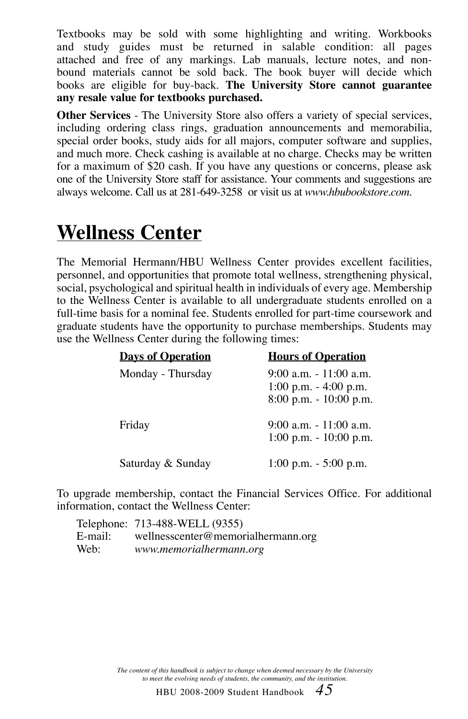Textbooks may be sold with some highlighting and writing. Workbooks and study guides must be returned in salable condition: all pages attached and free of any markings. Lab manuals, lecture notes, and nonbound materials cannot be sold back. The book buyer will decide which books are eligible for buy-back. **The University Store cannot guarantee any resale value for textbooks purchased.**

**Other Services** - The University Store also offers a variety of special services, including ordering class rings, graduation announcements and memorabilia, special order books, study aids for all majors, computer software and supplies, and much more. Check cashing is available at no charge. Checks may be written for a maximum of \$20 cash. If you have any questions or concerns, please ask one of the University Store staff for assistance. Your comments and suggestions are always welcome. Call us at 281-649-3258 or visit us at *www.hbubookstore.com*.

## **Wellness Center**

The Memorial Hermann/HBU Wellness Center provides excellent facilities, personnel, and opportunities that promote total wellness, strengthening physical, social, psychological and spiritual health in individuals of every age. Membership to the Wellness Center is available to all undergraduate students enrolled on a full-time basis for a nominal fee. Students enrolled for part-time coursework and graduate students have the opportunity to purchase memberships. Students may use the Wellness Center during the following times:

| <b>Days of Operation</b> | <b>Hours of Operation</b>                                                      |
|--------------------------|--------------------------------------------------------------------------------|
| Monday - Thursday        | $9:00$ a.m. $-11:00$ a.m.<br>1:00 p.m. $-$ 4:00 p.m.<br>8:00 p.m. - 10:00 p.m. |
| Friday                   | 9:00 a.m. - 11:00 a.m.<br>$1:00$ p.m. - $10:00$ p.m.                           |
| Saturday & Sunday        | $1:00$ p.m. $-5:00$ p.m.                                                       |

To upgrade membership, contact the Financial Services Office. For additional information, contact the Wellness Center:

|      | Telephone: 713-488-WELL (9355)             |
|------|--------------------------------------------|
|      | E-mail: wellnesscenter@memorialhermann.org |
| Web: | www.memorialhermann.org                    |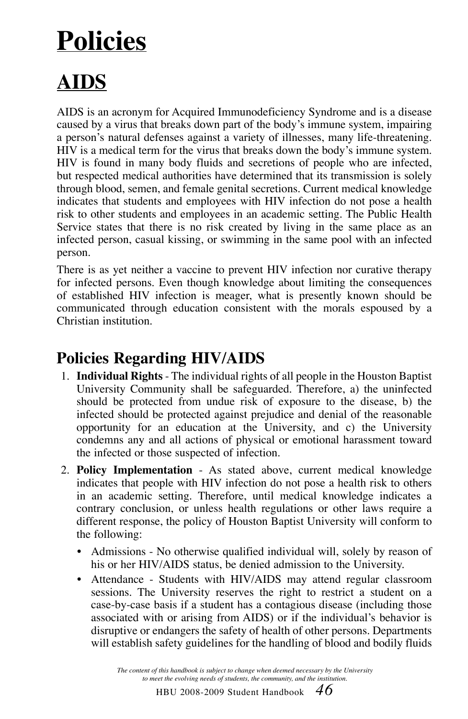# **Policies**

## **AIDS**

AIDS is an acronym for Acquired Immunodeficiency Syndrome and is a disease caused by a virus that breaks down part of the body's immune system, impairing a person's natural defenses against a variety of illnesses, many life-threatening. HIV is a medical term for the virus that breaks down the body's immune system. HIV is found in many body fluids and secretions of people who are infected, but respected medical authorities have determined that its transmission is solely through blood, semen, and female genital secretions. Current medical knowledge indicates that students and employees with HIV infection do not pose a health risk to other students and employees in an academic setting. The Public Health Service states that there is no risk created by living in the same place as an infected person, casual kissing, or swimming in the same pool with an infected person.

There is as yet neither a vaccine to prevent HIV infection nor curative therapy for infected persons. Even though knowledge about limiting the consequences of established HIV infection is meager, what is presently known should be communicated through education consistent with the morals espoused by a Christian institution.

## **Policies Regarding HIV/AIDS**

- 1. **Individual Rights** The individual rights of all people in the Houston Baptist University Community shall be safeguarded. Therefore, a) the uninfected should be protected from undue risk of exposure to the disease, b) the infected should be protected against prejudice and denial of the reasonable opportunity for an education at the University, and c) the University condemns any and all actions of physical or emotional harassment toward the infected or those suspected of infection.
- 2. **Policy Implementation** As stated above, current medical knowledge indicates that people with HIV infection do not pose a health risk to others in an academic setting. Therefore, until medical knowledge indicates a contrary conclusion, or unless health regulations or other laws require a different response, the policy of Houston Baptist University will conform to the following:
	- Admissions No otherwise qualified individual will, solely by reason of his or her HIV/AIDS status, be denied admission to the University.
	- Attendance Students with HIV/AIDS may attend regular classroom sessions. The University reserves the right to restrict a student on a case-by-case basis if a student has a contagious disease (including those associated with or arising from AIDS) or if the individual's behavior is disruptive or endangers the safety of health of other persons. Departments will establish safety guidelines for the handling of blood and bodily fluids

*The content of this handbook is subject to change when deemed necessary by the University to meet the evolving needs of students, the community, and the institution.*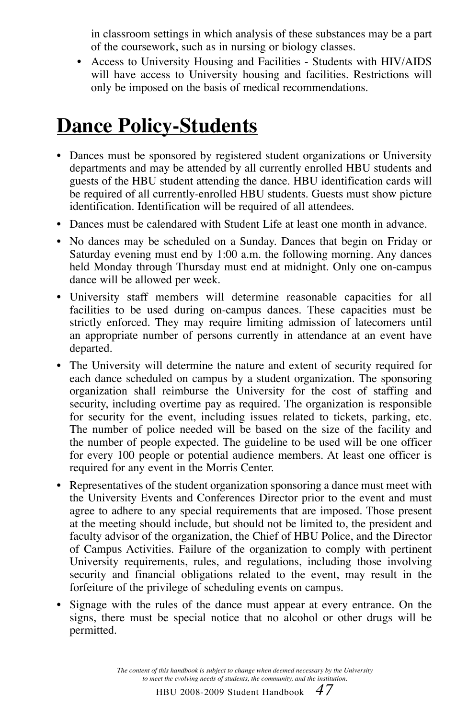in classroom settings in which analysis of these substances may be a part of the coursework, such as in nursing or biology classes.

• Access to University Housing and Facilities - Students with HIV/AIDS will have access to University housing and facilities. Restrictions will only be imposed on the basis of medical recommendations.

## **Dance Policy-Students**

- Dances must be sponsored by registered student organizations or University departments and may be attended by all currently enrolled HBU students and guests of the HBU student attending the dance. HBU identification cards will be required of all currently-enrolled HBU students. Guests must show picture identification. Identification will be required of all attendees.
- Dances must be calendared with Student Life at least one month in advance.
- No dances may be scheduled on a Sunday. Dances that begin on Friday or Saturday evening must end by 1:00 a.m. the following morning. Any dances held Monday through Thursday must end at midnight. Only one on-campus dance will be allowed per week.
- University staff members will determine reasonable capacities for all facilities to be used during on-campus dances. These capacities must be strictly enforced. They may require limiting admission of latecomers until an appropriate number of persons currently in attendance at an event have departed.
- The University will determine the nature and extent of security required for each dance scheduled on campus by a student organization. The sponsoring organization shall reimburse the University for the cost of staffing and security, including overtime pay as required. The organization is responsible for security for the event, including issues related to tickets, parking, etc. The number of police needed will be based on the size of the facility and the number of people expected. The guideline to be used will be one officer for every 100 people or potential audience members. At least one officer is required for any event in the Morris Center.
- Representatives of the student organization sponsoring a dance must meet with the University Events and Conferences Director prior to the event and must agree to adhere to any special requirements that are imposed. Those present at the meeting should include, but should not be limited to, the president and faculty advisor of the organization, the Chief of HBU Police, and the Director of Campus Activities. Failure of the organization to comply with pertinent University requirements, rules, and regulations, including those involving security and financial obligations related to the event, may result in the forfeiture of the privilege of scheduling events on campus.
- Signage with the rules of the dance must appear at every entrance. On the signs, there must be special notice that no alcohol or other drugs will be permitted.

*The content of this handbook is subject to change when deemed necessary by the University to meet the evolving needs of students, the community, and the institution.*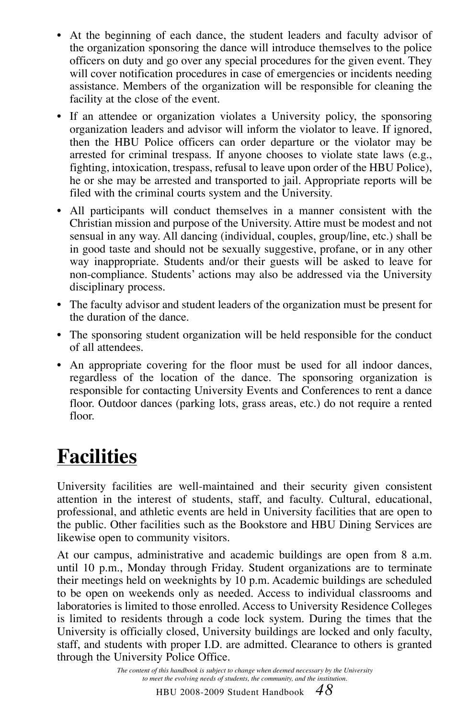- At the beginning of each dance, the student leaders and faculty advisor of the organization sponsoring the dance will introduce themselves to the police officers on duty and go over any special procedures for the given event. They will cover notification procedures in case of emergencies or incidents needing assistance. Members of the organization will be responsible for cleaning the facility at the close of the event.
- If an attendee or organization violates a University policy, the sponsoring organization leaders and advisor will inform the violator to leave. If ignored, then the HBU Police officers can order departure or the violator may be arrested for criminal trespass. If anyone chooses to violate state laws (e.g., fighting, intoxication, trespass, refusal to leave upon order of the HBU Police), he or she may be arrested and transported to jail. Appropriate reports will be filed with the criminal courts system and the University.
- All participants will conduct themselves in a manner consistent with the Christian mission and purpose of the University. Attire must be modest and not sensual in any way. All dancing (individual, couples, group/line, etc.) shall be in good taste and should not be sexually suggestive, profane, or in any other way inappropriate. Students and/or their guests will be asked to leave for non-compliance. Students' actions may also be addressed via the University disciplinary process.
- The faculty advisor and student leaders of the organization must be present for the duration of the dance.
- The sponsoring student organization will be held responsible for the conduct of all attendees.
- An appropriate covering for the floor must be used for all indoor dances, regardless of the location of the dance. The sponsoring organization is responsible for contacting University Events and Conferences to rent a dance floor. Outdoor dances (parking lots, grass areas, etc.) do not require a rented floor.

## **Facilities**

University facilities are well-maintained and their security given consistent attention in the interest of students, staff, and faculty. Cultural, educational, professional, and athletic events are held in University facilities that are open to the public. Other facilities such as the Bookstore and HBU Dining Services are likewise open to community visitors.

At our campus, administrative and academic buildings are open from 8 a.m. until 10 p.m., Monday through Friday. Student organizations are to terminate their meetings held on weeknights by 10 p.m. Academic buildings are scheduled to be open on weekends only as needed. Access to individual classrooms and laboratories is limited to those enrolled. Access to University Residence Colleges is limited to residents through a code lock system. During the times that the University is officially closed, University buildings are locked and only faculty, staff, and students with proper I.D. are admitted. Clearance to others is granted through the University Police Office.

> *The content of this handbook is subject to change when deemed necessary by the University to meet the evolving needs of students, the community, and the institution.*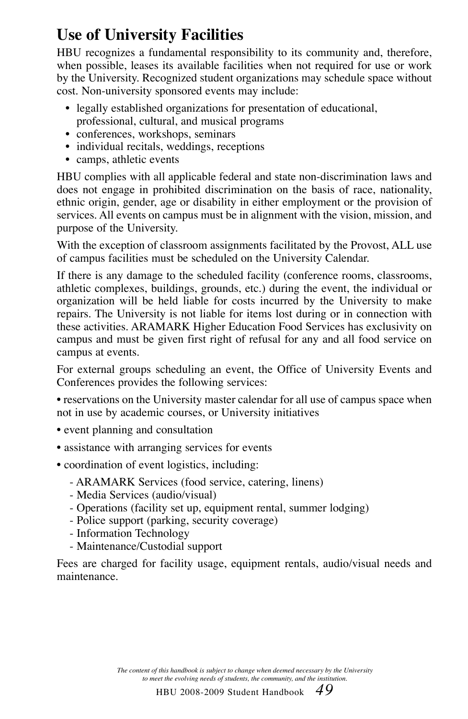## **Use of University Facilities**

HBU recognizes a fundamental responsibility to its community and, therefore, when possible, leases its available facilities when not required for use or work by the University. Recognized student organizations may schedule space without cost. Non-university sponsored events may include:

- legally established organizations for presentation of educational, professional, cultural, and musical programs
- conferences, workshops, seminars
- individual recitals, weddings, receptions
- camps, athletic events

HBU complies with all applicable federal and state non-discrimination laws and does not engage in prohibited discrimination on the basis of race, nationality, ethnic origin, gender, age or disability in either employment or the provision of services. All events on campus must be in alignment with the vision, mission, and purpose of the University.

With the exception of classroom assignments facilitated by the Provost, ALL use of campus facilities must be scheduled on the University Calendar.

If there is any damage to the scheduled facility (conference rooms, classrooms, athletic complexes, buildings, grounds, etc.) during the event, the individual or organization will be held liable for costs incurred by the University to make repairs. The University is not liable for items lost during or in connection with these activities. ARAMARK Higher Education Food Services has exclusivity on campus and must be given first right of refusal for any and all food service on campus at events.

For external groups scheduling an event, the Office of University Events and Conferences provides the following services:

• reservations on the University master calendar for all use of campus space when not in use by academic courses, or University initiatives

- event planning and consultation
- assistance with arranging services for events
- coordination of event logistics, including:
	- ARAMARK Services (food service, catering, linens)
	- Media Services (audio/visual)
	- Operations (facility set up, equipment rental, summer lodging)
	- Police support (parking, security coverage)
	- Information Technology
	- Maintenance/Custodial support

Fees are charged for facility usage, equipment rentals, audio/visual needs and maintenance.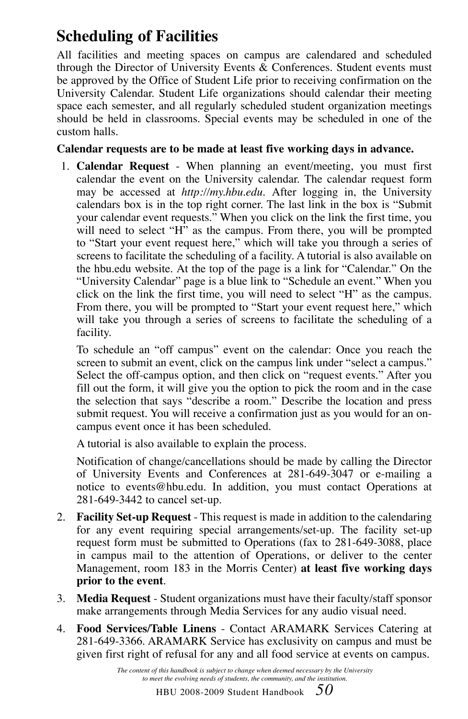## **Scheduling of Facilities**

All facilities and meeting spaces on campus are calendared and scheduled through the Director of University Events  $\&$  Conferences. Student events must be approved by the Office of Student Life prior to receiving confirmation on the University Calendar. Student Life organizations should calendar their meeting space each semester, and all regularly scheduled student organization meetings should be held in classrooms. Special events may be scheduled in one of the custom halls.

#### **Calendar requests are to be made at least five working days in advance.**

1. **Calendar Request** - When planning an event/meeting, you must first calendar the event on the University calendar. The calendar request form may be accessed at *http://my.hbu.edu.* After logging in, the University calendars box is in the top right corner. The last link in the box is "Submit your calendar event requests." When you click on the link the first time, you will need to select "H" as the campus. From there, you will be prompted to "Start your event request here," which will take you through a series of screens to facilitate the scheduling of a facility. A tutorial is also available on the hbu.edu website*.* At the top of the page is a link for "Calendar." On the "University Calendar" page is a blue link to "Schedule an event." When you click on the link the first time, you will need to select "H" as the campus. From there, you will be prompted to "Start your event request here," which will take you through a series of screens to facilitate the scheduling of a facility.

 To schedule an "off campus" event on the calendar: Once you reach the screen to submit an event, click on the campus link under "select a campus." Select the off-campus option, and then click on "request events." After you fill out the form, it will give you the option to pick the room and in the case the selection that says "describe a room." Describe the location and press submit request. You will receive a confirmation just as you would for an oncampus event once it has been scheduled.

A tutorial is also available to explain the process.

 Notification of change/cancellations should be made by calling the Director of University Events and Conferences at 281-649-3047 or e-mailing a notice to events@hbu.edu. In addition, you must contact Operations at 281-649-3442 to cancel set-up.

- 2. **Facility Set-up Request**  This request is made in addition to the calendaring for any event requiring special arrangements/set-up. The facility set-up request form must be submitted to Operations (fax to 281-649-3088, place in campus mail to the attention of Operations, or deliver to the center Management, room 183 in the Morris Center) **at least five working days prior to the event**.
- 3. **Media Request** Student organizations must have their faculty/staff sponsor make arrangements through Media Services for any audio visual need.
- 4. **Food Services/Table Linens** Contact ARAMARK Services Catering at 281-649-3366. ARAMARK Service has exclusivity on campus and must be given first right of refusal for any and all food service at events on campus.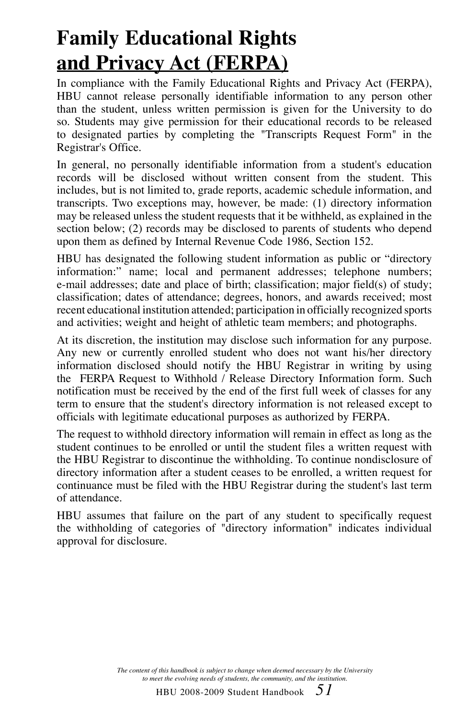## **Family Educational Rights and Privacy Act (FERPA)**

In compliance with the Family Educational Rights and Privacy Act (FERPA), HBU cannot release personally identifiable information to any person other than the student, unless written permission is given for the University to do so. Students may give permission for their educational records to be released to designated parties by completing the "Transcripts Request Form" in the Registrar's Office.

In general, no personally identifiable information from a student's education records will be disclosed without written consent from the student. This includes, but is not limited to, grade reports, academic schedule information, and transcripts. Two exceptions may, however, be made: (1) directory information may be released unless the student requests that it be withheld, as explained in the section below; (2) records may be disclosed to parents of students who depend upon them as defined by Internal Revenue Code 1986, Section 152.

HBU has designated the following student information as public or "directory information:" name; local and permanent addresses; telephone numbers; e-mail addresses; date and place of birth; classification; major field(s) of study; classification; dates of attendance; degrees, honors, and awards received; most recent educational institution attended; participation in officially recognized sports and activities; weight and height of athletic team members; and photographs.

At its discretion, the institution may disclose such information for any purpose. Any new or currently enrolled student who does not want his/her directory information disclosed should notify the HBU Registrar in writing by using the FERPA Request to Withhold / Release Directory Information form. Such notification must be received by the end of the first full week of classes for any term to ensure that the student's directory information is not released except to officials with legitimate educational purposes as authorized by FERPA.

The request to withhold directory information will remain in effect as long as the student continues to be enrolled or until the student files a written request with the HBU Registrar to discontinue the withholding. To continue nondisclosure of directory information after a student ceases to be enrolled, a written request for continuance must be filed with the HBU Registrar during the student's last term of attendance.

HBU assumes that failure on the part of any student to specifically request the withholding of categories of "directory information" indicates individual approval for disclosure.

> *The content of this handbook is subject to change when deemed necessary by the University to meet the evolving needs of students, the community, and the institution.*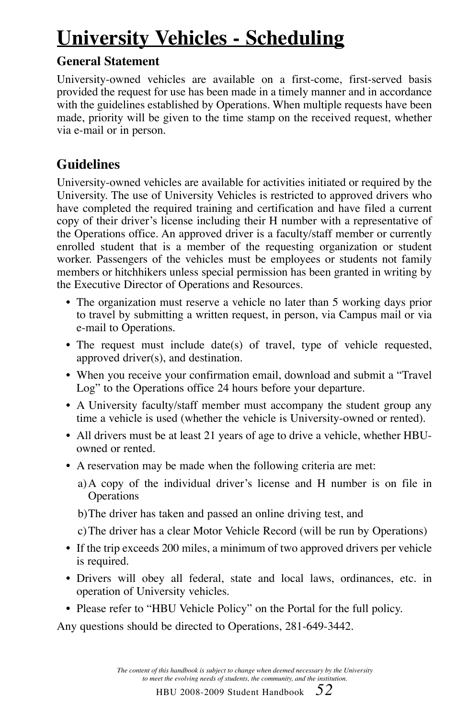## **University Vehicles - Scheduling**

### **General Statement**

University-owned vehicles are available on a first-come, first-served basis provided the request for use has been made in a timely manner and in accordance with the guidelines established by Operations. When multiple requests have been made, priority will be given to the time stamp on the received request, whether via e-mail or in person.

### **Guidelines**

University-owned vehicles are available for activities initiated or required by the University. The use of University Vehicles is restricted to approved drivers who have completed the required training and certification and have filed a current copy of their driver's license including their H number with a representative of the Operations office. An approved driver is a faculty/staff member or currently enrolled student that is a member of the requesting organization or student worker. Passengers of the vehicles must be employees or students not family members or hitchhikers unless special permission has been granted in writing by the Executive Director of Operations and Resources.

- The organization must reserve a vehicle no later than 5 working days prior to travel by submitting a written request, in person, via Campus mail or via e-mail to Operations.
- The request must include date(s) of travel, type of vehicle requested, approved driver(s), and destination.
- When you receive your confirmation email, download and submit a "Travel Log" to the Operations office 24 hours before your departure.
- A University faculty/staff member must accompany the student group any time a vehicle is used (whether the vehicle is University-owned or rented).
- All drivers must be at least 21 years of age to drive a vehicle, whether HBUowned or rented.
- A reservation may be made when the following criteria are met:
	- a) A copy of the individual driver's license and H number is on file in **Operations**
	- b) The driver has taken and passed an online driving test, and
	- c) The driver has a clear Motor Vehicle Record (will be run by Operations)
- If the trip exceeds 200 miles, a minimum of two approved drivers per vehicle is required.
- Drivers will obey all federal, state and local laws, ordinances, etc. in operation of University vehicles.
- Please refer to "HBU Vehicle Policy" on the Portal for the full policy.

Any questions should be directed to Operations, 281-649-3442.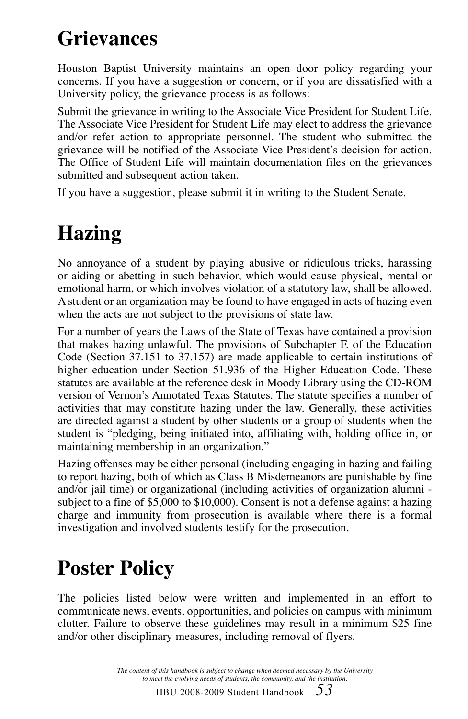## **Grievances**

Houston Baptist University maintains an open door policy regarding your concerns. If you have a suggestion or concern, or if you are dissatisfied with a University policy, the grievance process is as follows:

Submit the grievance in writing to the Associate Vice President for Student Life. The Associate Vice President for Student Life may elect to address the grievance and/or refer action to appropriate personnel. The student who submitted the grievance will be notified of the Associate Vice President's decision for action. The Office of Student Life will maintain documentation files on the grievances submitted and subsequent action taken.

If you have a suggestion, please submit it in writing to the Student Senate.

## **Hazing**

No annoyance of a student by playing abusive or ridiculous tricks, harassing or aiding or abetting in such behavior, which would cause physical, mental or emotional harm, or which involves violation of a statutory law, shall be allowed. A student or an organization may be found to have engaged in acts of hazing even when the acts are not subject to the provisions of state law.

For a number of years the Laws of the State of Texas have contained a provision that makes hazing unlawful. The provisions of Subchapter F. of the Education Code (Section 37.151 to 37.157) are made applicable to certain institutions of higher education under Section 51.936 of the Higher Education Code. These statutes are available at the reference desk in Moody Library using the CD-ROM version of Vernon's Annotated Texas Statutes. The statute specifies a number of activities that may constitute hazing under the law. Generally, these activities are directed against a student by other students or a group of students when the student is "pledging, being initiated into, affiliating with, holding office in, or maintaining membership in an organization."

Hazing offenses may be either personal (including engaging in hazing and failing to report hazing, both of which as Class B Misdemeanors are punishable by fine and/or jail time) or organizational (including activities of organization alumni subject to a fine of \$5,000 to \$10,000). Consent is not a defense against a hazing charge and immunity from prosecution is available where there is a formal investigation and involved students testify for the prosecution.

## **Poster Policy**

The policies listed below were written and implemented in an effort to communicate news, events, opportunities, and policies on campus with minimum clutter. Failure to observe these guidelines may result in a minimum \$25 fine and/or other disciplinary measures, including removal of flyers.

> *The content of this handbook is subject to change when deemed necessary by the University to meet the evolving needs of students, the community, and the institution.*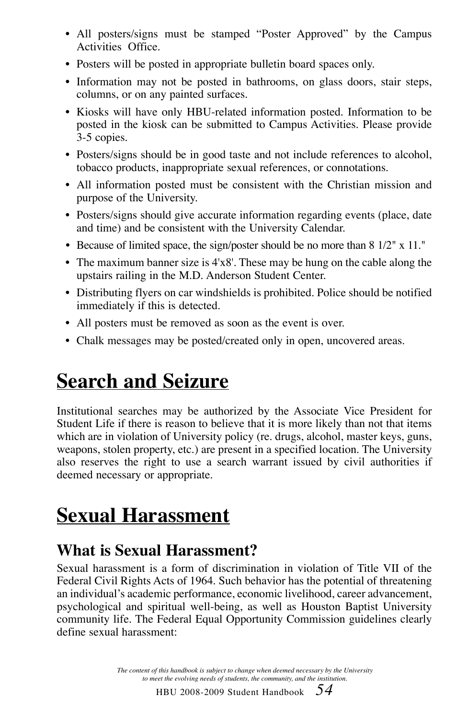- All posters/signs must be stamped "Poster Approved" by the Campus Activities Office.
- Posters will be posted in appropriate bulletin board spaces only.
- Information may not be posted in bathrooms, on glass doors, stair steps, columns, or on any painted surfaces.
- Kiosks will have only HBU-related information posted. Information to be posted in the kiosk can be submitted to Campus Activities. Please provide 3-5 copies.
- Posters/signs should be in good taste and not include references to alcohol, tobacco products, inappropriate sexual references, or connotations.
- All information posted must be consistent with the Christian mission and purpose of the University.
- Posters/signs should give accurate information regarding events (place, date and time) and be consistent with the University Calendar.
- Because of limited space, the sign/poster should be no more than 8 1/2" x 11."
- The maximum banner size is 4'x8'. These may be hung on the cable along the upstairs railing in the M.D. Anderson Student Center.
- Distributing flyers on car windshields is prohibited. Police should be notified immediately if this is detected.
- All posters must be removed as soon as the event is over.
- Chalk messages may be posted/created only in open, uncovered areas.

## **Search and Seizure**

Institutional searches may be authorized by the Associate Vice President for Student Life if there is reason to believe that it is more likely than not that items which are in violation of University policy (re. drugs, alcohol, master keys, guns, weapons, stolen property, etc.) are present in a specified location. The University also reserves the right to use a search warrant issued by civil authorities if deemed necessary or appropriate.

## **Sexual Harassment**

## **What is Sexual Harassment?**

Sexual harassment is a form of discrimination in violation of Title VII of the Federal Civil Rights Acts of 1964. Such behavior has the potential of threatening an individual's academic performance, economic livelihood, career advancement, psychological and spiritual well-being, as well as Houston Baptist University community life. The Federal Equal Opportunity Commission guidelines clearly define sexual harassment:

> *The content of this handbook is subject to change when deemed necessary by the University to meet the evolving needs of students, the community, and the institution.*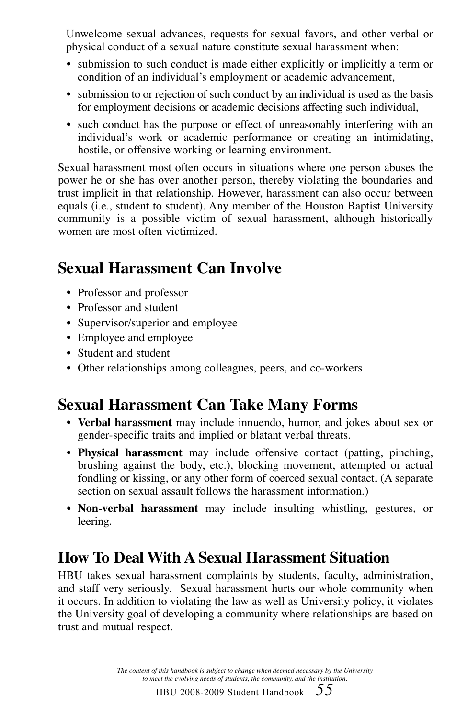Unwelcome sexual advances, requests for sexual favors, and other verbal or physical conduct of a sexual nature constitute sexual harassment when:

- submission to such conduct is made either explicitly or implicitly a term or condition of an individual's employment or academic advancement,
- submission to or rejection of such conduct by an individual is used as the basis for employment decisions or academic decisions affecting such individual,
- such conduct has the purpose or effect of unreasonably interfering with an individual's work or academic performance or creating an intimidating, hostile, or offensive working or learning environment.

Sexual harassment most often occurs in situations where one person abuses the power he or she has over another person, thereby violating the boundaries and trust implicit in that relationship. However, harassment can also occur between equals (i.e., student to student). Any member of the Houston Baptist University community is a possible victim of sexual harassment, although historically women are most often victimized.

### **Sexual Harassment Can Involve**

- Professor and professor
- Professor and student
- Supervisor/superior and employee
- Employee and employee
- Student and student
- Other relationships among colleagues, peers, and co-workers

## **Sexual Harassment Can Take Many Forms**

- **Verbal harassment** may include innuendo, humor, and jokes about sex or gender-specific traits and implied or blatant verbal threats.
- **Physical harassment** may include offensive contact (patting, pinching, brushing against the body, etc.), blocking movement, attempted or actual fondling or kissing, or any other form of coerced sexual contact. (A separate section on sexual assault follows the harassment information.)
- **Non-verbal harassment** may include insulting whistling, gestures, or leering.

## **How To Deal With A Sexual Harassment Situation**

HBU takes sexual harassment complaints by students, faculty, administration, and staff very seriously. Sexual harassment hurts our whole community when it occurs. In addition to violating the law as well as University policy, it violates the University goal of developing a community where relationships are based on trust and mutual respect.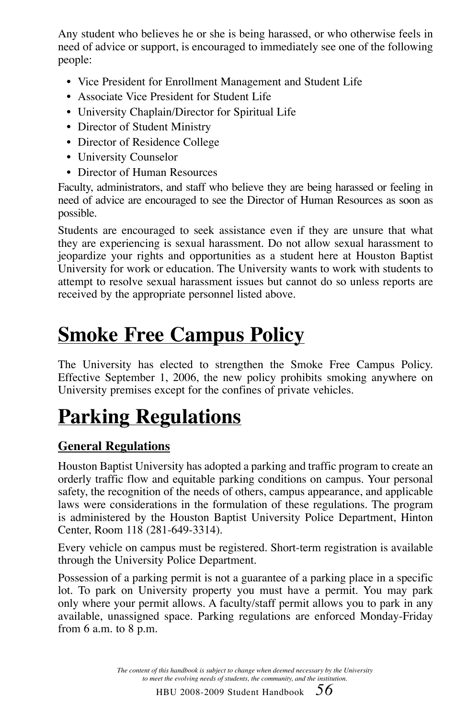Any student who believes he or she is being harassed, or who otherwise feels in need of advice or support, is encouraged to immediately see one of the following people:

- Vice President for Enrollment Management and Student Life
- Associate Vice President for Student Life
- University Chaplain/Director for Spiritual Life
- Director of Student Ministry
- Director of Residence College
- University Counselor
- Director of Human Resources

Faculty, administrators, and staff who believe they are being harassed or feeling in need of advice are encouraged to see the Director of Human Resources as soon as possible.

Students are encouraged to seek assistance even if they are unsure that what they are experiencing is sexual harassment. Do not allow sexual harassment to jeopardize your rights and opportunities as a student here at Houston Baptist University for work or education. The University wants to work with students to attempt to resolve sexual harassment issues but cannot do so unless reports are received by the appropriate personnel listed above.

## **Smoke Free Campus Policy**

The University has elected to strengthen the Smoke Free Campus Policy. Effective September 1, 2006, the new policy prohibits smoking anywhere on University premises except for the confines of private vehicles.

## **Parking Regulations**

### **General Regulations**

Houston Baptist University has adopted a parking and traffic program to create an orderly traffic flow and equitable parking conditions on campus. Your personal safety, the recognition of the needs of others, campus appearance, and applicable laws were considerations in the formulation of these regulations. The program is administered by the Houston Baptist University Police Department, Hinton Center, Room 118 (281-649-3314).

Every vehicle on campus must be registered. Short-term registration is available through the University Police Department.

Possession of a parking permit is not a guarantee of a parking place in a specific lot. To park on University property you must have a permit. You may park only where your permit allows. A faculty/staff permit allows you to park in any available, unassigned space. Parking regulations are enforced Monday-Friday from 6 a.m. to 8 p.m.

> *The content of this handbook is subject to change when deemed necessary by the University to meet the evolving needs of students, the community, and the institution.*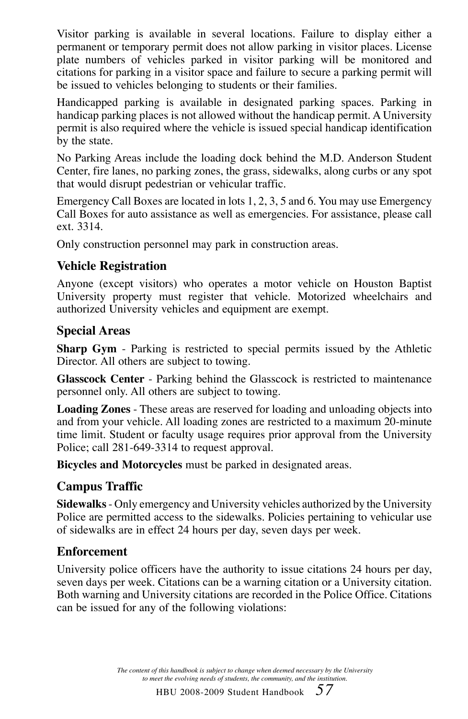Visitor parking is available in several locations. Failure to display either a permanent or temporary permit does not allow parking in visitor places. License plate numbers of vehicles parked in visitor parking will be monitored and citations for parking in a visitor space and failure to secure a parking permit will be issued to vehicles belonging to students or their families.

Handicapped parking is available in designated parking spaces. Parking in handicap parking places is not allowed without the handicap permit. A University permit is also required where the vehicle is issued special handicap identification by the state.

No Parking Areas include the loading dock behind the M.D. Anderson Student Center, fire lanes, no parking zones, the grass, sidewalks, along curbs or any spot that would disrupt pedestrian or vehicular traffic.

Emergency Call Boxes are located in lots 1, 2, 3, 5 and 6. You may use Emergency Call Boxes for auto assistance as well as emergencies. For assistance, please call ext. 3314.

Only construction personnel may park in construction areas.

### **Vehicle Registration**

Anyone (except visitors) who operates a motor vehicle on Houston Baptist University property must register that vehicle. Motorized wheelchairs and authorized University vehicles and equipment are exempt.

#### **Special Areas**

**Sharp Gym** - Parking is restricted to special permits issued by the Athletic Director. All others are subject to towing.

**Glasscock Center** - Parking behind the Glasscock is restricted to maintenance personnel only. All others are subject to towing.

**Loading Zones** - These areas are reserved for loading and unloading objects into and from your vehicle. All loading zones are restricted to a maximum 20-minute time limit. Student or faculty usage requires prior approval from the University Police; call 281-649-3314 to request approval.

**Bicycles and Motorcycles** must be parked in designated areas.

### **Campus Traffic**

**Sidewalks** - Only emergency and University vehicles authorized by the University Police are permitted access to the sidewalks. Policies pertaining to vehicular use of sidewalks are in effect 24 hours per day, seven days per week.

#### **Enforcement**

University police officers have the authority to issue citations 24 hours per day, seven days per week. Citations can be a warning citation or a University citation. Both warning and University citations are recorded in the Police Office. Citations can be issued for any of the following violations: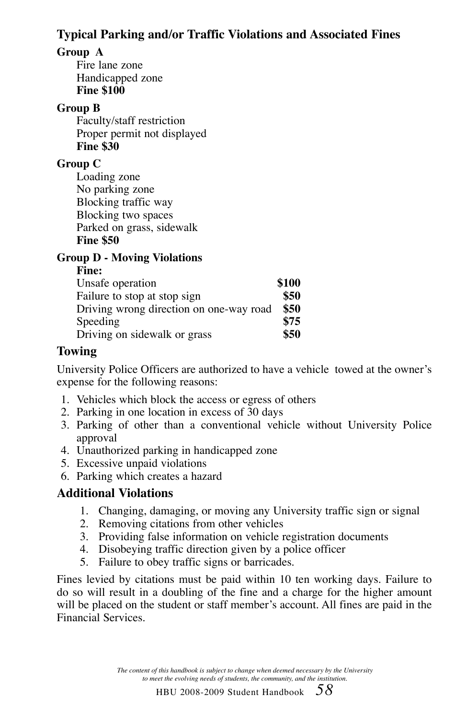### **Typical Parking and/or Traffic Violations and Associated Fines**

### **Group A**

Fire lane zone Handicapped zone **Fine \$100**

#### **Group B**

Faculty/staff restriction Proper permit not displayed **Fine \$30**

### **Group C**

Loading zone No parking zone Blocking traffic way Blocking two spaces Parked on grass, sidewalk **Fine \$50**

### **Group D - Moving Violations**

| ł |
|---|
|---|

| \$100 |
|-------|
| \$50  |
| \$50  |
| \$75  |
| \$50  |
|       |

### **Towing**

University Police Officers are authorized to have a vehicle towed at the owner's expense for the following reasons:

- 1. Vehicles which block the access or egress of others
- 2. Parking in one location in excess of 30 days
- 3. Parking of other than a conventional vehicle without University Police approval
- 4. Unauthorized parking in handicapped zone
- 5. Excessive unpaid violations
- 6. Parking which creates a hazard

### **Additional Violations**

- 1. Changing, damaging, or moving any University traffic sign or signal
- 2. Removing citations from other vehicles
- 3. Providing false information on vehicle registration documents
- 4. Disobeying traffic direction given by a police officer
- 5. Failure to obey traffic signs or barricades.

Fines levied by citations must be paid within 10 ten working days. Failure to do so will result in a doubling of the fine and a charge for the higher amount will be placed on the student or staff member's account. All fines are paid in the Financial Services.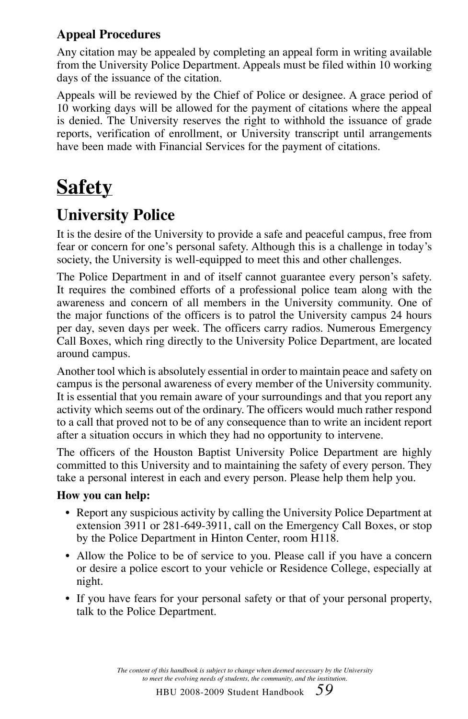### **Appeal Procedures**

Any citation may be appealed by completing an appeal form in writing available from the University Police Department. Appeals must be filed within 10 working days of the issuance of the citation.

Appeals will be reviewed by the Chief of Police or designee. A grace period of 10 working days will be allowed for the payment of citations where the appeal is denied. The University reserves the right to withhold the issuance of grade reports, verification of enrollment, or University transcript until arrangements have been made with Financial Services for the payment of citations.

## **Safety**

## **University Police**

It is the desire of the University to provide a safe and peaceful campus, free from fear or concern for one's personal safety. Although this is a challenge in today's society, the University is well-equipped to meet this and other challenges.

The Police Department in and of itself cannot guarantee every person's safety. It requires the combined efforts of a professional police team along with the awareness and concern of all members in the University community. One of the major functions of the officers is to patrol the University campus 24 hours per day, seven days per week. The officers carry radios. Numerous Emergency Call Boxes, which ring directly to the University Police Department, are located around campus.

Another tool which is absolutely essential in order to maintain peace and safety on campus is the personal awareness of every member of the University community. It is essential that you remain aware of your surroundings and that you report any activity which seems out of the ordinary. The officers would much rather respond to a call that proved not to be of any consequence than to write an incident report after a situation occurs in which they had no opportunity to intervene.

The officers of the Houston Baptist University Police Department are highly committed to this University and to maintaining the safety of every person. They take a personal interest in each and every person. Please help them help you.

### **How you can help:**

- Report any suspicious activity by calling the University Police Department at extension 3911 or 281-649-3911, call on the Emergency Call Boxes, or stop by the Police Department in Hinton Center, room H118.
- Allow the Police to be of service to you. Please call if you have a concern or desire a police escort to your vehicle or Residence College, especially at night.
- If you have fears for your personal safety or that of your personal property, talk to the Police Department.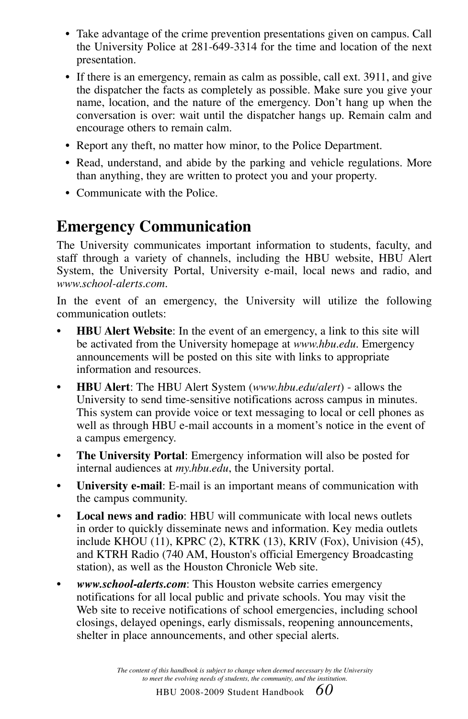- Take advantage of the crime prevention presentations given on campus. Call the University Police at 281-649-3314 for the time and location of the next presentation.
- If there is an emergency, remain as calm as possible, call ext. 3911, and give the dispatcher the facts as completely as possible. Make sure you give your name, location, and the nature of the emergency. Don't hang up when the conversation is over: wait until the dispatcher hangs up. Remain calm and encourage others to remain calm.
- Report any theft, no matter how minor, to the Police Department.
- Read, understand, and abide by the parking and vehicle regulations. More than anything, they are written to protect you and your property.
- Communicate with the Police.

### **Emergency Communication**

The University communicates important information to students, faculty, and staff through a variety of channels, including the HBU website, HBU Alert System, the University Portal, University e-mail, local news and radio, and *www.school-alerts.com*.

In the event of an emergency, the University will utilize the following communication outlets:

- **HBU Alert Website**: In the event of an emergency, a link to this site will be activated from the University homepage at *www.hbu.edu*. Emergency announcements will be posted on this site with links to appropriate information and resources.
- **HBU Alert**: The HBU Alert System (*www.hbu.edu/alert*) allows the University to send time-sensitive notifications across campus in minutes. This system can provide voice or text messaging to local or cell phones as well as through HBU e-mail accounts in a moment's notice in the event of a campus emergency.
- **The University Portal**: Emergency information will also be posted for internal audiences at *my.hbu.edu*, the University portal.
- **University e-mail**: E-mail is an important means of communication with the campus community.
- **Local news and radio**: HBU will communicate with local news outlets in order to quickly disseminate news and information. Key media outlets include KHOU (11), KPRC (2), KTRK (13), KRIV (Fox), Univision (45), and KTRH Radio (740 AM, Houston's official Emergency Broadcasting station), as well as the Houston Chronicle Web site.
- *www.school-alerts.com*: This Houston website carries emergency notifications for all local public and private schools. You may visit the Web site to receive notifications of school emergencies, including school closings, delayed openings, early dismissals, reopening announcements, shelter in place announcements, and other special alerts.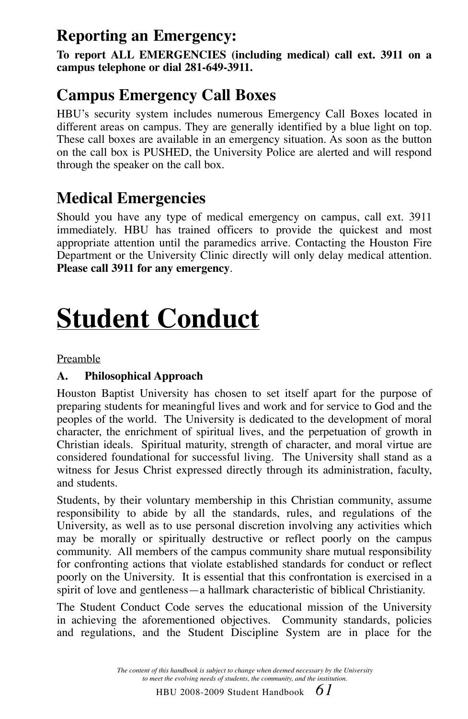### **Reporting an Emergency:**

**To report ALL EMERGENCIES (including medical) call ext. 3911 on a campus telephone or dial 281-649-3911.**

## **Campus Emergency Call Boxes**

HBU's security system includes numerous Emergency Call Boxes located in different areas on campus. They are generally identified by a blue light on top. These call boxes are available in an emergency situation. As soon as the button on the call box is PUSHED, the University Police are alerted and will respond through the speaker on the call box.

## **Medical Emergencies**

Should you have any type of medical emergency on campus, call ext. 3911 immediately. HBU has trained officers to provide the quickest and most appropriate attention until the paramedics arrive. Contacting the Houston Fire Department or the University Clinic directly will only delay medical attention. **Please call 3911 for any emergency**.

## **Student Conduct**

Preamble

### **A. Philosophical Approach**

Houston Baptist University has chosen to set itself apart for the purpose of preparing students for meaningful lives and work and for service to God and the peoples of the world. The University is dedicated to the development of moral character, the enrichment of spiritual lives, and the perpetuation of growth in Christian ideals. Spiritual maturity, strength of character, and moral virtue are considered foundational for successful living. The University shall stand as a witness for Jesus Christ expressed directly through its administration, faculty, and students.

Students, by their voluntary membership in this Christian community, assume responsibility to abide by all the standards, rules, and regulations of the University, as well as to use personal discretion involving any activities which may be morally or spiritually destructive or reflect poorly on the campus community. All members of the campus community share mutual responsibility for confronting actions that violate established standards for conduct or reflect poorly on the University. It is essential that this confrontation is exercised in a spirit of love and gentleness—a hallmark characteristic of biblical Christianity.

The Student Conduct Code serves the educational mission of the University in achieving the aforementioned objectives. Community standards, policies and regulations, and the Student Discipline System are in place for the

> *The content of this handbook is subject to change when deemed necessary by the University to meet the evolving needs of students, the community, and the institution.*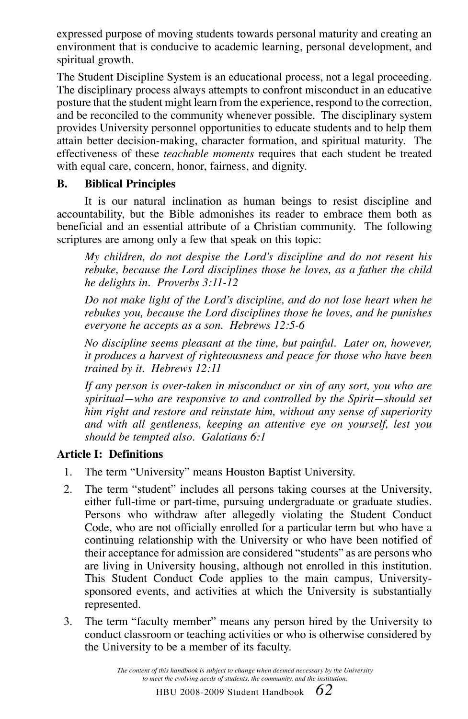expressed purpose of moving students towards personal maturity and creating an environment that is conducive to academic learning, personal development, and spiritual growth.

The Student Discipline System is an educational process, not a legal proceeding. The disciplinary process always attempts to confront misconduct in an educative posture that the student might learn from the experience, respond to the correction, and be reconciled to the community whenever possible. The disciplinary system provides University personnel opportunities to educate students and to help them attain better decision-making, character formation, and spiritual maturity. The effectiveness of these *teachable moments* requires that each student be treated with equal care, concern, honor, fairness, and dignity.

#### **B. Biblical Principles**

It is our natural inclination as human beings to resist discipline and accountability, but the Bible admonishes its reader to embrace them both as beneficial and an essential attribute of a Christian community. The following scriptures are among only a few that speak on this topic:

*My children, do not despise the Lord's discipline and do not resent his rebuke, because the Lord disciplines those he loves, as a father the child he delights in. Proverbs 3:11-12*

*Do not make light of the Lord's discipline, and do not lose heart when he rebukes you, because the Lord disciplines those he loves, and he punishes everyone he accepts as a son. Hebrews 12:5-6*

*No discipline seems pleasant at the time, but painful. Later on, however, it produces a harvest of righteousness and peace for those who have been trained by it. Hebrews 12:11*

*If any person is over-taken in misconduct or sin of any sort, you who are spiritual—who are responsive to and controlled by the Spirit—should set him right and restore and reinstate him, without any sense of superiority and with all gentleness, keeping an attentive eye on yourself, lest you should be tempted also. Galatians 6:1*

### **Article I: Definitions**

- 1. The term "University" means Houston Baptist University.
- 2. The term "student" includes all persons taking courses at the University, either full-time or part-time, pursuing undergraduate or graduate studies. Persons who withdraw after allegedly violating the Student Conduct Code, who are not officially enrolled for a particular term but who have a continuing relationship with the University or who have been notified of their acceptance for admission are considered "students" as are persons who are living in University housing, although not enrolled in this institution. This Student Conduct Code applies to the main campus, Universitysponsored events, and activities at which the University is substantially represented.
- 3. The term "faculty member" means any person hired by the University to conduct classroom or teaching activities or who is otherwise considered by the University to be a member of its faculty.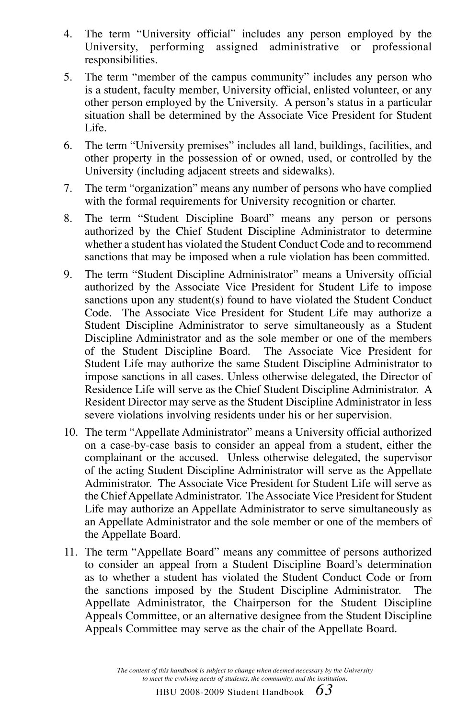- 4. The term "University official" includes any person employed by the University, performing assigned administrative or professional University, performing assigned administrative or responsibilities.
- 5. The term "member of the campus community" includes any person who is a student, faculty member, University official, enlisted volunteer, or any other person employed by the University. A person's status in a particular situation shall be determined by the Associate Vice President for Student Life.
- 6. The term "University premises" includes all land, buildings, facilities, and other property in the possession of or owned, used, or controlled by the University (including adjacent streets and sidewalks).
- 7. The term "organization" means any number of persons who have complied with the formal requirements for University recognition or charter.
- 8. The term "Student Discipline Board" means any person or persons authorized by the Chief Student Discipline Administrator to determine whether a student has violated the Student Conduct Code and to recommend sanctions that may be imposed when a rule violation has been committed.
- 9. The term "Student Discipline Administrator" means a University official authorized by the Associate Vice President for Student Life to impose sanctions upon any student(s) found to have violated the Student Conduct Code. The Associate Vice President for Student Life may authorize a Student Discipline Administrator to serve simultaneously as a Student Discipline Administrator and as the sole member or one of the members of the Student Discipline Board. The Associate Vice President for Student Life may authorize the same Student Discipline Administrator to impose sanctions in all cases. Unless otherwise delegated, the Director of Residence Life will serve as the Chief Student Discipline Administrator. A Resident Director may serve as the Student Discipline Administrator in less severe violations involving residents under his or her supervision.
- 10. The term "Appellate Administrator" means a University official authorized on a case-by-case basis to consider an appeal from a student, either the complainant or the accused. Unless otherwise delegated, the supervisor of the acting Student Discipline Administrator will serve as the Appellate Administrator. The Associate Vice President for Student Life will serve as the Chief Appellate Administrator. The Associate Vice President for Student Life may authorize an Appellate Administrator to serve simultaneously as an Appellate Administrator and the sole member or one of the members of the Appellate Board.
- 11. The term "Appellate Board" means any committee of persons authorized to consider an appeal from a Student Discipline Board's determination as to whether a student has violated the Student Conduct Code or from the sanctions imposed by the Student Discipline Administrator. The Appellate Administrator, the Chairperson for the Student Discipline Appeals Committee, or an alternative designee from the Student Discipline Appeals Committee may serve as the chair of the Appellate Board.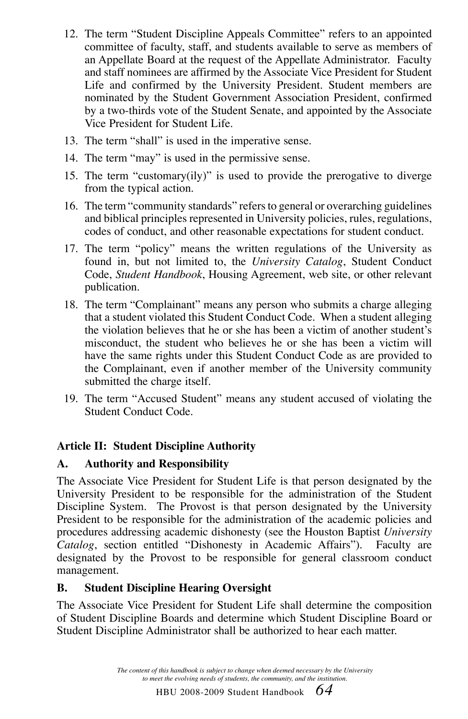- 12. The term "Student Discipline Appeals Committee" refers to an appointed committee of faculty, staff, and students available to serve as members of an Appellate Board at the request of the Appellate Administrator. Faculty and staff nominees are affirmed by the Associate Vice President for Student Life and confirmed by the University President. Student members are nominated by the Student Government Association President, confirmed by a two-thirds vote of the Student Senate, and appointed by the Associate Vice President for Student Life.
- 13. The term "shall" is used in the imperative sense.
- 14. The term "may" is used in the permissive sense.
- 15. The term "customary(ily)" is used to provide the prerogative to diverge from the typical action.
- 16. The term "community standards" refers to general or overarching guidelines and biblical principles represented in University policies, rules, regulations, codes of conduct, and other reasonable expectations for student conduct.
- 17. The term "policy" means the written regulations of the University as found in, but not limited to, the *University Catalog*, Student Conduct Code, *Student Handbook*, Housing Agreement, web site, or other relevant publication.
- 18. The term "Complainant" means any person who submits a charge alleging that a student violated this Student Conduct Code. When a student alleging the violation believes that he or she has been a victim of another student's misconduct, the student who believes he or she has been a victim will have the same rights under this Student Conduct Code as are provided to the Complainant, even if another member of the University community submitted the charge itself.
- 19. The term "Accused Student" means any student accused of violating the Student Conduct Code.

#### **Article II: Student Discipline Authority**

#### **A. Authority and Responsibility**

The Associate Vice President for Student Life is that person designated by the University President to be responsible for the administration of the Student Discipline System. The Provost is that person designated by the University President to be responsible for the administration of the academic policies and procedures addressing academic dishonesty (see the Houston Baptist *University Catalog*, section entitled "Dishonesty in Academic Affairs"). Faculty are designated by the Provost to be responsible for general classroom conduct management.

#### **B. Student Discipline Hearing Oversight**

The Associate Vice President for Student Life shall determine the composition of Student Discipline Boards and determine which Student Discipline Board or Student Discipline Administrator shall be authorized to hear each matter.

> *The content of this handbook is subject to change when deemed necessary by the University to meet the evolving needs of students, the community, and the institution.*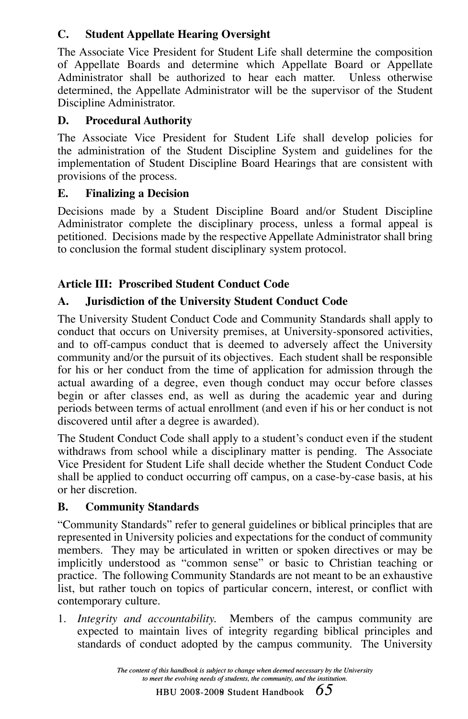### **C. Student Appellate Hearing Oversight**

The Associate Vice President for Student Life shall determine the composition of Appellate Boards and determine which Appellate Board or Appellate Administrator shall be authorized to hear each matter. Unless otherwise determined, the Appellate Administrator will be the supervisor of the Student Discipline Administrator.

### **D. Procedural Authority**

The Associate Vice President for Student Life shall develop policies for the administration of the Student Discipline System and guidelines for the implementation of Student Discipline Board Hearings that are consistent with provisions of the process.

#### **E. Finalizing a Decision**

Decisions made by a Student Discipline Board and/or Student Discipline Administrator complete the disciplinary process, unless a formal appeal is petitioned. Decisions made by the respective Appellate Administrator shall bring to conclusion the formal student disciplinary system protocol.

### **Article III: Proscribed Student Conduct Code**

### **A. Jurisdiction of the University Student Conduct Code**

The University Student Conduct Code and Community Standards shall apply to conduct that occurs on University premises, at University-sponsored activities, and to off-campus conduct that is deemed to adversely affect the University community and/or the pursuit of its objectives. Each student shall be responsible for his or her conduct from the time of application for admission through the actual awarding of a degree, even though conduct may occur before classes begin or after classes end, as well as during the academic year and during periods between terms of actual enrollment (and even if his or her conduct is not discovered until after a degree is awarded).

The Student Conduct Code shall apply to a student's conduct even if the student withdraws from school while a disciplinary matter is pending. The Associate Vice President for Student Life shall decide whether the Student Conduct Code shall be applied to conduct occurring off campus, on a case-by-case basis, at his or her discretion.

### **B. Community Standards**

"Community Standards" refer to general guidelines or biblical principles that are represented in University policies and expectations for the conduct of community members. They may be articulated in written or spoken directives or may be implicitly understood as "common sense" or basic to Christian teaching or practice. The following Community Standards are not meant to be an exhaustive list, but rather touch on topics of particular concern, interest, or conflict with contemporary culture.

1. *Integrity and accountability.* Members of the campus community are expected to maintain lives of integrity regarding biblical principles and standards of conduct adopted by the campus community. The University

> *The content of this handbook is subject to change when deemed necessary by the University to meet the evolving needs of students, the community, and the institution.*

HBU 2008-2009 Student Handbook *65* 2007-2008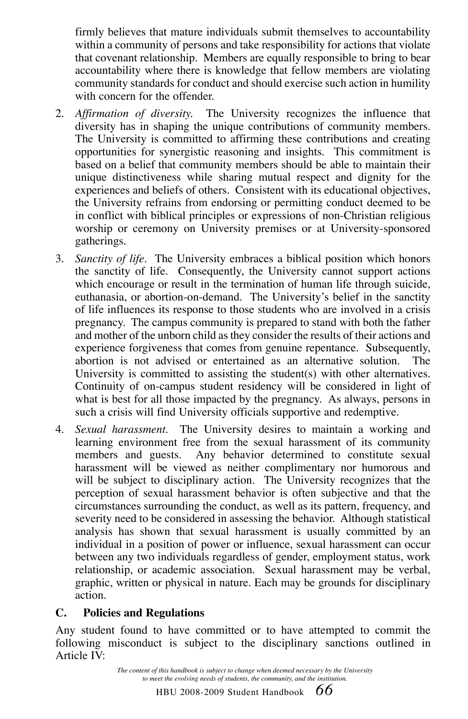firmly believes that mature individuals submit themselves to accountability within a community of persons and take responsibility for actions that violate that covenant relationship. Members are equally responsible to bring to bear accountability where there is knowledge that fellow members are violating community standards for conduct and should exercise such action in humility with concern for the offender.

- 2. *Affirmation of diversity.* The University recognizes the influence that diversity has in shaping the unique contributions of community members. The University is committed to affirming these contributions and creating opportunities for synergistic reasoning and insights. This commitment is based on a belief that community members should be able to maintain their unique distinctiveness while sharing mutual respect and dignity for the experiences and beliefs of others. Consistent with its educational objectives, the University refrains from endorsing or permitting conduct deemed to be in conflict with biblical principles or expressions of non-Christian religious worship or ceremony on University premises or at University-sponsored gatherings.
- 3. *Sanctity of life.* The University embraces a biblical position which honors the sanctity of life. Consequently, the University cannot support actions which encourage or result in the termination of human life through suicide, euthanasia, or abortion-on-demand. The University's belief in the sanctity of life influences its response to those students who are involved in a crisis pregnancy. The campus community is prepared to stand with both the father and mother of the unborn child as they consider the results of their actions and experience forgiveness that comes from genuine repentance. Subsequently, abortion is not advised or entertained as an alternative solution. The University is committed to assisting the student(s) with other alternatives. Continuity of on-campus student residency will be considered in light of what is best for all those impacted by the pregnancy. As always, persons in such a crisis will find University officials supportive and redemptive.
- 4. *Sexual harassment.* The University desires to maintain a working and learning environment free from the sexual harassment of its community<br>members and guests. Any behavior determined to constitute sexual Any behavior determined to constitute sexual harassment will be viewed as neither complimentary nor humorous and will be subject to disciplinary action. The University recognizes that the perception of sexual harassment behavior is often subjective and that the circumstances surrounding the conduct, as well as its pattern, frequency, and severity need to be considered in assessing the behavior. Although statistical analysis has shown that sexual harassment is usually committed by an individual in a position of power or influence, sexual harassment can occur between any two individuals regardless of gender, employment status, work relationship, or academic association. Sexual harassment may be verbal, graphic, written or physical in nature. Each may be grounds for disciplinary action.

#### **C. Policies and Regulations**

Any student found to have committed or to have attempted to commit the following misconduct is subject to the disciplinary sanctions outlined in Article IV: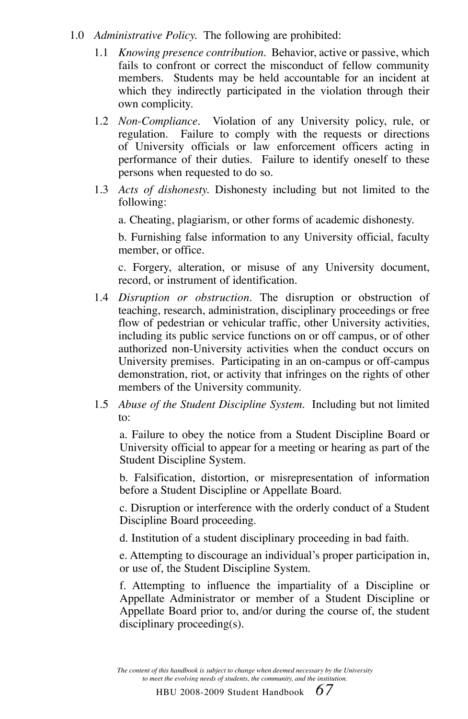- 1.0 *Administrative Policy.* The following are prohibited:
	- 1.1 *Knowing presence contribution.* Behavior, active or passive, which fails to confront or correct the misconduct of fellow community members. Students may be held accountable for an incident at which they indirectly participated in the violation through their own complicity.
	- 1.2 *Non-Compliance*. Violation of any University policy, rule, or regulation. Failure to comply with the requests or directions Failure to comply with the requests or directions of University officials or law enforcement officers acting in performance of their duties. Failure to identify oneself to these persons when requested to do so.
	- 1.3 *Acts of dishonesty.* Dishonesty including but not limited to the following:

a. Cheating, plagiarism, or other forms of academic dishonesty.

b. Furnishing false information to any University official, faculty member, or office.

c. Forgery, alteration, or misuse of any University document, record, or instrument of identification.

- 1.4 *Disruption or obstruction.* The disruption or obstruction of teaching, research, administration, disciplinary proceedings or free flow of pedestrian or vehicular traffic, other University activities, including its public service functions on or off campus, or of other authorized non-University activities when the conduct occurs on University premises. Participating in an on-campus or off-campus demonstration, riot, or activity that infringes on the rights of other members of the University community.
- 1.5 *Abuse of the Student Discipline System.* Including but not limited to:

a. Failure to obey the notice from a Student Discipline Board or University official to appear for a meeting or hearing as part of the Student Discipline System.

b. Falsification, distortion, or misrepresentation of information before a Student Discipline or Appellate Board.

c. Disruption or interference with the orderly conduct of a Student Discipline Board proceeding.

d. Institution of a student disciplinary proceeding in bad faith.

e. Attempting to discourage an individual's proper participation in, or use of, the Student Discipline System.

f. Attempting to influence the impartiality of a Discipline or Appellate Administrator or member of a Student Discipline or Appellate Board prior to, and/or during the course of, the student disciplinary proceeding(s).

*The content of this handbook is subject to change when deemed necessary by the University to meet the evolving needs of students, the community, and the institution.*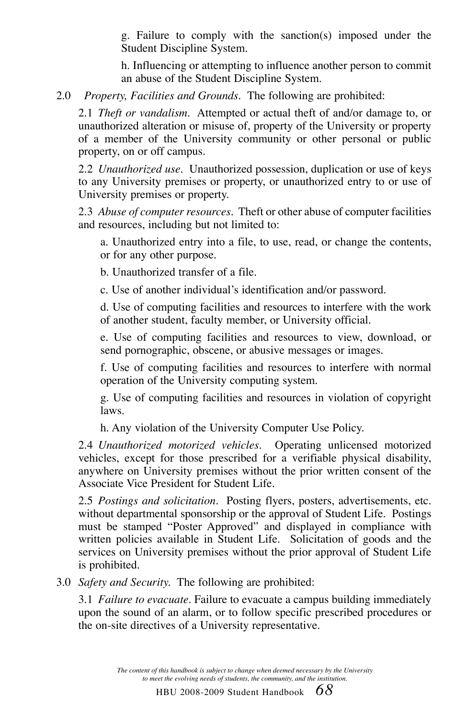g. Failure to comply with the sanction(s) imposed under the Student Discipline System.

h. Influencing or attempting to influence another person to commit an abuse of the Student Discipline System.

2.0 *Property, Facilities and Grounds.* The following are prohibited:

2.1 *Theft or vandalism.* Attempted or actual theft of and/or damage to, or unauthorized alteration or misuse of, property of the University or property of a member of the University community or other personal or public property, on or off campus.

2.2 *Unauthorized use.* Unauthorized possession, duplication or use of keys to any University premises or property, or unauthorized entry to or use of University premises or property.

2.3 *Abuse of computer resources*. Theft or other abuse of computer facilities and resources, including but not limited to:

a. Unauthorized entry into a file, to use, read, or change the contents, or for any other purpose.

b. Unauthorized transfer of a file.

c. Use of another individual's identification and/or password.

d. Use of computing facilities and resources to interfere with the work of another student, faculty member, or University official.

e. Use of computing facilities and resources to view, download, or send pornographic, obscene, or abusive messages or images.

f. Use of computing facilities and resources to interfere with normal operation of the University computing system.

g. Use of computing facilities and resources in violation of copyright laws.

h. Any violation of the University Computer Use Policy.

2.4 *Unauthorized motorized vehicles.* Operating unlicensed motorized vehicles, except for those prescribed for a verifiable physical disability, anywhere on University premises without the prior written consent of the Associate Vice President for Student Life.

2.5 *Postings and solicitation.* Posting flyers, posters, advertisements, etc. without departmental sponsorship or the approval of Student Life. Postings must be stamped "Poster Approved" and displayed in compliance with written policies available in Student Life. Solicitation of goods and the services on University premises without the prior approval of Student Life is prohibited.

3.0 *Safety and Security.* The following are prohibited:

3.1 *Failure to evacuate.* Failure to evacuate a campus building immediately upon the sound of an alarm, or to follow specific prescribed procedures or the on-site directives of a University representative.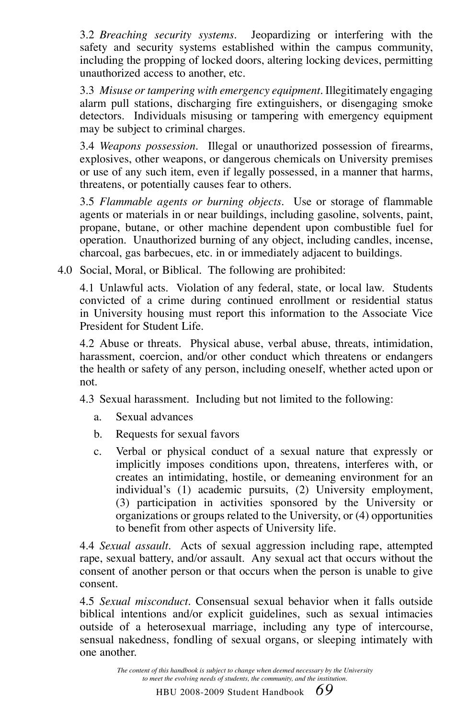3.2 *Breaching security systems.* Jeopardizing or interfering with the safety and security systems established within the campus community, including the propping of locked doors, altering locking devices, permitting unauthorized access to another, etc.

3.3 *Misuse or tampering with emergency equipment.* Illegitimately engaging alarm pull stations, discharging fire extinguishers, or disengaging smoke detectors. Individuals misusing or tampering with emergency equipment may be subject to criminal charges.

3.4 *Weapons possession.* Illegal or unauthorized possession of firearms, explosives, other weapons, or dangerous chemicals on University premises or use of any such item, even if legally possessed, in a manner that harms, threatens, or potentially causes fear to others.

3.5 *Flammable agents or burning objects.* Use or storage of flammable agents or materials in or near buildings, including gasoline, solvents, paint, propane, butane, or other machine dependent upon combustible fuel for operation. Unauthorized burning of any object, including candles, incense, charcoal, gas barbecues, etc. in or immediately adjacent to buildings.

4.0 Social, Moral, or Biblical. The following are prohibited:

4.1 Unlawful acts. Violation of any federal, state, or local law. Students convicted of a crime during continued enrollment or residential status in University housing must report this information to the Associate Vice President for Student Life.

4.2 Abuse or threats. Physical abuse, verbal abuse, threats, intimidation, harassment, coercion, and/or other conduct which threatens or endangers the health or safety of any person, including oneself, whether acted upon or not.

4.3 Sexual harassment. Including but not limited to the following:

- a. Sexual advances
- b. Requests for sexual favors
- c. Verbal or physical conduct of a sexual nature that expressly or implicitly imposes conditions upon, threatens, interferes with, or creates an intimidating, hostile, or demeaning environment for an individual's (1) academic pursuits, (2) University employment, (3) participation in activities sponsored by the University or organizations or groups related to the University, or (4) opportunities to benefit from other aspects of University life.

4.4 *Sexual assault.* Acts of sexual aggression including rape, attempted rape, sexual battery, and/or assault. Any sexual act that occurs without the consent of another person or that occurs when the person is unable to give consent.

4.5 *Sexual misconduct.* Consensual sexual behavior when it falls outside biblical intentions and/or explicit guidelines, such as sexual intimacies outside of a heterosexual marriage, including any type of intercourse, sensual nakedness, fondling of sexual organs, or sleeping intimately with one another.

> *The content of this handbook is subject to change when deemed necessary by the University to meet the evolving needs of students, the community, and the institution.*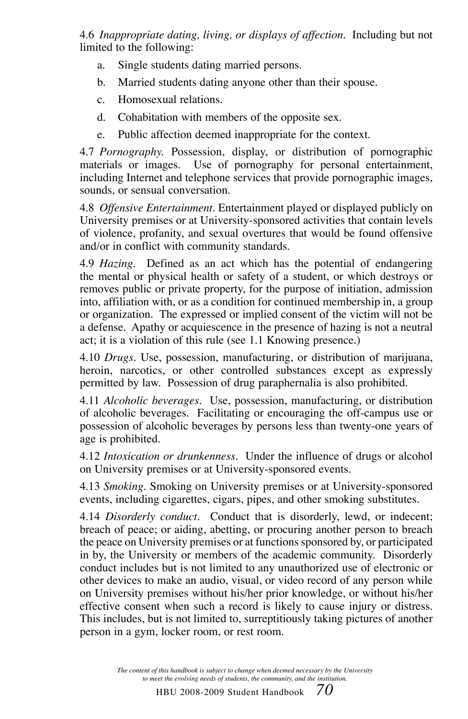4.6 *Inappropriate dating, living, or displays of affection*. Including but not limited to the following:

- a. Single students dating married persons.
- b. Married students dating anyone other than their spouse.
- c. Homosexual relations.
- d. Cohabitation with members of the opposite sex.
- e. Public affection deemed inappropriate for the context.

4.7 *Pornography.* Possession, display, or distribution of pornographic materials or images. Use of pornography for personal entertainment, including Internet and telephone services that provide pornographic images, sounds, or sensual conversation.

4.8 *Offensive Entertainment.* Entertainment played or displayed publicly on University premises or at University-sponsored activities that contain levels of violence, profanity, and sexual overtures that would be found offensive and/or in conflict with community standards.

4.9 *Hazing.* Defined as an act which has the potential of endangering the mental or physical health or safety of a student, or which destroys or removes public or private property, for the purpose of initiation, admission into, affiliation with, or as a condition for continued membership in, a group or organization. The expressed or implied consent of the victim will not be a defense. Apathy or acquiescence in the presence of hazing is not a neutral act; it is a violation of this rule (see 1.1 Knowing presence.)

4.10 *Drugs.* Use, possession, manufacturing, or distribution of marijuana, heroin, narcotics, or other controlled substances except as expressly permitted by law. Possession of drug paraphernalia is also prohibited.

4.11 *Alcoholic beverages.* Use, possession, manufacturing, or distribution of alcoholic beverages. Facilitating or encouraging the off-campus use or possession of alcoholic beverages by persons less than twenty-one years of age is prohibited.

4.12 *Intoxication or drunkenness.* Under the influence of drugs or alcohol on University premises or at University-sponsored events.

4.13 *Smoking.* Smoking on University premises or at University-sponsored events, including cigarettes, cigars, pipes, and other smoking substitutes.

4.14 *Disorderly conduct.* Conduct that is disorderly, lewd, or indecent; breach of peace; or aiding, abetting, or procuring another person to breach the peace on University premises or at functions sponsored by, or participated in by, the University or members of the academic community. Disorderly conduct includes but is not limited to any unauthorized use of electronic or other devices to make an audio, visual, or video record of any person while on University premises without his/her prior knowledge, or without his/her effective consent when such a record is likely to cause injury or distress. This includes, but is not limited to, surreptitiously taking pictures of another person in a gym, locker room, or rest room.

> *The content of this handbook is subject to change when deemed necessary by the University to meet the evolving needs of students, the community, and the institution.*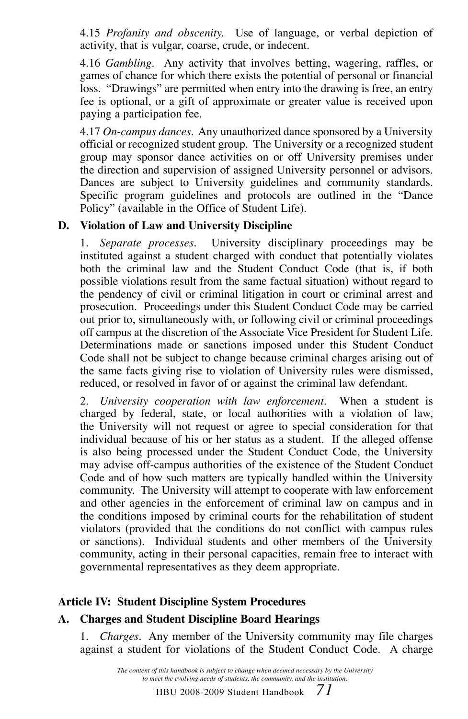4.15 *Profanity and obscenity.* Use of language, or verbal depiction of activity, that is vulgar, coarse, crude, or indecent.

4.16 *Gambling.* Any activity that involves betting, wagering, raffles, or games of chance for which there exists the potential of personal or financial loss. "Drawings" are permitted when entry into the drawing is free, an entry fee is optional, or a gift of approximate or greater value is received upon paying a participation fee.

4.17 *On-campus dances.* Any unauthorized dance sponsored by a University official or recognized student group. The University or a recognized student group may sponsor dance activities on or off University premises under the direction and supervision of assigned University personnel or advisors. Dances are subject to University guidelines and community standards. Specific program guidelines and protocols are outlined in the "Dance Policy" (available in the Office of Student Life).

#### **D. Violation of Law and University Discipline**

1. *Separate processes.* University disciplinary proceedings may be instituted against a student charged with conduct that potentially violates both the criminal law and the Student Conduct Code (that is, if both possible violations result from the same factual situation) without regard to the pendency of civil or criminal litigation in court or criminal arrest and prosecution. Proceedings under this Student Conduct Code may be carried out prior to, simultaneously with, or following civil or criminal proceedings off campus at the discretion of the Associate Vice President for Student Life. Determinations made or sanctions imposed under this Student Conduct Code shall not be subject to change because criminal charges arising out of the same facts giving rise to violation of University rules were dismissed, reduced, or resolved in favor of or against the criminal law defendant.

2. *University cooperation with law enforcement.* When a student is charged by federal, state, or local authorities with a violation of law, the University will not request or agree to special consideration for that individual because of his or her status as a student. If the alleged offense is also being processed under the Student Conduct Code, the University may advise off-campus authorities of the existence of the Student Conduct Code and of how such matters are typically handled within the University community. The University will attempt to cooperate with law enforcement and other agencies in the enforcement of criminal law on campus and in the conditions imposed by criminal courts for the rehabilitation of student violators (provided that the conditions do not conflict with campus rules or sanctions). Individual students and other members of the University community, acting in their personal capacities, remain free to interact with governmental representatives as they deem appropriate.

#### **Article IV: Student Discipline System Procedures**

#### **A. Charges and Student Discipline Board Hearings**

1. *Charges.* Any member of the University community may file charges against a student for violations of the Student Conduct Code. A charge

> *The content of this handbook is subject to change when deemed necessary by the University to meet the evolving needs of students, the community, and the institution.*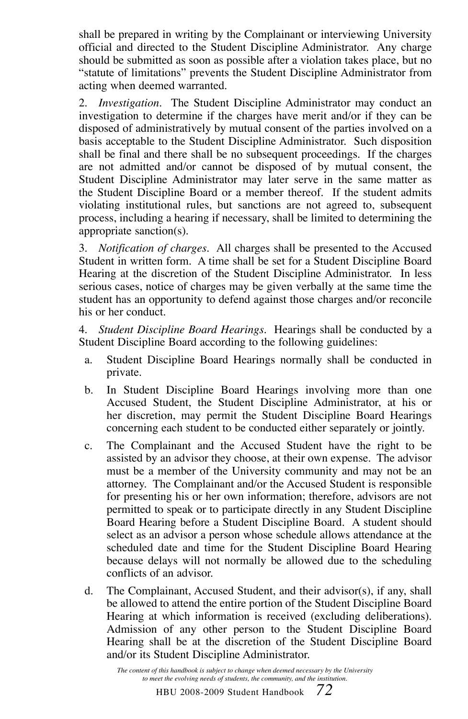shall be prepared in writing by the Complainant or interviewing University official and directed to the Student Discipline Administrator. Any charge should be submitted as soon as possible after a violation takes place, but no "statute of limitations" prevents the Student Discipline Administrator from acting when deemed warranted.

2. *Investigation.* The Student Discipline Administrator may conduct an investigation to determine if the charges have merit and/or if they can be disposed of administratively by mutual consent of the parties involved on a basis acceptable to the Student Discipline Administrator. Such disposition shall be final and there shall be no subsequent proceedings. If the charges are not admitted and/or cannot be disposed of by mutual consent, the Student Discipline Administrator may later serve in the same matter as the Student Discipline Board or a member thereof. If the student admits violating institutional rules, but sanctions are not agreed to, subsequent process, including a hearing if necessary, shall be limited to determining the appropriate sanction(s).

3. *Notification of charges.* All charges shall be presented to the Accused Student in written form. A time shall be set for a Student Discipline Board Hearing at the discretion of the Student Discipline Administrator. In less serious cases, notice of charges may be given verbally at the same time the student has an opportunity to defend against those charges and/or reconcile his or her conduct.

4. *Student Discipline Board Hearings.* Hearings shall be conducted by a Student Discipline Board according to the following guidelines:

- a. Student Discipline Board Hearings normally shall be conducted in private.
- b. In Student Discipline Board Hearings involving more than one Accused Student, the Student Discipline Administrator, at his or her discretion, may permit the Student Discipline Board Hearings concerning each student to be conducted either separately or jointly.
- c. The Complainant and the Accused Student have the right to be assisted by an advisor they choose, at their own expense. The advisor must be a member of the University community and may not be an attorney. The Complainant and/or the Accused Student is responsible for presenting his or her own information; therefore, advisors are not permitted to speak or to participate directly in any Student Discipline Board Hearing before a Student Discipline Board. A student should select as an advisor a person whose schedule allows attendance at the scheduled date and time for the Student Discipline Board Hearing because delays will not normally be allowed due to the scheduling conflicts of an advisor.
- d. The Complainant, Accused Student, and their advisor(s), if any, shall be allowed to attend the entire portion of the Student Discipline Board Hearing at which information is received (excluding deliberations). Admission of any other person to the Student Discipline Board Hearing shall be at the discretion of the Student Discipline Board and/or its Student Discipline Administrator.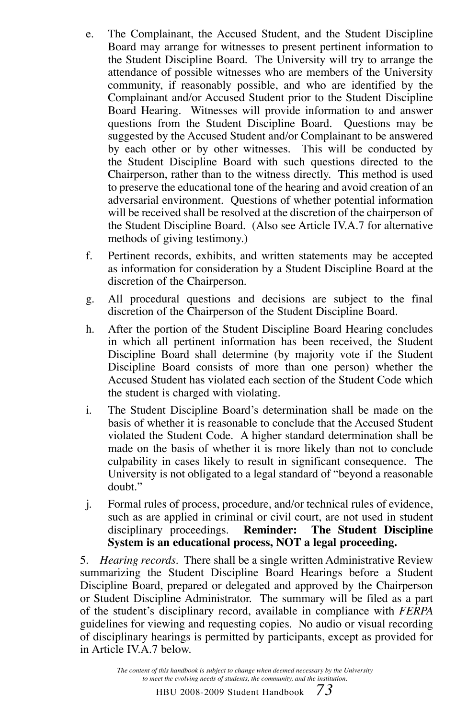- e. The Complainant, the Accused Student, and the Student Discipline Board may arrange for witnesses to present pertinent information to the Student Discipline Board. The University will try to arrange the attendance of possible witnesses who are members of the University community, if reasonably possible, and who are identified by the Complainant and/or Accused Student prior to the Student Discipline Board Hearing. Witnesses will provide information to and answer questions from the Student Discipline Board. Questions may be suggested by the Accused Student and/or Complainant to be answered by each other or by other witnesses. This will be conducted by the Student Discipline Board with such questions directed to the Chairperson, rather than to the witness directly. This method is used to preserve the educational tone of the hearing and avoid creation of an adversarial environment. Questions of whether potential information will be received shall be resolved at the discretion of the chairperson of the Student Discipline Board. (Also see Article IV.A.7 for alternative methods of giving testimony.)
- f. Pertinent records, exhibits, and written statements may be accepted as information for consideration by a Student Discipline Board at the discretion of the Chairperson.
- g. All procedural questions and decisions are subject to the final discretion of the Chairperson of the Student Discipline Board.
- h. After the portion of the Student Discipline Board Hearing concludes in which all pertinent information has been received, the Student Discipline Board shall determine (by majority vote if the Student Discipline Board consists of more than one person) whether the Accused Student has violated each section of the Student Code which the student is charged with violating.
- i. The Student Discipline Board's determination shall be made on the basis of whether it is reasonable to conclude that the Accused Student violated the Student Code. A higher standard determination shall be made on the basis of whether it is more likely than not to conclude culpability in cases likely to result in significant consequence. The University is not obligated to a legal standard of "beyond a reasonable doubt."
- j. Formal rules of process, procedure, and/or technical rules of evidence, such as are applied in criminal or civil court, are not used in student disciplinary proceedings. **Reminder: The Student Discipline System is an educational process, NOT a legal proceeding.**

5. *Hearing records.* There shall be a single written Administrative Review summarizing the Student Discipline Board Hearings before a Student Discipline Board, prepared or delegated and approved by the Chairperson or Student Discipline Administrator. The summary will be filed as a part of the student's disciplinary record, available in compliance with *FERPA* guidelines for viewing and requesting copies. No audio or visual recording of disciplinary hearings is permitted by participants, except as provided for in Article IV.A.7 below.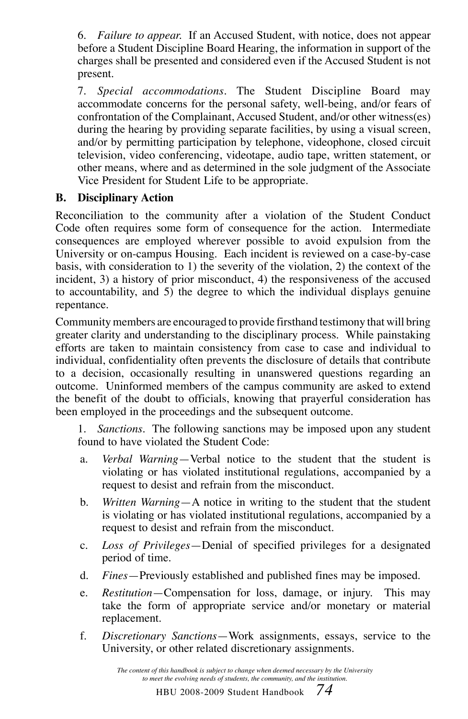6. *Failure to appear.* If an Accused Student, with notice, does not appear before a Student Discipline Board Hearing, the information in support of the charges shall be presented and considered even if the Accused Student is not present.

7. *Special accommodations.* The Student Discipline Board may accommodate concerns for the personal safety, well-being, and/or fears of confrontation of the Complainant, Accused Student, and/or other witness(es) during the hearing by providing separate facilities, by using a visual screen, and/or by permitting participation by telephone, videophone, closed circuit television, video conferencing, videotape, audio tape, written statement, or other means, where and as determined in the sole judgment of the Associate Vice President for Student Life to be appropriate.

# **B. Disciplinary Action**

Reconciliation to the community after a violation of the Student Conduct Code often requires some form of consequence for the action. Intermediate consequences are employed wherever possible to avoid expulsion from the University or on-campus Housing. Each incident is reviewed on a case-by-case basis, with consideration to 1) the severity of the violation, 2) the context of the incident, 3) a history of prior misconduct, 4) the responsiveness of the accused to accountability, and 5) the degree to which the individual displays genuine repentance.

Community members are encouraged to provide firsthand testimony that will bring greater clarity and understanding to the disciplinary process. While painstaking efforts are taken to maintain consistency from case to case and individual to individual, confidentiality often prevents the disclosure of details that contribute to a decision, occasionally resulting in unanswered questions regarding an outcome. Uninformed members of the campus community are asked to extend the benefit of the doubt to officials, knowing that prayerful consideration has been employed in the proceedings and the subsequent outcome.

1. *Sanctions.* The following sanctions may be imposed upon any student found to have violated the Student Code:

- a. *Verbal Warning*—Verbal notice to the student that the student is violating or has violated institutional regulations, accompanied by a request to desist and refrain from the misconduct.
- b. *Written Warning*—A notice in writing to the student that the student is violating or has violated institutional regulations, accompanied by a request to desist and refrain from the misconduct.
- c. *Loss of Privileges*—Denial of specified privileges for a designated period of time.
- d. *Fines*—Previously established and published fines may be imposed.
- e. *Restitution*—Compensation for loss, damage, or injury. This may take the form of appropriate service and/or monetary or material replacement.
- f. *Discretionary Sanctions*—Work assignments, essays, service to the University, or other related discretionary assignments.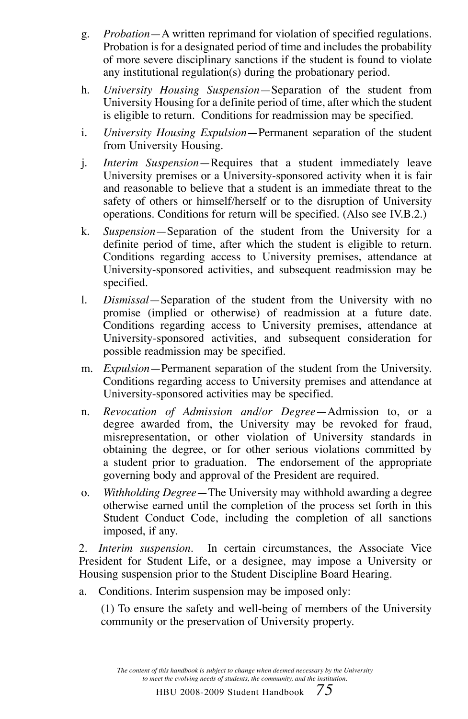- g. *Probation*—A written reprimand for violation of specified regulations. Probation is for a designated period of time and includes the probability of more severe disciplinary sanctions if the student is found to violate any institutional regulation(s) during the probationary period.
- h. *University Housing Suspension*—Separation of the student from University Housing for a definite period of time, after which the student is eligible to return. Conditions for readmission may be specified.
- i. *University Housing Expulsion*—Permanent separation of the student from University Housing.
- j. *Interim Suspension*—Requires that a student immediately leave University premises or a University-sponsored activity when it is fair and reasonable to believe that a student is an immediate threat to the safety of others or himself/herself or to the disruption of University operations. Conditions for return will be specified. (Also see IV.B.2.)
- k. *Suspension*—Separation of the student from the University for a definite period of time, after which the student is eligible to return. Conditions regarding access to University premises, attendance at University-sponsored activities, and subsequent readmission may be specified.
- l. *Dismissal*—Separation of the student from the University with no promise (implied or otherwise) of readmission at a future date. Conditions regarding access to University premises, attendance at University-sponsored activities, and subsequent consideration for possible readmission may be specified.
- m. *Expulsion*—Permanent separation of the student from the University. Conditions regarding access to University premises and attendance at University-sponsored activities may be specified.
- n. *Revocation of Admission and/or Degree*—Admission to, or a degree awarded from, the University may be revoked for fraud, misrepresentation, or other violation of University standards in obtaining the degree, or for other serious violations committed by a student prior to graduation. The endorsement of the appropriate governing body and approval of the President are required.
- o. *Withholding Degree*—The University may withhold awarding a degree otherwise earned until the completion of the process set forth in this Student Conduct Code, including the completion of all sanctions imposed, if any.

2. *Interim suspension*. In certain circumstances, the Associate Vice President for Student Life, or a designee, may impose a University or Housing suspension prior to the Student Discipline Board Hearing.

a. Conditions. Interim suspension may be imposed only:

(1) To ensure the safety and well-being of members of the University community or the preservation of University property.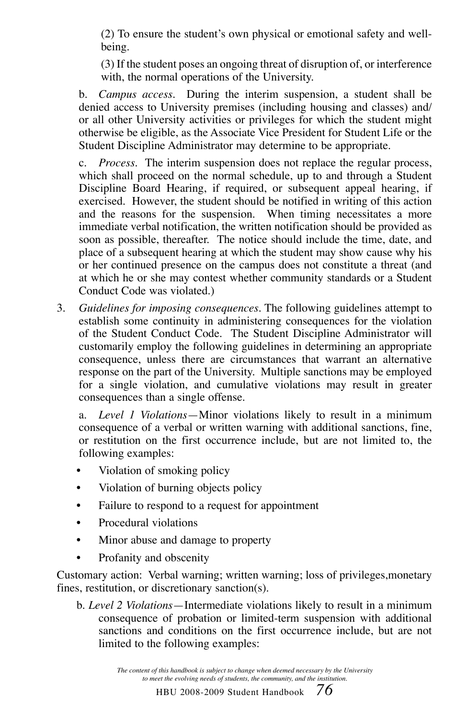(2) To ensure the student's own physical or emotional safety and wellbeing.

(3) If the student poses an ongoing threat of disruption of, or interference with, the normal operations of the University.

b. *Campus access.* During the interim suspension, a student shall be denied access to University premises (including housing and classes) and/ or all other University activities or privileges for which the student might otherwise be eligible, as the Associate Vice President for Student Life or the Student Discipline Administrator may determine to be appropriate.

c. *Process.* The interim suspension does not replace the regular process, which shall proceed on the normal schedule, up to and through a Student Discipline Board Hearing, if required, or subsequent appeal hearing, if exercised. However, the student should be notified in writing of this action and the reasons for the suspension. When timing necessitates a more immediate verbal notification, the written notification should be provided as soon as possible, thereafter. The notice should include the time, date, and place of a subsequent hearing at which the student may show cause why his or her continued presence on the campus does not constitute a threat (and at which he or she may contest whether community standards or a Student Conduct Code was violated.)

3. *Guidelines for imposing consequences.* The following guidelines attempt to establish some continuity in administering consequences for the violation of the Student Conduct Code. The Student Discipline Administrator will customarily employ the following guidelines in determining an appropriate consequence, unless there are circumstances that warrant an alternative response on the part of the University. Multiple sanctions may be employed for a single violation, and cumulative violations may result in greater consequences than a single offense.

a. *Level 1 Violations*—Minor violations likely to result in a minimum consequence of a verbal or written warning with additional sanctions, fine, or restitution on the first occurrence include, but are not limited to, the following examples:

- Violation of smoking policy
- Violation of burning objects policy
- Failure to respond to a request for appointment
- Procedural violations
- Minor abuse and damage to property
- Profanity and obscenity

Customary action: Verbal warning; written warning; loss of privileges,monetary fines, restitution, or discretionary sanction(s).

b. *Level 2 Violations*—Intermediate violations likely to result in a minimum consequence of probation or limited-term suspension with additional sanctions and conditions on the first occurrence include, but are not limited to the following examples:

> *The content of this handbook is subject to change when deemed necessary by the University to meet the evolving needs of students, the community, and the institution.*

> > HBU 2008-2009 Student Handbook *76*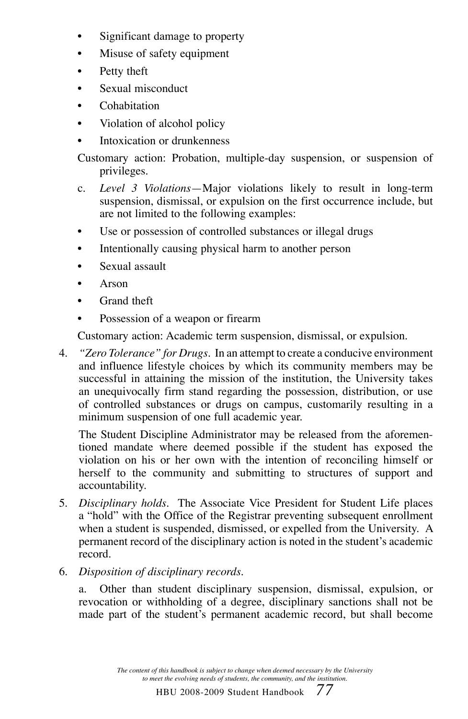- Significant damage to property
- Misuse of safety equipment
- Petty theft
- Sexual misconduct
- Cohabitation
- Violation of alcohol policy
- Intoxication or drunkenness

Customary action: Probation, multiple-day suspension, or suspension of privileges.

- c. *Level 3 Violations*—Major violations likely to result in long-term suspension, dismissal, or expulsion on the first occurrence include, but are not limited to the following examples:
- Use or possession of controlled substances or illegal drugs
- Intentionally causing physical harm to another person
- Sexual assault
- Arson
- Grand theft
- Possession of a weapon or firearm

Customary action: Academic term suspension, dismissal, or expulsion.

4. *"Zero Tolerance" for Drugs*. In an attempt to create a conducive environment and influence lifestyle choices by which its community members may be successful in attaining the mission of the institution, the University takes an unequivocally firm stand regarding the possession, distribution, or use of controlled substances or drugs on campus, customarily resulting in a minimum suspension of one full academic year.

 The Student Discipline Administrator may be released from the aforementioned mandate where deemed possible if the student has exposed the violation on his or her own with the intention of reconciling himself or herself to the community and submitting to structures of support and accountability.

- 5. *Disciplinary holds.* The Associate Vice President for Student Life places a "hold" with the Office of the Registrar preventing subsequent enrollment when a student is suspended, dismissed, or expelled from the University. A permanent record of the disciplinary action is noted in the student's academic record.
- 6. *Disposition of disciplinary records.*

a. Other than student disciplinary suspension, dismissal, expulsion, or revocation or withholding of a degree, disciplinary sanctions shall not be made part of the student's permanent academic record, but shall become

> *The content of this handbook is subject to change when deemed necessary by the University to meet the evolving needs of students, the community, and the institution.*

> > HBU 2008-2009 Student Handbook *77*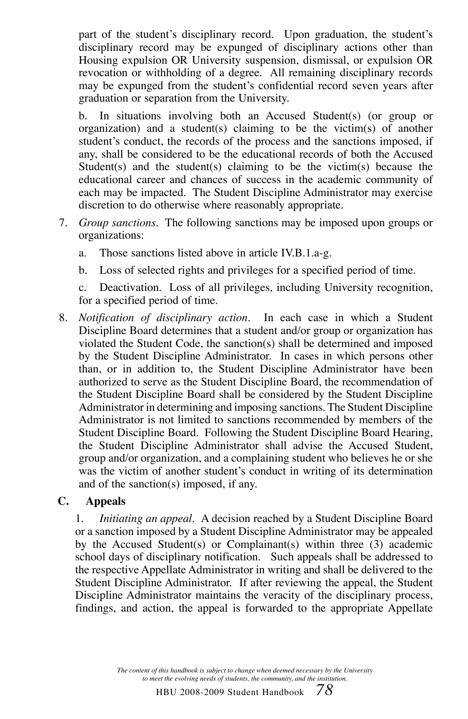part of the student's disciplinary record. Upon graduation, the student's disciplinary record may be expunged of disciplinary actions other than Housing expulsion OR University suspension, dismissal, or expulsion OR revocation or withholding of a degree. All remaining disciplinary records may be expunged from the student's confidential record seven years after graduation or separation from the University.

b. In situations involving both an Accused Student(s) (or group or organization) and a student(s) claiming to be the victim(s) of another student's conduct, the records of the process and the sanctions imposed, if any, shall be considered to be the educational records of both the Accused Student(s) and the student(s) claiming to be the victim(s) because the educational career and chances of success in the academic community of each may be impacted. The Student Discipline Administrator may exercise discretion to do otherwise where reasonably appropriate.

- 7. *Group sanctions.* The following sanctions may be imposed upon groups or organizations:
	- a. Those sanctions listed above in article IV.B.1.a-g.
	- b. Loss of selected rights and privileges for a specified period of time.

c. Deactivation. Loss of all privileges, including University recognition, for a specified period of time.

8. *Notification of disciplinary action.* In each case in which a Student Discipline Board determines that a student and/or group or organization has violated the Student Code, the sanction(s) shall be determined and imposed by the Student Discipline Administrator. In cases in which persons other than, or in addition to, the Student Discipline Administrator have been authorized to serve as the Student Discipline Board, the recommendation of the Student Discipline Board shall be considered by the Student Discipline Administrator in determining and imposing sanctions. The Student Discipline Administrator is not limited to sanctions recommended by members of the Student Discipline Board. Following the Student Discipline Board Hearing, the Student Discipline Administrator shall advise the Accused Student, group and/or organization, and a complaining student who believes he or she was the victim of another student's conduct in writing of its determination and of the sanction(s) imposed, if any.

## **C. Appeals**

1. *Initiating an appeal.* A decision reached by a Student Discipline Board or a sanction imposed by a Student Discipline Administrator may be appealed by the Accused Student(s) or Complainant(s) within three (3) academic school days of disciplinary notification. Such appeals shall be addressed to the respective Appellate Administrator in writing and shall be delivered to the Student Discipline Administrator. If after reviewing the appeal, the Student Discipline Administrator maintains the veracity of the disciplinary process, findings, and action, the appeal is forwarded to the appropriate Appellate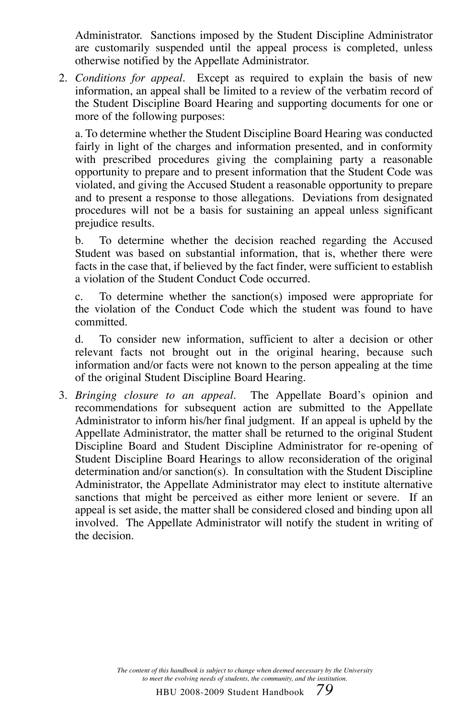Administrator. Sanctions imposed by the Student Discipline Administrator are customarily suspended until the appeal process is completed, unless otherwise notified by the Appellate Administrator.

2. *Conditions for appeal.* Except as required to explain the basis of new information, an appeal shall be limited to a review of the verbatim record of the Student Discipline Board Hearing and supporting documents for one or more of the following purposes:

a. To determine whether the Student Discipline Board Hearing was conducted fairly in light of the charges and information presented, and in conformity with prescribed procedures giving the complaining party a reasonable opportunity to prepare and to present information that the Student Code was violated, and giving the Accused Student a reasonable opportunity to prepare and to present a response to those allegations. Deviations from designated procedures will not be a basis for sustaining an appeal unless significant prejudice results.

b. To determine whether the decision reached regarding the Accused Student was based on substantial information, that is, whether there were facts in the case that, if believed by the fact finder, were sufficient to establish a violation of the Student Conduct Code occurred.

c. To determine whether the sanction(s) imposed were appropriate for the violation of the Conduct Code which the student was found to have committed.

d. To consider new information, sufficient to alter a decision or other relevant facts not brought out in the original hearing, because such information and/or facts were not known to the person appealing at the time of the original Student Discipline Board Hearing.

3. *Bringing closure to an appeal.* The Appellate Board's opinion and recommendations for subsequent action are submitted to the Appellate Administrator to inform his/her final judgment. If an appeal is upheld by the Appellate Administrator, the matter shall be returned to the original Student Discipline Board and Student Discipline Administrator for re-opening of Student Discipline Board Hearings to allow reconsideration of the original determination and/or sanction(s). In consultation with the Student Discipline Administrator, the Appellate Administrator may elect to institute alternative sanctions that might be perceived as either more lenient or severe. If an appeal is set aside, the matter shall be considered closed and binding upon all involved. The Appellate Administrator will notify the student in writing of the decision.

> *The content of this handbook is subject to change when deemed necessary by the University to meet the evolving needs of students, the community, and the institution.*

> > HBU 2008-2009 Student Handbook *79*